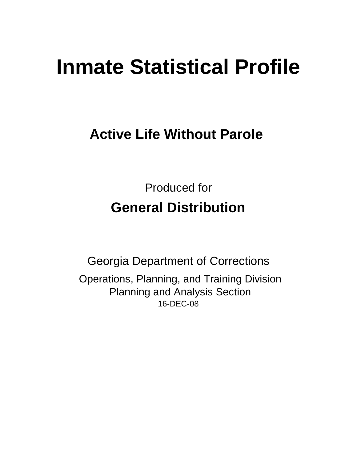# **Inmate Statistical Profile**

## **Active Life Without Parole**

Produced for **General Distribution**

16-DEC-08 Georgia Department of Corrections Operations, Planning, and Training Division Planning and Analysis Section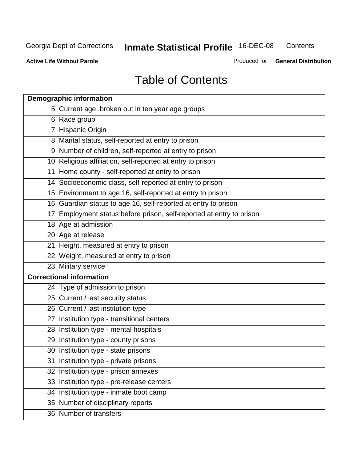**Contents** 

**Active Life Without Parole** 

Produced for **General Distribution**

## Table of Contents

| <b>Demographic information</b>                                       |
|----------------------------------------------------------------------|
| 5 Current age, broken out in ten year age groups                     |
| 6 Race group                                                         |
| 7 Hispanic Origin                                                    |
| 8 Marital status, self-reported at entry to prison                   |
| 9 Number of children, self-reported at entry to prison               |
| 10 Religious affiliation, self-reported at entry to prison           |
| 11 Home county - self-reported at entry to prison                    |
| 14 Socioeconomic class, self-reported at entry to prison             |
| 15 Environment to age 16, self-reported at entry to prison           |
| 16 Guardian status to age 16, self-reported at entry to prison       |
| 17 Employment status before prison, self-reported at entry to prison |
| 18 Age at admission                                                  |
| 20 Age at release                                                    |
| 21 Height, measured at entry to prison                               |
| 22 Weight, measured at entry to prison                               |
| 23 Military service                                                  |
| <b>Correctional information</b>                                      |
| 24 Type of admission to prison                                       |
| 25 Current / last security status                                    |
| 26 Current / last institution type                                   |
| 27 Institution type - transitional centers                           |
| 28 Institution type - mental hospitals                               |
| 29 Institution type - county prisons                                 |
| 30 Institution type - state prisons                                  |
| 31 Institution type - private prisons                                |
| 32 Institution type - prison annexes                                 |
| 33 Institution type - pre-release centers                            |
| 34 Institution type - inmate boot camp                               |
| 35 Number of disciplinary reports                                    |
| 36 Number of transfers                                               |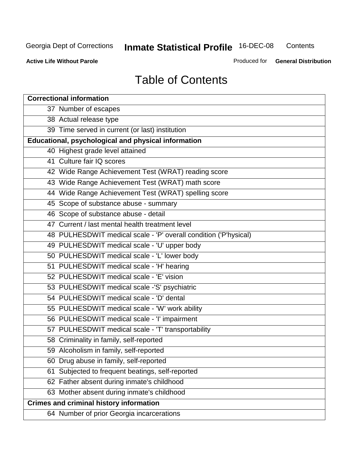**Contents** 

**Active Life Without Parole** 

Produced for **General Distribution**

## Table of Contents

| <b>Correctional information</b>                                  |
|------------------------------------------------------------------|
| 37 Number of escapes                                             |
| 38 Actual release type                                           |
| 39 Time served in current (or last) institution                  |
| <b>Educational, psychological and physical information</b>       |
| 40 Highest grade level attained                                  |
| 41 Culture fair IQ scores                                        |
| 42 Wide Range Achievement Test (WRAT) reading score              |
| 43 Wide Range Achievement Test (WRAT) math score                 |
| 44 Wide Range Achievement Test (WRAT) spelling score             |
| 45 Scope of substance abuse - summary                            |
| 46 Scope of substance abuse - detail                             |
| 47 Current / last mental health treatment level                  |
| 48 PULHESDWIT medical scale - 'P' overall condition ('P'hysical) |
| 49 PULHESDWIT medical scale - 'U' upper body                     |
| 50 PULHESDWIT medical scale - 'L' lower body                     |
| 51 PULHESDWIT medical scale - 'H' hearing                        |
| 52 PULHESDWIT medical scale - 'E' vision                         |
| 53 PULHESDWIT medical scale -'S' psychiatric                     |
| 54 PULHESDWIT medical scale - 'D' dental                         |
| 55 PULHESDWIT medical scale - 'W' work ability                   |
| 56 PULHESDWIT medical scale - 'I' impairment                     |
| 57 PULHESDWIT medical scale - 'T' transportability               |
| 58 Criminality in family, self-reported                          |
| 59 Alcoholism in family, self-reported                           |
| 60 Drug abuse in family, self-reported                           |
| Subjected to frequent beatings, self-reported<br>61              |
| 62 Father absent during inmate's childhood                       |
| 63 Mother absent during inmate's childhood                       |
| <b>Crimes and criminal history information</b>                   |
| 64 Number of prior Georgia incarcerations                        |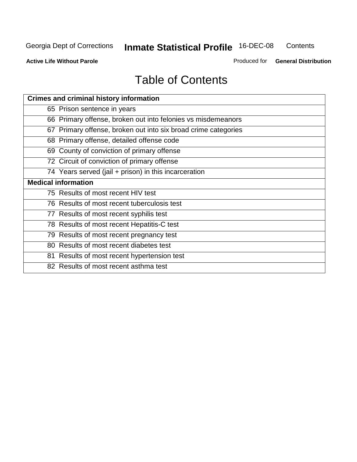**Contents** 

**Active Life Without Parole** 

Produced for **General Distribution**

## Table of Contents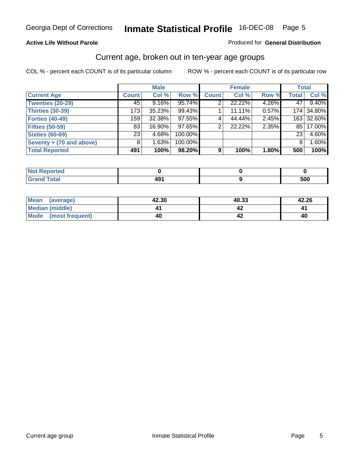#### **Active Life Without Parole**

#### Produced for **General Distribution**

#### Current age, broken out in ten-year age groups

|                          |              | <b>Male</b> |         |              | <b>Female</b> |       | <b>Total</b> |            |
|--------------------------|--------------|-------------|---------|--------------|---------------|-------|--------------|------------|
| <b>Current Age</b>       | <b>Count</b> | Col %       | Row %   | <b>Count</b> | Col %         | Row % | <b>Total</b> | Col %      |
| <b>Twenties (20-29)</b>  | 45           | $9.16\%$    | 95.74%  |              | 22.22%        | 4.26% | 47           | 9.40%      |
| <b>Thirties (30-39)</b>  | 173          | 35.23%      | 99.43%  |              | 11.11%        | 0.57% |              | 174 34.80% |
| <b>Forties (40-49)</b>   | 159          | 32.38%      | 97.55%  | 4            | 44.44%        | 2.45% |              | 163 32.60% |
| <b>Fifties (50-59)</b>   | 83           | 16.90%      | 97.65%  | 2            | 22.22%        | 2.35% | 85 I         | 17.00%     |
| <b>Sixties (60-69)</b>   | 231          | 4.68%       | 100.00% |              |               |       | 23           | 4.60%      |
| Seventy + (70 and above) | 8            | 1.63%       | 100.00% |              |               |       | 8            | 1.60%      |
| <b>Total Reported</b>    | 491          | 100%        | 98.20%  | 9            | 100%          | 1.80% | 500          | 100%       |

| <b>Not Reported</b>              |           |     |
|----------------------------------|-----------|-----|
| <b>Total</b><br>$\mathbf{v}$ and | ∕۵۵<br>᠇ᢦ | 500 |

| Mean<br>(average)              | 42.30 | 40.33 | 42.26 |
|--------------------------------|-------|-------|-------|
| Median (middle)                |       |       |       |
| <b>Mode</b><br>(most frequent) | 40    |       | -40   |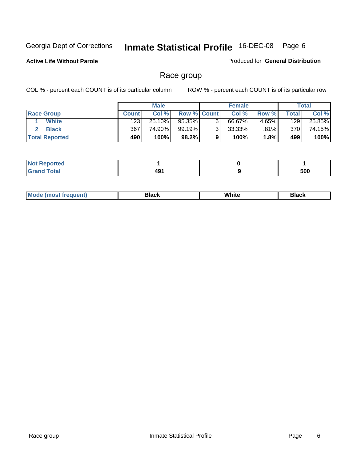**Active Life Without Parole** 

Produced for **General Distribution**

### Race group

|                       |              | <b>Male</b> |                    |   | <b>Female</b> |                        |       | <b>Total</b> |
|-----------------------|--------------|-------------|--------------------|---|---------------|------------------------|-------|--------------|
| <b>Race Group</b>     | <b>Count</b> | Col %       | <b>Row % Count</b> |   | Col %         | Row %                  | Total | Col %        |
| <b>White</b>          | 123          | 25.10%      | 95.35%             | 6 | 66.67%        | $4.65\%$               | 129   | 25.85%       |
| <b>Black</b>          | 367          | 74.90%      | 99.19%             | ◠ | $33.33\%$     | .81%                   | 370   | 74.15%       |
| <b>Total Reported</b> | 490          | 100%        | 98.2%              |   | 100%          | $1.8\%$ $\blacksquare$ | 499   | 100%         |

| <b>Reported</b><br>$\sim$ |             |     |
|---------------------------|-------------|-----|
| <b>Total</b>              | 101<br>4J I | 500 |

| $^1$ Mo. | Rlack | White | 3lack |
|----------|-------|-------|-------|
| .        |       |       |       |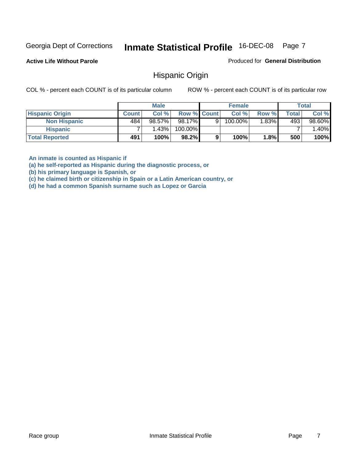**Active Life Without Parole** 

Produced for **General Distribution**

#### Hispanic Origin

COL % - percent each COUNT is of its particular column ROW % - percent each COUNT is of its particular row

|                        |              | <b>Male</b> |                    |   | <b>Female</b> |       |              | <b>Total</b> |
|------------------------|--------------|-------------|--------------------|---|---------------|-------|--------------|--------------|
| <b>Hispanic Origin</b> | <b>Count</b> | Col %       | <b>Row % Count</b> |   | Col %         | Row % | <b>Total</b> | Col %        |
| <b>Non Hispanic</b>    | 484          | 98.57%      | 98.17%             | 9 | $100.00\%$    | 1.83% | 493          | 98.60%       |
| <b>Hispanic</b>        |              | 1.43%       | 100.00%            |   |               |       |              | 1.40%        |
| <b>Total Reported</b>  | 491          | 100%        | 98.2%              | 9 | 100%          | 1.8%  | 500          | 100%         |

**An inmate is counted as Hispanic if** 

**(a) he self-reported as Hispanic during the diagnostic process, or** 

**(b) his primary language is Spanish, or** 

**(c) he claimed birth or citizenship in Spain or a Latin American country, or** 

**(d) he had a common Spanish surname such as Lopez or Garcia**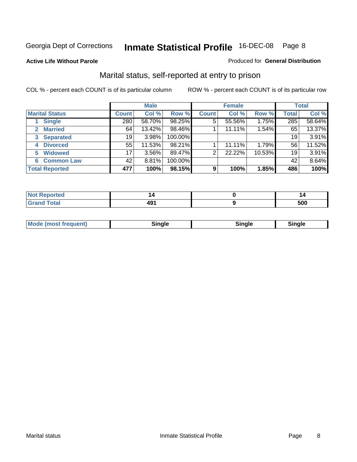#### **Active Life Without Parole**

#### Produced for **General Distribution**

### Marital status, self-reported at entry to prison

|                                | <b>Male</b>  |          |         | <b>Female</b>  |        |        | <b>Total</b> |        |
|--------------------------------|--------------|----------|---------|----------------|--------|--------|--------------|--------|
| <b>Marital Status</b>          | <b>Count</b> | Col %    | Row %   | <b>Count</b>   | Col %  | Row %  | <b>Total</b> | Col %  |
| <b>Single</b>                  | 280          | 58.70%   | 98.25%  | $\overline{5}$ | 55.56% | 1.75%  | 285          | 58.64% |
| <b>Married</b><br>$\mathbf{2}$ | 64           | 13.42%   | 98.46%  |                | 11.11% | 1.54%  | 65           | 13.37% |
| <b>Separated</b><br>3          | 19           | 3.98%    | 100.00% |                |        |        | 19           | 3.91%  |
| <b>Divorced</b><br>4           | 55           | 11.53%   | 98.21%  |                | 11.11% | 1.79%  | 56           | 11.52% |
| <b>Widowed</b><br>5            | 17           | $3.56\%$ | 89.47%  | 2              | 22.22% | 10.53% | 19           | 3.91%  |
| <b>Common Law</b><br>6         | 42           | 8.81%    | 100.00% |                |        |        | 42           | 8.64%  |
| <b>Total Reported</b>          | 477          | 100%     | 98.15%  | 9              | 100%   | 1.85%  | 486          | 100%   |

|    |                  | 14   |
|----|------------------|------|
| -- | 10.<br>т.<br>___ | - 22 |

| <b>Mode (most frequent)</b><br>sınale | Sinale | Single |
|---------------------------------------|--------|--------|
|---------------------------------------|--------|--------|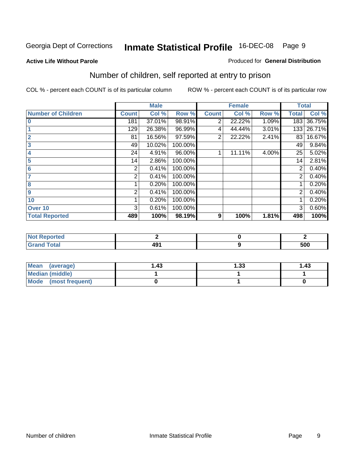#### **Active Life Without Parole**

#### Produced for **General Distribution**

### Number of children, self reported at entry to prison

|                           |              | <b>Male</b> |         |                | <b>Female</b> |       | <b>Total</b> |        |
|---------------------------|--------------|-------------|---------|----------------|---------------|-------|--------------|--------|
| <b>Number of Children</b> | <b>Count</b> | Col %       | Row %   | <b>Count</b>   | Col %         | Row % | <b>Total</b> | Col %  |
| $\bf{0}$                  | 181          | 37.01%      | 98.91%  | 2              | 22.22%        | 1.09% | 183          | 36.75% |
|                           | 129          | 26.38%      | 96.99%  | 4              | 44.44%        | 3.01% | 133          | 26.71% |
| $\overline{2}$            | 81           | 16.56%      | 97.59%  | $\overline{2}$ | 22.22%        | 2.41% | 83           | 16.67% |
| 3                         | 49           | 10.02%      | 100.00% |                |               |       | 49           | 9.84%  |
| 4                         | 24           | 4.91%       | 96.00%  |                | 11.11%        | 4.00% | 25           | 5.02%  |
| 5                         | 14           | 2.86%       | 100.00% |                |               |       | 14           | 2.81%  |
| $6\phantom{a}$            | 2            | 0.41%       | 100.00% |                |               |       | 2            | 0.40%  |
|                           | 2            | 0.41%       | 100.00% |                |               |       | 2            | 0.40%  |
| 8                         |              | 0.20%       | 100.00% |                |               |       |              | 0.20%  |
| 9                         | 2            | 0.41%       | 100.00% |                |               |       | 2            | 0.40%  |
| 10                        |              | 0.20%       | 100.00% |                |               |       |              | 0.20%  |
| Over 10                   | 3            | 0.61%       | 100.00% |                |               |       | 3            | 0.60%  |
| <b>Total Reported</b>     | 489          | 100%        | 98.19%  | 9              | 100%          | 1.81% | 498          | 100%   |

| nrteu<br>$\sim$                 |            |     |
|---------------------------------|------------|-----|
| <b>otal</b><br>$\mathbf{v}$ and | ג הו<br>-- | 500 |

| Mean<br>(average)       | ∣.43 | 33. ا | 1.43 |
|-------------------------|------|-------|------|
| Median (middle)         |      |       |      |
| Mode<br>(most frequent) |      |       |      |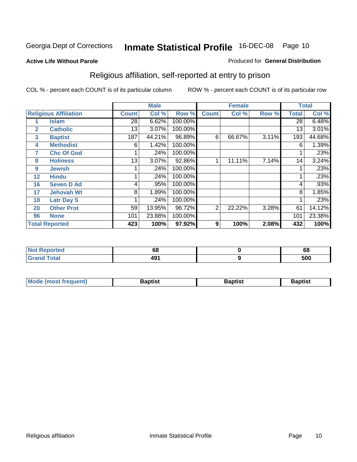#### **Active Life Without Parole**

#### Produced for **General Distribution**

### Religious affiliation, self-reported at entry to prison

|              |                              |              | <b>Male</b> |         |                | <b>Female</b> |       |              | <b>Total</b> |
|--------------|------------------------------|--------------|-------------|---------|----------------|---------------|-------|--------------|--------------|
|              | <b>Religious Affiliation</b> | <b>Count</b> | Col %       | Row %   | <b>Count</b>   | Col %         | Row % | <b>Total</b> | Col %        |
|              | <b>Islam</b>                 | 28           | 6.62%       | 100.00% |                |               |       | 28           | 6.48%        |
| $\mathbf{2}$ | <b>Catholic</b>              | 13           | 3.07%       | 100.00% |                |               |       | 13           | 3.01%        |
| 3            | <b>Baptist</b>               | 187          | 44.21%      | 96.89%  | 6              | 66.67%        | 3.11% | 193          | 44.68%       |
| 4            | <b>Methodist</b>             | 6            | 1.42%       | 100.00% |                |               |       | 6            | 1.39%        |
| 7            | <b>Chc Of God</b>            |              | .24%        | 100.00% |                |               |       |              | .23%         |
| 8            | <b>Holiness</b>              | 13           | 3.07%       | 92.86%  |                | 11.11%        | 7.14% | 14           | 3.24%        |
| 9            | <b>Jewish</b>                |              | .24%        | 100.00% |                |               |       |              | .23%         |
| 12           | <b>Hindu</b>                 |              | .24%        | 100.00% |                |               |       |              | .23%         |
| 16           | <b>Seven D Ad</b>            | 4            | .95%        | 100.00% |                |               |       | 4            | .93%         |
| 17           | <b>Jehovah Wt</b>            | 8            | 1.89%       | 100.00% |                |               |       | 8            | 1.85%        |
| 18           | <b>Latr Day S</b>            |              | .24%        | 100.00% |                |               |       |              | .23%         |
| 20           | <b>Other Prot</b>            | 59           | 13.95%      | 96.72%  | $\overline{2}$ | 22.22%        | 3.28% | 61           | 14.12%       |
| 96           | <b>None</b>                  | 101          | 23.88%      | 100.00% |                |               |       | 101          | 23.38%       |
|              | <b>Total Reported</b>        | 423          | 100%        | 97.92%  | 9              | 100%          | 2.08% | 432          | 100%         |

| . Reported   | r o |     |
|--------------|-----|-----|
| <b>NOT</b>   | oo  | oo  |
| <b>Total</b> | 491 | 500 |

| <b>Mode (most frequent)</b> | Baptist | Baptist | Baptist |
|-----------------------------|---------|---------|---------|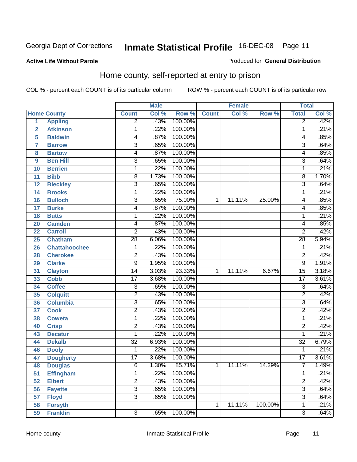Produced for **General Distribution**

#### **Active Life Without Parole**

### Home county, self-reported at entry to prison

|                  |                      |                 | <b>Male</b> |         |              | <b>Female</b> |         | <b>Total</b>              |       |
|------------------|----------------------|-----------------|-------------|---------|--------------|---------------|---------|---------------------------|-------|
|                  | <b>Home County</b>   | <b>Count</b>    | Col %       | Row %   | <b>Count</b> | Col %         | Row %   | <b>Total</b>              | Col % |
| $\overline{1}$   | <b>Appling</b>       | $\overline{2}$  | .43%        | 100.00% |              |               |         | $\overline{2}$            | .42%  |
| $\overline{2}$   | <b>Atkinson</b>      | 1               | .22%        | 100.00% |              |               |         | 1                         | .21%  |
| 5                | <b>Baldwin</b>       | 4               | .87%        | 100.00% |              |               |         | 4                         | .85%  |
| 7                | <b>Barrow</b>        | 3               | .65%        | 100.00% |              |               |         | $\overline{3}$            | .64%  |
| 8                | <b>Bartow</b>        | 4               | .87%        | 100.00% |              |               |         | 4                         | .85%  |
| $\boldsymbol{9}$ | <b>Ben Hill</b>      | 3               | .65%        | 100.00% |              |               |         | $\overline{3}$            | .64%  |
| 10               | <b>Berrien</b>       | 1               | .22%        | 100.00% |              |               |         | 1                         | .21%  |
| 11               | <b>Bibb</b>          | 8               | 1.73%       | 100.00% |              |               |         | 8                         | 1.70% |
| 12               | <b>Bleckley</b>      | $\overline{3}$  | .65%        | 100.00% |              |               |         | $\overline{3}$            | .64%  |
| 14               | <b>Brooks</b>        | 1               | .22%        | 100.00% |              |               |         | 1                         | .21%  |
| 16               | <b>Bulloch</b>       | $\overline{3}$  | .65%        | 75.00%  | 1            | 11.11%        | 25.00%  | 4                         | .85%  |
| 17               | <b>Burke</b>         | 4               | .87%        | 100.00% |              |               |         | 4                         | .85%  |
| 18               | <b>Butts</b>         | 1               | .22%        | 100.00% |              |               |         | 1                         | .21%  |
| 20               | <b>Camden</b>        | 4               | .87%        | 100.00% |              |               |         | 4                         | .85%  |
| 22               | <b>Carroll</b>       | $\overline{2}$  | .43%        | 100.00% |              |               |         | $\overline{2}$            | .42%  |
| 25               | <b>Chatham</b>       | $\overline{28}$ | 6.06%       | 100.00% |              |               |         | $\overline{28}$           | 5.94% |
| 26               | <b>Chattahoochee</b> | 1               | .22%        | 100.00% |              |               |         | 1                         | .21%  |
| 28               | <b>Cherokee</b>      | 2               | .43%        | 100.00% |              |               |         | $\overline{2}$            | .42%  |
| 29               | <b>Clarke</b>        | $\overline{9}$  | 1.95%       | 100.00% |              |               |         | $\overline{9}$            | 1.91% |
| 31               | <b>Clayton</b>       | 14              | 3.03%       | 93.33%  | 1            | 11.11%        | 6.67%   | $\overline{15}$           | 3.18% |
| 33               | <b>Cobb</b>          | $\overline{17}$ | 3.68%       | 100.00% |              |               |         | $\overline{17}$           | 3.61% |
| 34               | <b>Coffee</b>        | 3               | .65%        | 100.00% |              |               |         | 3                         | .64%  |
| 35               | <b>Colquitt</b>      | $\overline{2}$  | .43%        | 100.00% |              |               |         | $\overline{2}$            | .42%  |
| 36               | <b>Columbia</b>      | $\overline{3}$  | .65%        | 100.00% |              |               |         | $\overline{3}$            | .64%  |
| 37               | <b>Cook</b>          | $\overline{2}$  | .43%        | 100.00% |              |               |         | $\overline{2}$            | .42%  |
| 38               | <b>Coweta</b>        | 1               | .22%        | 100.00% |              |               |         | 1                         | .21%  |
| 40               | <b>Crisp</b>         | $\overline{2}$  | .43%        | 100.00% |              |               |         | $\overline{2}$            | .42%  |
| 43               | <b>Decatur</b>       | 1               | .22%        | 100.00% |              |               |         | 1                         | .21%  |
| 44               | <b>Dekalb</b>        | $\overline{32}$ | 6.93%       | 100.00% |              |               |         | $\overline{32}$           | 6.79% |
| 46               | <b>Dooly</b>         | 1               | .22%        | 100.00% |              |               |         | 1                         | .21%  |
| 47               | <b>Dougherty</b>     | $\overline{17}$ | 3.68%       | 100.00% |              |               |         | $\overline{17}$           | 3.61% |
| 48               | <b>Douglas</b>       | 6               | 1.30%       | 85.71%  | 1            | 11.11%        | 14.29%  | 7                         | 1.49% |
| 51               | <b>Effingham</b>     | $\mathbf{1}$    | .22%        | 100.00% |              |               |         | 1                         | .21%  |
| 52               | <b>Elbert</b>        | $\overline{2}$  | .43%        | 100.00% |              |               |         | $\overline{2}$            | .42%  |
| 56               | <b>Fayette</b>       | $\overline{3}$  | .65%        | 100.00% |              |               |         | $\overline{\overline{3}}$ | .64%  |
| 57               | <b>Floyd</b>         | $\overline{3}$  | .65%        | 100.00% |              |               |         | $\overline{3}$            | .64%  |
| 58               | <b>Forsyth</b>       |                 |             |         | 1            | 11.11%        | 100.00% | 1                         | .21%  |
| 59               | <b>Franklin</b>      | $\overline{3}$  | .65%        | 100.00% |              |               |         | $\overline{3}$            | .64%  |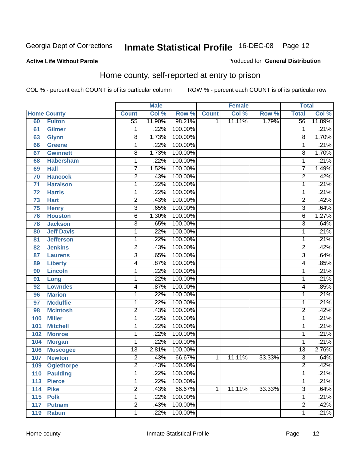#### **Active Life Without Parole**

#### Produced for **General Distribution**

### Home county, self-reported at entry to prison

|     |                    |                 | <b>Male</b> |         |              | <b>Female</b> |        | <b>Total</b>    |        |
|-----|--------------------|-----------------|-------------|---------|--------------|---------------|--------|-----------------|--------|
|     | <b>Home County</b> | <b>Count</b>    | Col %       | Row %   | <b>Count</b> | Col %         | Row %  | <b>Total</b>    | Col %  |
| 60  | <b>Fulton</b>      | $\overline{55}$ | 11.90%      | 98.21%  | 1            | 11.11%        | 1.79%  | $\overline{56}$ | 11.89% |
| 61  | <b>Gilmer</b>      | 1               | .22%        | 100.00% |              |               |        | 1               | .21%   |
| 63  | <b>Glynn</b>       | $\overline{8}$  | 1.73%       | 100.00% |              |               |        | 8               | 1.70%  |
| 66  | <b>Greene</b>      | 1               | .22%        | 100.00% |              |               |        | 1               | .21%   |
| 67  | <b>Gwinnett</b>    | $\overline{8}$  | 1.73%       | 100.00% |              |               |        | 8               | 1.70%  |
| 68  | <b>Habersham</b>   | 1               | .22%        | 100.00% |              |               |        | 1               | .21%   |
| 69  | <b>Hall</b>        | 7               | 1.52%       | 100.00% |              |               |        | 7               | 1.49%  |
| 70  | <b>Hancock</b>     | $\overline{2}$  | .43%        | 100.00% |              |               |        | $\overline{2}$  | .42%   |
| 71  | <b>Haralson</b>    | 1               | .22%        | 100.00% |              |               |        | 1               | .21%   |
| 72  | <b>Harris</b>      | 1               | .22%        | 100.00% |              |               |        | 1               | .21%   |
| 73  | <b>Hart</b>        | 2               | .43%        | 100.00% |              |               |        | $\overline{2}$  | .42%   |
| 75  | <b>Henry</b>       | $\overline{3}$  | .65%        | 100.00% |              |               |        | $\overline{3}$  | .64%   |
| 76  | <b>Houston</b>     | 6               | 1.30%       | 100.00% |              |               |        | 6               | 1.27%  |
| 78  | <b>Jackson</b>     | $\overline{3}$  | .65%        | 100.00% |              |               |        | $\overline{3}$  | .64%   |
| 80  | <b>Jeff Davis</b>  | 1               | .22%        | 100.00% |              |               |        | 1               | .21%   |
| 81  | <b>Jefferson</b>   | 1               | .22%        | 100.00% |              |               |        | 1               | .21%   |
| 82  | <b>Jenkins</b>     | $\overline{2}$  | .43%        | 100.00% |              |               |        | 2               | .42%   |
| 87  | <b>Laurens</b>     | $\overline{3}$  | .65%        | 100.00% |              |               |        | $\overline{3}$  | .64%   |
| 89  | <b>Liberty</b>     | 4               | .87%        | 100.00% |              |               |        | 4               | .85%   |
| 90  | <b>Lincoln</b>     | 1               | .22%        | 100.00% |              |               |        | 1               | .21%   |
| 91  | Long               | $\mathbf{1}$    | .22%        | 100.00% |              |               |        | 1               | .21%   |
| 92  | <b>Lowndes</b>     | 4               | .87%        | 100.00% |              |               |        | 4               | .85%   |
| 96  | <b>Marion</b>      | 1               | .22%        | 100.00% |              |               |        | 1               | .21%   |
| 97  | <b>Mcduffie</b>    | 1               | .22%        | 100.00% |              |               |        | 1               | .21%   |
| 98  | <b>Mcintosh</b>    | $\overline{2}$  | .43%        | 100.00% |              |               |        | 2               | .42%   |
| 100 | <b>Miller</b>      | 1               | .22%        | 100.00% |              |               |        | 1               | .21%   |
| 101 | <b>Mitchell</b>    | 1               | .22%        | 100.00% |              |               |        | 1               | .21%   |
| 102 | <b>Monroe</b>      | 1               | .22%        | 100.00% |              |               |        | 1               | .21%   |
| 104 | <b>Morgan</b>      | 1               | .22%        | 100.00% |              |               |        | 1               | .21%   |
| 106 | <b>Muscogee</b>    | $\overline{13}$ | 2.81%       | 100.00% |              |               |        | $\overline{13}$ | 2.76%  |
| 107 | <b>Newton</b>      | $\overline{2}$  | .43%        | 66.67%  | $\mathbf{1}$ | 11.11%        | 33.33% | $\overline{3}$  | .64%   |
| 109 | <b>Oglethorpe</b>  | 2               | .43%        | 100.00% |              |               |        | $\overline{c}$  | .42%   |
| 110 | <b>Paulding</b>    | $\mathbf{1}$    | .22%        | 100.00% |              |               |        | 1               | .21%   |
| 113 | <b>Pierce</b>      | 1               | .22%        | 100.00% |              |               |        | 1               | .21%   |
| 114 | <b>Pike</b>        | $\overline{2}$  | .43%        | 66.67%  | 1            | 11.11%        | 33.33% | $\overline{3}$  | .64%   |
| 115 | <b>Polk</b>        | 1               | .22%        | 100.00% |              |               |        | 1               | .21%   |
| 117 | <b>Putnam</b>      | $\overline{2}$  | .43%        | 100.00% |              |               |        | $\overline{2}$  | .42%   |
| 119 | <b>Rabun</b>       | 1               | .22%        | 100.00% |              |               |        | 1               | .21%   |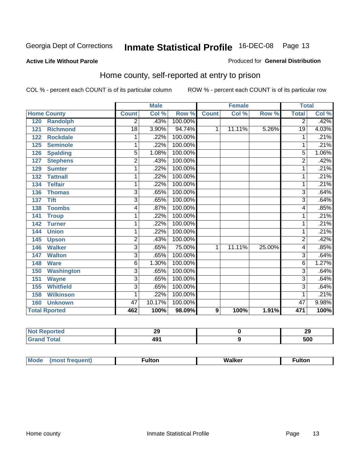#### **Active Life Without Parole**

#### Produced for **General Distribution**

### Home county, self-reported at entry to prison

|                      |                   |                 | <b>Male</b> |         |              | <b>Female</b> |        | <b>Total</b>    |       |
|----------------------|-------------------|-----------------|-------------|---------|--------------|---------------|--------|-----------------|-------|
| <b>Home County</b>   |                   | <b>Count</b>    | Col %       | Row %   | <b>Count</b> | Col %         | Row %  | <b>Total</b>    | Col % |
| 120                  | <b>Randolph</b>   | 2               | .43%        | 100.00% |              |               |        | $\overline{2}$  | .42%  |
| 121                  | <b>Richmond</b>   | $\overline{18}$ | 3.90%       | 94.74%  | 1            | 11.11%        | 5.26%  | $\overline{19}$ | 4.03% |
| 122                  | <b>Rockdale</b>   | 1               | .22%        | 100.00% |              |               |        | 1               | .21%  |
| 125                  | <b>Seminole</b>   | 1               | .22%        | 100.00% |              |               |        |                 | .21%  |
| 126                  | <b>Spalding</b>   | $\overline{5}$  | 1.08%       | 100.00% |              |               |        | $\overline{5}$  | 1.06% |
| 127                  | <b>Stephens</b>   | 2               | .43%        | 100.00% |              |               |        | $\overline{c}$  | .42%  |
| 129                  | <b>Sumter</b>     | 1               | .22%        | 100.00% |              |               |        | 1               | .21%  |
| 132                  | <b>Tattnall</b>   | 1               | .22%        | 100.00% |              |               |        | 1               | .21%  |
| 134                  | <b>Telfair</b>    | 1               | .22%        | 100.00% |              |               |        | 1               | .21%  |
| 136                  | <b>Thomas</b>     | 3               | .65%        | 100.00% |              |               |        | 3               | .64%  |
| <b>Tift</b><br>137   |                   | $\overline{3}$  | .65%        | 100.00% |              |               |        | 3               | .64%  |
| 138                  | <b>Toombs</b>     | 4               | .87%        | 100.00% |              |               |        | 4               | .85%  |
| 141                  | <b>Troup</b>      | 1               | .22%        | 100.00% |              |               |        | 1               | .21%  |
| 142                  | <b>Turner</b>     | 1               | .22%        | 100.00% |              |               |        | 1               | .21%  |
| 144                  | <b>Union</b>      | 1               | .22%        | 100.00% |              |               |        | 1               | .21%  |
| 145                  | <b>Upson</b>      | $\overline{2}$  | .43%        | 100.00% |              |               |        | $\overline{2}$  | .42%  |
| 146                  | <b>Walker</b>     | $\overline{3}$  | .65%        | 75.00%  | 1            | 11.11%        | 25.00% | 4               | .85%  |
| 147                  | <b>Walton</b>     | $\overline{3}$  | .65%        | 100.00% |              |               |        | $\overline{3}$  | .64%  |
| 148<br><b>Ware</b>   |                   | 6               | 1.30%       | 100.00% |              |               |        | 6               | 1.27% |
| 150                  | <b>Washington</b> | $\overline{3}$  | .65%        | 100.00% |              |               |        | 3               | .64%  |
| 151                  | <b>Wayne</b>      | $\overline{3}$  | .65%        | 100.00% |              |               |        | 3               | .64%  |
| 155                  | <b>Whitfield</b>  | $\overline{3}$  | .65%        | 100.00% |              |               |        | 3               | .64%  |
| 158                  | <b>Wilkinson</b>  | 1               | .22%        | 100.00% |              |               |        | 1               | .21%  |
| 160                  | <b>Unknown</b>    | 47              | 10.17%      | 100.00% |              |               |        | 47              | 9.98% |
| <b>Total Rported</b> |                   | 462             | 100%        | 98.09%  | 9            | 100%          | 1.91%  | 471             | 100%  |

| <b>keported</b> | ~<br>⊷      | - -<br>nr.<br>23 |
|-----------------|-------------|------------------|
| <b>otal</b>     | 8 M A<br>-- | 500              |

| Mode | <b>ulton</b> | Walker | ulton |
|------|--------------|--------|-------|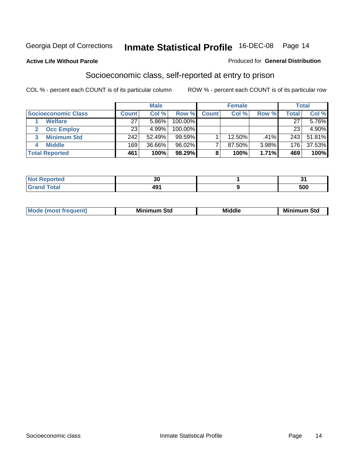#### **Active Life Without Parole**

#### Produced for **General Distribution**

### Socioeconomic class, self-reported at entry to prison

|                            | <b>Male</b>  |        | <b>Female</b> |              |        | <b>Total</b> |              |        |
|----------------------------|--------------|--------|---------------|--------------|--------|--------------|--------------|--------|
| <b>Socioeconomic Class</b> | <b>Count</b> | Col %  | Row %         | <b>Count</b> | Col %  | Row %        | <b>Total</b> | Col %  |
| <b>Welfare</b>             | 27           | 5.86%  | 100.00%       |              |        |              | 27           | 5.76%  |
| <b>Occ Employ</b>          | 23           | 4.99%  | $100.00\%$    |              |        |              | 23           | 4.90%  |
| <b>Minimum Std</b>         | 242          | 52.49% | 99.59%        |              | 12.50% | .41%         | 243          | 51.81% |
| <b>Middle</b>              | 169          | 36.66% | $96.02\%$     |              | 87.50% | 3.98%        | 176          | 37.53% |
| <b>Total Reported</b>      | 461          | 100%   | 98.29%        |              | 100%   | 1.71%        | 469          | 100%   |

| тео      | $\sim$<br>IJι |            |
|----------|---------------|------------|
| $\sim$ . |               | r 00<br>טע |

| .<br>___ |
|----------|
|----------|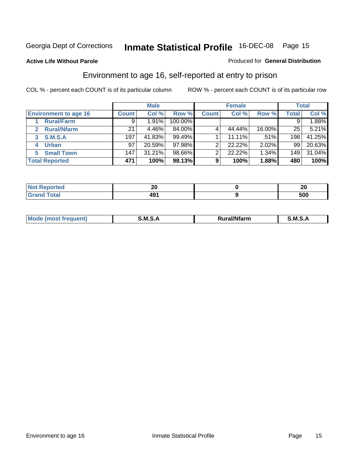Produced for **General Distribution**

#### **Active Life Without Parole**

### Environment to age 16, self-reported at entry to prison

|                                      | <b>Male</b>      |        | <b>Female</b> |              |        | <b>Total</b> |                  |        |
|--------------------------------------|------------------|--------|---------------|--------------|--------|--------------|------------------|--------|
| <b>Environment to age 16</b>         | <b>Count</b>     | Col %  | Row %         | <b>Count</b> | Col %  | Row %        | <b>Total</b>     | Col %  |
| <b>Rural/Farm</b>                    | 9                | 1.91%  | 100.00%       |              |        |              |                  | 1.88%  |
| <b>Rural/Nfarm</b><br>$\overline{2}$ | 21               | 4.46%  | 84.00%        |              | 44.44% | 16.00%       | 25               | 5.21%  |
| <b>S.M.S.A</b><br>3                  | 197              | 41.83% | 99.49%        |              | 11.11% | $.51\%$      | 198              | 41.25% |
| <b>Urban</b><br>4                    | 97               | 20.59% | 97.98%        |              | 22.22% | 2.02%        | 99               | 20.63% |
| <b>Small Town</b><br>5.              | 147 <sub>1</sub> | 31.21% | 98.66%        | ົ            | 22.22% | 1.34%        | 149 <sub>1</sub> | 31.04% |
| <b>Total Reported</b>                | 471              | 100%   | 98.13%        | 9            | 100%   | 1.88%        | 480              | 100%   |

| <b>rted</b>           | ZV          | $\sim$<br>ZU |
|-----------------------|-------------|--------------|
| <b>Total</b><br>Grand | ۸۵۰<br>4J I | 500          |

| Mo<br>זחנ | M<br>.<br>_____ | $1.3.14 \times 10^{18}$<br>. Ifara<br>arm | -<br>M<br>______ |
|-----------|-----------------|-------------------------------------------|------------------|
|           |                 |                                           |                  |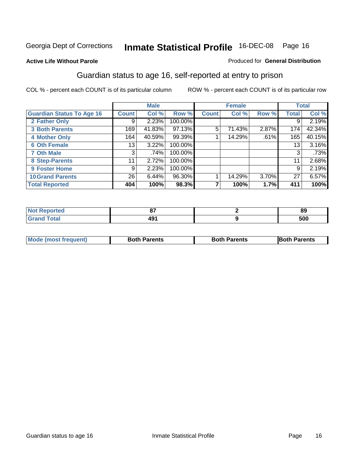#### **Active Life Without Parole**

#### Produced for **General Distribution**

### Guardian status to age 16, self-reported at entry to prison

|                                  |              | <b>Male</b> |         |              | <b>Female</b> |       |              | <b>Total</b> |
|----------------------------------|--------------|-------------|---------|--------------|---------------|-------|--------------|--------------|
| <b>Guardian Status To Age 16</b> | <b>Count</b> | Col %       | Row %   | <b>Count</b> | Col %         | Row % | <b>Total</b> | Col %        |
| 2 Father Only                    | 9            | 2.23%       | 100.00% |              |               |       | 9            | 2.19%        |
| <b>3 Both Parents</b>            | 169          | 41.83%      | 97.13%  | 5            | 71.43%        | 2.87% | 174          | 42.34%       |
| <b>4 Mother Only</b>             | 164          | 40.59%      | 99.39%  |              | 14.29%        | .61%  | 165          | 40.15%       |
| <b>6 Oth Female</b>              | 13           | 3.22%       | 100.00% |              |               |       | 13           | 3.16%        |
| <b>7 Oth Male</b>                | 3            | .74%        | 100.00% |              |               |       | 3            | .73%         |
| 8 Step-Parents                   | 11           | 2.72%       | 100.00% |              |               |       | 11           | 2.68%        |
| 9 Foster Home                    | 9            | 2.23%       | 100.00% |              |               |       | 9            | 2.19%        |
| <b>10 Grand Parents</b>          | 26           | 6.44%       | 96.30%  |              | 14.29%        | 3.70% | 27           | 6.57%        |
| <b>Total Reported</b>            | 404          | 100%        | 98.3%   | ⇁            | 100%          | 1.7%  | 411          | 100%         |

| --  | 89  |
|-----|-----|
| - 0 | 500 |

| Mode (most frequent) | <b>Both Parents</b> | <b>Both Parents</b> | <b>IBoth Parents</b> |
|----------------------|---------------------|---------------------|----------------------|
|                      |                     |                     |                      |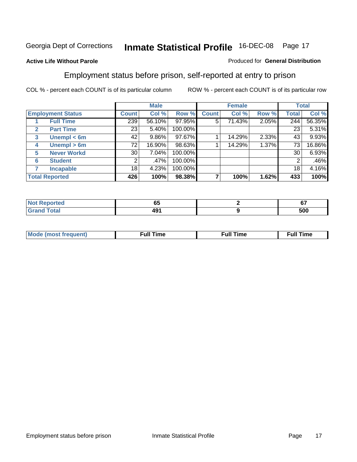#### **Active Life Without Parole**

#### Produced for **General Distribution**

### Employment status before prison, self-reported at entry to prison

|                                  |                    |              | <b>Male</b> |         |              | <b>Female</b> |       |       | <b>Total</b> |
|----------------------------------|--------------------|--------------|-------------|---------|--------------|---------------|-------|-------|--------------|
| <b>Employment Status</b>         |                    | <b>Count</b> | Col %       | Row %   | <b>Count</b> | Col %         | Row % | Total | Col %        |
| <b>Full Time</b>                 |                    | 239          | 56.10%      | 97.95%  | 5            | 71.43%        | 2.05% | 244   | 56.35%       |
| <b>Part Time</b><br>$\mathbf{2}$ |                    | 23           | 5.40%       | 100.00% |              |               |       | 23    | 5.31%        |
| 3                                | Unempl $<$ 6m      | 42           | 9.86%       | 97.67%  |              | 14.29%        | 2.33% | 43    | 9.93%        |
| 4                                | Unempl > 6m        | 72           | 16.90%      | 98.63%  |              | 14.29%        | 1.37% | 73    | 16.86%       |
| 5                                | <b>Never Workd</b> | 30           | 7.04%       | 100.00% |              |               |       | 30    | 6.93%        |
| <b>Student</b><br>6              |                    | 2            | .47%        | 100.00% |              |               |       | 2     | .46%         |
| <b>Incapable</b>                 |                    | 18           | 4.23%       | 100.00% |              |               |       | 18    | 4.16%        |
| <b>Total Reported</b>            |                    | 426          | 100%        | 98.38%  |              | 100%          | 1.62% | 433   | 100%         |

| -тес                     | - -<br>uu        | $\sim$<br>v. |
|--------------------------|------------------|--------------|
| <b>Coto</b> "<br>_______ | ה ו<br>$\cdot$ . | 500          |

| <b>M</b> ດ | the contract of the contract of the contract of the contract of the contract of the contract of the contract of | , ull i<br>ıme | ïme<br>uı<br>$\sim$ $\sim$ $\sim$ $\sim$ $\sim$ |
|------------|-----------------------------------------------------------------------------------------------------------------|----------------|-------------------------------------------------|
|            |                                                                                                                 |                |                                                 |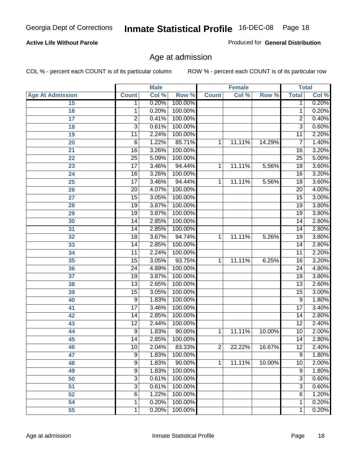#### **Active Life Without Parole**

Produced for **General Distribution**

### Age at admission

|                         |                 | <b>Male</b> |         |                | <b>Female</b> |        |                 | <b>Total</b> |
|-------------------------|-----------------|-------------|---------|----------------|---------------|--------|-----------------|--------------|
| <b>Age At Admission</b> | <b>Count</b>    | Col %       | Row %   | <b>Count</b>   | Col %         | Row %  | <b>Total</b>    | Col %        |
| 15                      | 1               | 0.20%       | 100.00% |                |               |        | 1               | 0.20%        |
| 16                      | 1               | 0.20%       | 100.00% |                |               |        | 1               | 0.20%        |
| $\overline{17}$         | $\overline{c}$  | 0.41%       | 100.00% |                |               |        | 2               | 0.40%        |
| 18                      | $\overline{3}$  | 0.61%       | 100.00% |                |               |        | $\overline{3}$  | 0.60%        |
| 19                      | 11              | 2.24%       | 100.00% |                |               |        | 11              | 2.20%        |
| 20                      | $\overline{6}$  | 1.22%       | 85.71%  | 1              | 11.11%        | 14.29% | $\overline{7}$  | 1.40%        |
| 21                      | 16              | 3.26%       | 100.00% |                |               |        | 16              | 3.20%        |
| 22                      | 25              | 5.09%       | 100.00% |                |               |        | $\overline{25}$ | 5.00%        |
| 23                      | $\overline{17}$ | 3.46%       | 94.44%  | 1              | 11.11%        | 5.56%  | 18              | 3.60%        |
| 24                      | $\overline{16}$ | 3.26%       | 100.00% |                |               |        | 16              | 3.20%        |
| 25                      | $\overline{17}$ | 3.46%       | 94.44%  | 1              | 11.11%        | 5.56%  | $\overline{18}$ | 3.60%        |
| 26                      | $\overline{20}$ | 4.07%       | 100.00% |                |               |        | $\overline{20}$ | 4.00%        |
| 27                      | $\overline{15}$ | 3.05%       | 100.00% |                |               |        | $\overline{15}$ | 3.00%        |
| 28                      | $\overline{19}$ | 3.87%       | 100.00% |                |               |        | 19              | 3.80%        |
| 29                      | $\overline{19}$ | 3.87%       | 100.00% |                |               |        | $\overline{19}$ | 3.80%        |
| 30                      | 14              | 2.85%       | 100.00% |                |               |        | 14              | 2.80%        |
| 31                      | 14              | 2.85%       | 100.00% |                |               |        | 14              | 2.80%        |
| 32                      | 18              | 3.67%       | 94.74%  | 1              | 11.11%        | 5.26%  | 19              | 3.80%        |
| 33                      | $\overline{14}$ | 2.85%       | 100.00% |                |               |        | $\overline{14}$ | 2.80%        |
| 34                      | 11              | 2.24%       | 100.00% |                |               |        | 11              | 2.20%        |
| 35                      | $\overline{15}$ | 3.05%       | 93.75%  | 1              | 11.11%        | 6.25%  | $\overline{16}$ | 3.20%        |
| 36                      | $\overline{24}$ | 4.89%       | 100.00% |                |               |        | $\overline{24}$ | 4.80%        |
| 37                      | 19              | 3.87%       | 100.00% |                |               |        | $\overline{19}$ | 3.80%        |
| 38                      | $\overline{13}$ | 2.65%       | 100.00% |                |               |        | 13              | 2.60%        |
| 39                      | 15              | 3.05%       | 100.00% |                |               |        | 15              | 3.00%        |
| 40                      | $\overline{9}$  | 1.83%       | 100.00% |                |               |        | 9               | 1.80%        |
| 41                      | $\overline{17}$ | 3.46%       | 100.00% |                |               |        | $\overline{17}$ | 3.40%        |
| 42                      | 14              | 2.85%       | 100.00% |                |               |        | 14              | 2.80%        |
| 43                      | $\overline{12}$ | 2.44%       | 100.00% |                |               |        | $\overline{12}$ | 2.40%        |
| 44                      | $\overline{9}$  | 1.83%       | 90.00%  | 1              | 11.11%        | 10.00% | 10              | 2.00%        |
| 45                      | 14              | 2.85%       | 100.00% |                |               |        | $\overline{14}$ | 2.80%        |
| 46                      | 10              | 2.04%       | 83.33%  | 2              | 22.22%        | 16.67% | 12              | 2.40%        |
| 47                      | $\overline{9}$  | 1.83%       | 100.00% |                |               |        | $\overline{9}$  | 1.80%        |
| 48                      | $\overline{9}$  | 1.83%       | 90.00%  | $\overline{1}$ | 11.11%        | 10.00% | 10              | 2.00%        |
| 49                      | $\overline{9}$  | 1.83%       | 100.00% |                |               |        | 9               | 1.80%        |
| 50                      | 3               | 0.61%       | 100.00% |                |               |        | 3               | 0.60%        |
| 51                      | $\overline{3}$  | 0.61%       | 100.00% |                |               |        | $\overline{3}$  | 0.60%        |
| 52                      | $\overline{6}$  | 1.22%       | 100.00% |                |               |        | 6               | 1.20%        |
| 54                      | 1               | 0.20%       | 100.00% |                |               |        | 1               | 0.20%        |
| 55                      | 1               | 0.20%       | 100.00% |                |               |        | 1               | 0.20%        |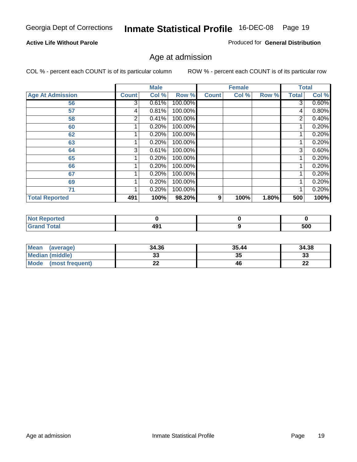#### **Active Life Without Parole**

Produced for **General Distribution**

### Age at admission

|                         |              | <b>Male</b> |         |              | <b>Female</b> |       |              | <b>Total</b> |
|-------------------------|--------------|-------------|---------|--------------|---------------|-------|--------------|--------------|
| <b>Age At Admission</b> | <b>Count</b> | Col %       | Row %   | <b>Count</b> | Col %         | Row % | <b>Total</b> | Col %        |
| 56                      | 3            | 0.61%       | 100.00% |              |               |       | 3            | 0.60%        |
| 57                      | 4            | 0.81%       | 100.00% |              |               |       | 4            | 0.80%        |
| 58                      | 2            | 0.41%       | 100.00% |              |               |       | 2            | 0.40%        |
| 60                      |              | 0.20%       | 100.00% |              |               |       |              | 0.20%        |
| 62                      |              | 0.20%       | 100.00% |              |               |       |              | 0.20%        |
| 63                      |              | 0.20%       | 100.00% |              |               |       |              | 0.20%        |
| 64                      | 3            | 0.61%       | 100.00% |              |               |       | 3            | 0.60%        |
| 65                      |              | 0.20%       | 100.00% |              |               |       |              | 0.20%        |
| 66                      |              | 0.20%       | 100.00% |              |               |       |              | 0.20%        |
| 67                      |              | 0.20%       | 100.00% |              |               |       |              | 0.20%        |
| 69                      |              | 0.20%       | 100.00% |              |               |       |              | 0.20%        |
| 71                      |              | 0.20%       | 100.00% |              |               |       |              | 0.20%        |
| <b>Total Reported</b>   | 491          | 100%        | 98.20%  | 9            | 100%          | 1.80% | 500          | 100%         |

| <b>rted</b>        |            |     |
|--------------------|------------|-----|
| $\sim$ 40<br>_____ | 491<br>$-$ | 500 |

| <b>Mean</b><br>(average)       | 34.36 | 35.44 | 34.38    |
|--------------------------------|-------|-------|----------|
| <b>Median (middle)</b>         |       | 35    | າາ<br>ند |
| <b>Mode</b><br>(most frequent) | --    | 46    | n,<br>LL |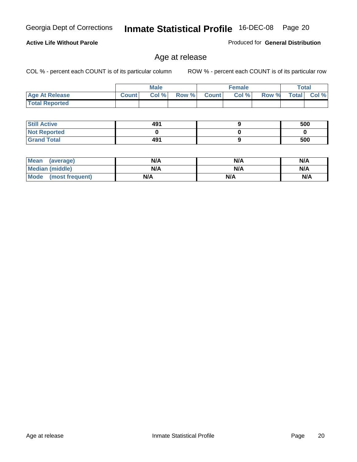#### **Active Life Without Parole**

Produced for **General Distribution**

### Age at release

|                       |              | <b>Male</b> |       |              | <b>Female</b> |       | <b>Total</b> |       |
|-----------------------|--------------|-------------|-------|--------------|---------------|-------|--------------|-------|
| <b>Age At Release</b> | <b>Count</b> | Col%        | Row % | <b>Count</b> | Col %         | Row % | <b>Total</b> | Col % |
| <b>Total Reported</b> |              |             |       |              |               |       |              |       |

| <b>Still Active</b> | 491 | 500 |
|---------------------|-----|-----|
| <b>Not Reported</b> |     |     |
| <b>Grand Total</b>  | 491 | 500 |

| <b>Mean</b><br>(average) | N/A | N/A | N/A |
|--------------------------|-----|-----|-----|
| Median (middle)          | N/A | N/A | N/A |
| Mode<br>(most frequent)  | N/A | N/A | N/A |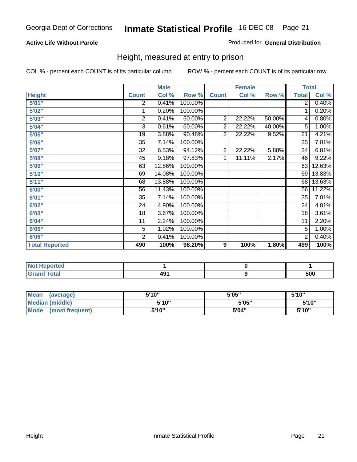#### **Active Life Without Parole**

#### Produced for **General Distribution**

### Height, measured at entry to prison

|                       |                | <b>Male</b> |         |                | <b>Female</b> |        | <b>Total</b>    |        |
|-----------------------|----------------|-------------|---------|----------------|---------------|--------|-----------------|--------|
| <b>Height</b>         | <b>Count</b>   | Col %       | Row %   | <b>Count</b>   | Col %         | Row %  | <b>Total</b>    | Col %  |
| 5'01''                | 2              | 0.41%       | 100.00% |                |               |        | $\overline{2}$  | 0.40%  |
| 5'02"                 | 1              | 0.20%       | 100.00% |                |               |        | 1               | 0.20%  |
| 5'03"                 | 2              | 0.41%       | 50.00%  | $\overline{c}$ | 22.22%        | 50.00% | 4               | 0.80%  |
| 5'04"                 | 3              | 0.61%       | 60.00%  | $\overline{2}$ | 22.22%        | 40.00% | 5               | 1.00%  |
| 5'05"                 | 19             | 3.88%       | 90.48%  | $\overline{2}$ | 22.22%        | 9.52%  | 21              | 4.21%  |
| 5'06"                 | 35             | 7.14%       | 100.00% |                |               |        | $\overline{35}$ | 7.01%  |
| 5'07''                | 32             | 6.53%       | 94.12%  | $\overline{2}$ | 22.22%        | 5.88%  | 34              | 6.81%  |
| 5'08"                 | 45             | 9.18%       | 97.83%  | 1              | 11.11%        | 2.17%  | 46              | 9.22%  |
| <b>5'09"</b>          | 63             | 12.86%      | 100.00% |                |               |        | 63              | 12.63% |
| 5'10''                | 69             | 14.08%      | 100.00% |                |               |        | 69              | 13.83% |
| 5'11''                | 68             | 13.88%      | 100.00% |                |               |        | 68              | 13.63% |
| 6'00"                 | 56             | 11.43%      | 100.00% |                |               |        | 56              | 11.22% |
| 6'01''                | 35             | 7.14%       | 100.00% |                |               |        | 35              | 7.01%  |
| 6'02''                | 24             | 4.90%       | 100.00% |                |               |        | 24              | 4.81%  |
| 6'03"                 | 18             | 3.67%       | 100.00% |                |               |        | 18              | 3.61%  |
| 6'04"                 | 11             | 2.24%       | 100.00% |                |               |        | 11              | 2.20%  |
| 6'05"                 | 5              | 1.02%       | 100.00% |                |               |        | 5               | 1.00%  |
| 6'06"                 | $\overline{2}$ | 0.41%       | 100.00% |                |               |        | $\overline{2}$  | 0.40%  |
| <b>Total Reported</b> | 490            | 100%        | 98.20%  | 9              | 100%          | 1.80%  | 499             | 100%   |

| oorted<br>NG             |             |     |
|--------------------------|-------------|-----|
| $int^{\bullet}$<br>_____ | ۵۰،<br>4J I | 500 |

| <b>Mean</b><br>(average)       | 5'10" | 5'05" | 5'10" |
|--------------------------------|-------|-------|-------|
| Median (middle)                | 5'10" | 5'05" | 5'10" |
| <b>Mode</b><br>(most frequent) | 5'10" | 5'04" | 5'10" |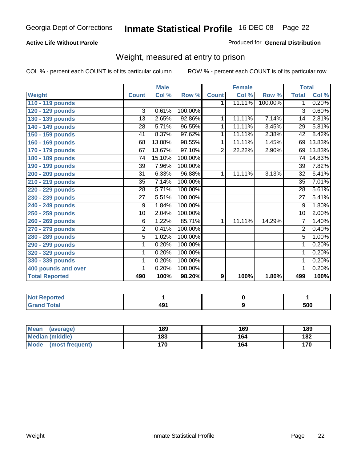#### **Active Life Without Parole**

#### Produced for **General Distribution**

### Weight, measured at entry to prison

|                       |                 | <b>Male</b> |         |                  | <b>Female</b> |         | <b>Total</b>    |        |
|-----------------------|-----------------|-------------|---------|------------------|---------------|---------|-----------------|--------|
| Weight                | <b>Count</b>    | Col %       | Row %   | <b>Count</b>     | Col %         | Row %   | <b>Total</b>    | Col %  |
| 110 - 119 pounds      |                 |             |         | 1.               | 11.11%        | 100.00% | $\mathbf 1$     | 0.20%  |
| 120 - 129 pounds      | 3               | 0.61%       | 100.00% |                  |               |         | 3               | 0.60%  |
| 130 - 139 pounds      | 13              | 2.65%       | 92.86%  | 1                | 11.11%        | 7.14%   | 14              | 2.81%  |
| 140 - 149 pounds      | 28              | 5.71%       | 96.55%  | 1                | 11.11%        | 3.45%   | 29              | 5.81%  |
| 150 - 159 pounds      | 41              | 8.37%       | 97.62%  | 1                | 11.11%        | 2.38%   | 42              | 8.42%  |
| 160 - 169 pounds      | 68              | 13.88%      | 98.55%  | 1                | 11.11%        | 1.45%   | 69              | 13.83% |
| 170 - 179 pounds      | 67              | 13.67%      | 97.10%  | $\overline{2}$   | 22.22%        | 2.90%   | 69              | 13.83% |
| 180 - 189 pounds      | $\overline{74}$ | 15.10%      | 100.00% |                  |               |         | $\overline{74}$ | 14.83% |
| 190 - 199 pounds      | 39              | 7.96%       | 100.00% |                  |               |         | 39              | 7.82%  |
| 200 - 209 pounds      | 31              | 6.33%       | 96.88%  | 1                | 11.11%        | 3.13%   | 32              | 6.41%  |
| 210 - 219 pounds      | 35              | 7.14%       | 100.00% |                  |               |         | 35              | 7.01%  |
| 220 - 229 pounds      | 28              | 5.71%       | 100.00% |                  |               |         | $\overline{28}$ | 5.61%  |
| 230 - 239 pounds      | $\overline{27}$ | 5.51%       | 100.00% |                  |               |         | $\overline{27}$ | 5.41%  |
| 240 - 249 pounds      | 9               | 1.84%       | 100.00% |                  |               |         | $\overline{9}$  | 1.80%  |
| 250 - 259 pounds      | $\overline{10}$ | 2.04%       | 100.00% |                  |               |         | 10              | 2.00%  |
| 260 - 269 pounds      | $\overline{6}$  | 1.22%       | 85.71%  | 1                | 11.11%        | 14.29%  | 7               | 1.40%  |
| 270 - 279 pounds      | $\overline{2}$  | 0.41%       | 100.00% |                  |               |         | $\overline{2}$  | 0.40%  |
| 280 - 289 pounds      | 5               | 1.02%       | 100.00% |                  |               |         | $\overline{5}$  | 1.00%  |
| 290 - 299 pounds      | 1               | 0.20%       | 100.00% |                  |               |         | 1               | 0.20%  |
| 320 - 329 pounds      | 1               | 0.20%       | 100.00% |                  |               |         | 1               | 0.20%  |
| 330 - 339 pounds      | 1               | 0.20%       | 100.00% |                  |               |         | 1               | 0.20%  |
| 400 pounds and over   | 1               | 0.20%       | 100.00% |                  |               |         | 1               | 0.20%  |
| <b>Total Reported</b> | 490             | 100%        | 98.20%  | $\boldsymbol{9}$ | 100%          | 1.80%   | 499             | 100%   |

| Reported<br>NO.                  |             |     |
|----------------------------------|-------------|-----|
| <b>Total</b><br>$\mathbf{v}$ and | 104<br>4J I | 500 |

| <b>Mean</b><br>(average)       | 189 | 169 | 189 |
|--------------------------------|-----|-----|-----|
| <b>Median (middle)</b>         | 183 | 164 | 182 |
| <b>Mode</b><br>(most frequent) | 170 | 164 | 170 |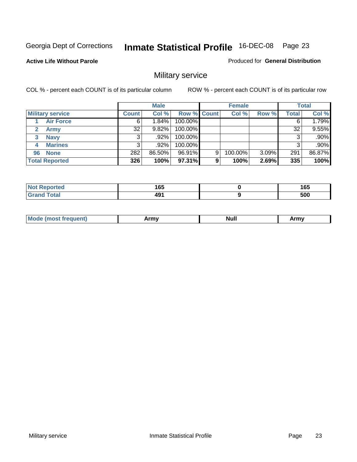Produced for **General Distribution**

#### **Active Life Without Parole**

### Military service

|                             |              | <b>Male</b> |             |   | <b>Female</b> |       |       | <b>Total</b> |
|-----------------------------|--------------|-------------|-------------|---|---------------|-------|-------|--------------|
| <b>Military service</b>     | <b>Count</b> | Col %       | Row % Count |   | Col %         | Row % | Total | Col %        |
| <b>Air Force</b>            | 6'           | $1.84\%$    | 100.00%     |   |               |       | 6     | 1.79%        |
| <b>Army</b><br>$\mathbf{2}$ | 32           | $9.82\%$    | 100.00%     |   |               |       | 32    | 9.55%        |
| <b>Navy</b><br>3            |              | .92%        | 100.00%     |   |               |       | 3     | .90%         |
| <b>Marines</b><br>4         | 3            | $.92\%$     | 100.00%     |   |               |       | 3     | .90%         |
| 96 None                     | 282          | 86.50%      | 96.91%      | 9 | 100.00%       | 3.09% | 291   | 86.87%       |
| <b>Total Reported</b>       | 326          | 100%        | 97.31%      | 9 | 100%          | 2.69% | 335   | 100%         |

| <b>Infed</b> | 1 C C<br>⊍ט<br>__     | 165<br>- - |
|--------------|-----------------------|------------|
| Coto!        | 10 <sup>1</sup><br>43 | 500        |

| M<br><b>IVUII</b><br>.<br>. |
|-----------------------------|
|-----------------------------|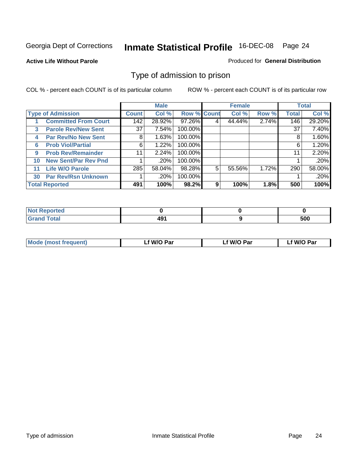#### **Active Life Without Parole**

#### Produced for **General Distribution**

### Type of admission to prison

|    |                             |                 | <b>Male</b> |                    |   | <b>Female</b> |       |              | <b>Total</b> |
|----|-----------------------------|-----------------|-------------|--------------------|---|---------------|-------|--------------|--------------|
|    | <b>Type of Admission</b>    | <b>Count</b>    | Col %       | <b>Row % Count</b> |   | Col %         | Row % | <b>Total</b> | Col %        |
|    | <b>Committed From Court</b> | 142             | 28.92%      | 97.26%             |   | 44.44%        | 2.74% | 146          | 29.20%       |
| 3  | <b>Parole Rev/New Sent</b>  | 37 <sup>1</sup> | 7.54%       | 100.00%            |   |               |       | 37           | 7.40%        |
| 4  | <b>Par Rev/No New Sent</b>  | 8               | 1.63%       | 100.00%            |   |               |       | 8            | 1.60%        |
| 6  | <b>Prob Viol/Partial</b>    | 6               | 1.22%       | 100.00%            |   |               |       | 6            | 1.20%        |
| 9  | <b>Prob Rev/Remainder</b>   | 11              | 2.24%       | 100.00%            |   |               |       | 11           | 2.20%        |
| 10 | <b>New Sent/Par Rev Pnd</b> |                 | .20%        | 100.00%            |   |               |       |              | .20%         |
| 11 | <b>Life W/O Parole</b>      | 285             | 58.04%      | 98.28%             | 5 | 55.56%        | 1.72% | 290          | 58.00%       |
| 30 | <b>Par Rev/Rsn Unknown</b>  |                 | .20%        | 100.00%            |   |               |       |              | .20%         |
|    | <b>Total Reported</b>       | 491             | 100%        | 98.2%              | 9 | 100%          | 1.8%  | 500          | 100%         |

| <b>eported</b>                                  |   |     |
|-------------------------------------------------|---|-----|
| <b>Total</b><br><b>C.A.A</b><br><b>UI di Iu</b> | . | 500 |

| <b>Mode (most frequent)</b> | <b>W/O Par</b> | <b>W/O Par</b> | W/O Par |
|-----------------------------|----------------|----------------|---------|
|                             |                |                |         |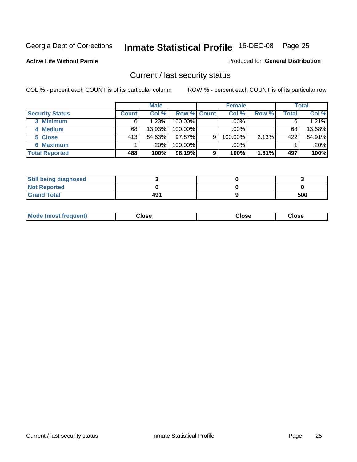**Active Life Without Parole** 

Produced for **General Distribution**

### Current / last security status

|                        |              | <b>Male</b> |                    |   | <b>Female</b> |       |         | <b>Total</b> |
|------------------------|--------------|-------------|--------------------|---|---------------|-------|---------|--------------|
| <b>Security Status</b> | <b>Count</b> | Col %       | <b>Row % Count</b> |   | Col %         | Row % | Total . | Col %        |
| 3 Minimum              |              | 1.23%       | $100.00\%$         |   | .00%          |       |         | 1.21%        |
| 4 Medium               | 68           | 13.93%      | $100.00\%$         |   | .00%          |       | 68      | 13.68%       |
| 5 Close                | 413          | 84.63%      | $97.87\%$          | 9 | 100.00%       | 2.13% | 422     | 84.91%       |
| 6 Maximum              |              | $.20\%$     | 100.00%            |   | .00%          |       |         | $.20\%$      |
| <b>Total Reported</b>  | 488          | 100%        | 98.19%             | 9 | 100%          | 1.81% | 497     | 100%         |

| <b>Still being diagnosed</b> |     |     |
|------------------------------|-----|-----|
| <b>Not Reported</b>          |     |     |
| <b>Grand Total</b>           | 491 | 500 |

| <b>Mode</b><br><b>OSE</b><br>∵lose<br>(most frequent)<br>oseث<br>- - - -<br>- - - -<br>- - - - |  |
|------------------------------------------------------------------------------------------------|--|
|------------------------------------------------------------------------------------------------|--|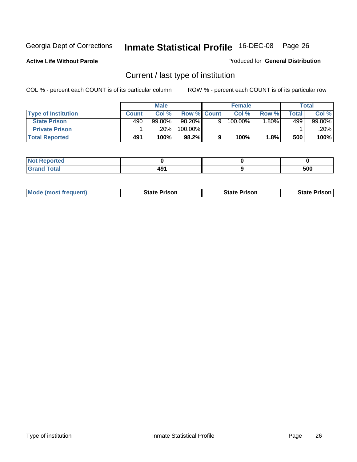**Active Life Without Parole** 

Produced for **General Distribution**

### Current / last type of institution

|                            |              | <b>Male</b> |                    |   | <b>Female</b> |         |       | <b>Total</b> |
|----------------------------|--------------|-------------|--------------------|---|---------------|---------|-------|--------------|
| <b>Type of Institution</b> | <b>Count</b> | Col%        | <b>Row % Count</b> |   | Col %         | Row %   | Total | Col %        |
| <b>State Prison</b>        | 490          | $99.80\%$   | 98.20%             | Q | 100.00%       | $.80\%$ | 499   | 99.80%       |
| <b>Private Prison</b>      |              | 20%         | 100.00%            |   |               |         |       | .20%         |
| <b>Total Reported</b>      | 491          | 100%        | 98.2%              |   | 100%          | 1.8%    | 500   | 100%         |

| rtea                 |            |     |
|----------------------|------------|-----|
| <b>otal</b><br>----- | ∕۵۵<br>49. | 500 |

| <b>Mode (most frequent)</b> | <b>State Prison</b> | <b>State Prison</b> | <b>State Prison</b> |
|-----------------------------|---------------------|---------------------|---------------------|
|                             |                     |                     |                     |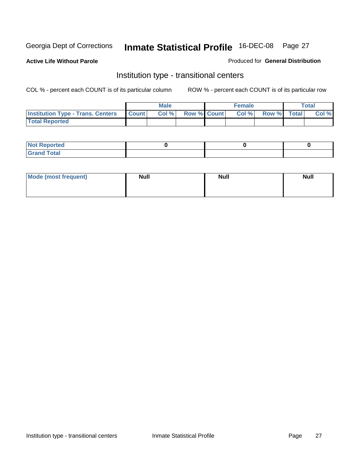**Active Life Without Parole** 

Produced for **General Distribution**

### Institution type - transitional centers

|                                          |              | <b>Male</b> |                    | <b>Female</b> |             | Total |
|------------------------------------------|--------------|-------------|--------------------|---------------|-------------|-------|
| <b>Institution Type - Trans. Centers</b> | <b>Count</b> | Col %       | <b>Row % Count</b> | Col %         | Row % Total | Col % |
| <b>Total Reported</b>                    |              |             |                    |               |             |       |

| rtea<br>20 NGL 2<br>  |  |  |
|-----------------------|--|--|
| into!<br>---<br>_____ |  |  |

| Mode (most frequent) | <b>Null</b> | <b>Null</b> | <b>Null</b> |
|----------------------|-------------|-------------|-------------|
|                      |             |             |             |
|                      |             |             |             |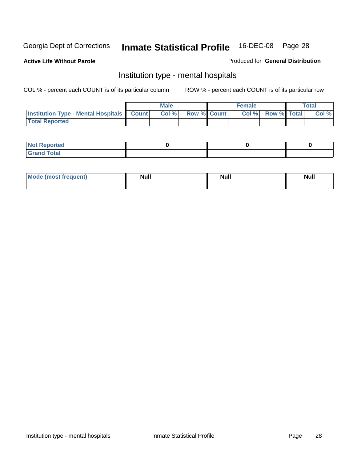Produced for **General Distribution**

**Active Life Without Parole** 

### Institution type - mental hospitals

|                                                    | Male |                    | <b>Female</b> |                    | <b>Total</b> |
|----------------------------------------------------|------|--------------------|---------------|--------------------|--------------|
| <b>Institution Type - Mental Hospitals Count  </b> | Col% | <b>Row % Count</b> | Col%          | <b>Row % Total</b> | Col %        |
| <b>Total Reported</b>                              |      |                    |               |                    |              |

| <b>Not Reported</b>  |  |  |
|----------------------|--|--|
| <b>Fotal</b><br>Croy |  |  |

| Mode (most frequent) | <b>Null</b> | <b>Null</b> | <b>Null</b> |
|----------------------|-------------|-------------|-------------|
|                      |             |             |             |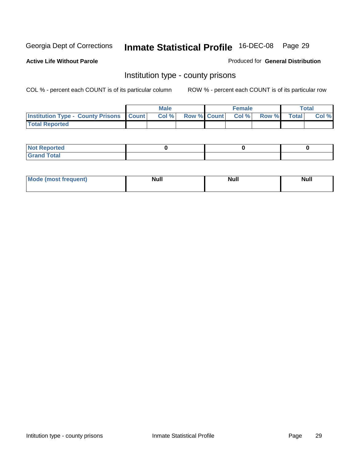**Active Life Without Parole** 

Produced for **General Distribution**

### Institution type - county prisons

|                                                    | <b>Male</b> |                          | <b>Female</b> |       |              | Total |
|----------------------------------------------------|-------------|--------------------------|---------------|-------|--------------|-------|
| <b>Institution Type - County Prisons   Count  </b> | Col %       | <b>Row % Count Col %</b> |               | Row % | <b>Total</b> | Col % |
| <b>Total Reported</b>                              |             |                          |               |       |              |       |

| <b>Not Reported</b>        |  |  |
|----------------------------|--|--|
| <b>Total</b><br>.Grar<br>_ |  |  |

| <b>Mo</b><br>frequent) | NI. . II<br>1u 11 | <b>Moll</b> | <b>Null</b> |
|------------------------|-------------------|-------------|-------------|
|                        |                   |             |             |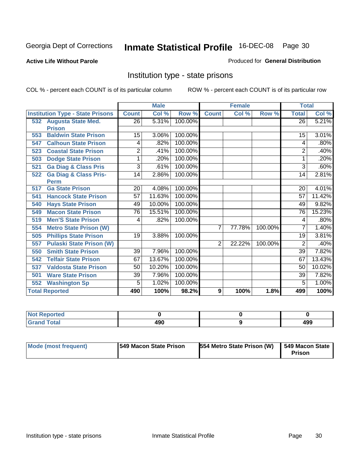#### **Active Life Without Parole**

#### Produced for **General Distribution**

### Institution type - state prisons

|     |                                         | <b>Male</b>    |        | <b>Female</b> |                |        | <b>Total</b> |                 |        |
|-----|-----------------------------------------|----------------|--------|---------------|----------------|--------|--------------|-----------------|--------|
|     | <b>Institution Type - State Prisons</b> | <b>Count</b>   | Col %  | Row %         | <b>Count</b>   | Col %  | Row %        | <b>Total</b>    | Col %  |
|     | 532 Augusta State Med.                  | 26             | 5.31%  | 100.00%       |                |        |              | $\overline{26}$ | 5.21%  |
|     | <b>Prison</b>                           |                |        |               |                |        |              |                 |        |
| 553 | <b>Baldwin State Prison</b>             | 15             | 3.06%  | 100.00%       |                |        |              | 15              | 3.01%  |
| 547 | <b>Calhoun State Prison</b>             | 4              | .82%   | 100.00%       |                |        |              | 4               | .80%   |
| 523 | <b>Coastal State Prison</b>             | $\overline{2}$ | .41%   | 100.00%       |                |        |              | 2               | .40%   |
| 503 | <b>Dodge State Prison</b>               | 1              | .20%   | 100.00%       |                |        |              |                 | .20%   |
| 521 | <b>Ga Diag &amp; Class Pris</b>         | 3              | .61%   | 100.00%       |                |        |              | 3               | .60%   |
| 522 | <b>Ga Diag &amp; Class Pris-</b>        | 14             | 2.86%  | 100.00%       |                |        |              | 14              | 2.81%  |
|     | <b>Perm</b>                             |                |        |               |                |        |              |                 |        |
| 517 | <b>Ga State Prison</b>                  | 20             | 4.08%  | 100.00%       |                |        |              | 20              | 4.01%  |
| 541 | <b>Hancock State Prison</b>             | 57             | 11.63% | 100.00%       |                |        |              | 57              | 11.42% |
| 540 | <b>Hays State Prison</b>                | 49             | 10.00% | 100.00%       |                |        |              | 49              | 9.82%  |
| 549 | <b>Macon State Prison</b>               | 76             | 15.51% | 100.00%       |                |        |              | 76              | 15.23% |
| 519 | <b>Men'S State Prison</b>               | 4              | .82%   | 100.00%       |                |        |              | 4               | .80%   |
| 554 | <b>Metro State Prison (W)</b>           |                |        |               | $\overline{7}$ | 77.78% | 100.00%      | 7               | 1.40%  |
| 505 | <b>Phillips State Prison</b>            | 19             | 3.88%  | 100.00%       |                |        |              | 19              | 3.81%  |
| 557 | <b>Pulaski State Prison (W)</b>         |                |        |               | $\overline{2}$ | 22.22% | 100.00%      | 2               | .40%   |
| 550 | <b>Smith State Prison</b>               | 39             | 7.96%  | 100.00%       |                |        |              | 39              | 7.82%  |
| 542 | <b>Telfair State Prison</b>             | 67             | 13.67% | 100.00%       |                |        |              | 67              | 13.43% |
| 537 | <b>Valdosta State Prison</b>            | 50             | 10.20% | 100.00%       |                |        |              | 50              | 10.02% |
| 501 | <b>Ware State Prison</b>                | 39             | 7.96%  | 100.00%       |                |        |              | 39              | 7.82%  |
| 552 | <b>Washington Sp</b>                    | 5              | 1.02%  | 100.00%       |                |        |              | 5               | 1.00%  |
|     | <b>Total Reported</b>                   | 490            | 100%   | 98.2%         | 9              | 100%   | 1.8%         | 499             | 100%   |

| <b>ported</b><br>N<br>      |     |            |
|-----------------------------|-----|------------|
| <b>Total</b><br><b>CHAM</b> | 490 | 100<br>499 |

| Mode (most frequent) | 1549 Macon State Prison | 554 Metro State Prison (W) | 549 Macon State<br>Prison |
|----------------------|-------------------------|----------------------------|---------------------------|
|----------------------|-------------------------|----------------------------|---------------------------|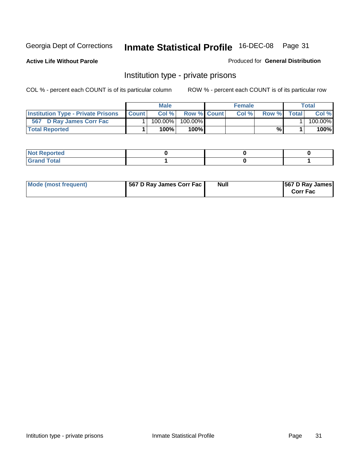**Active Life Without Parole** 

Produced for **General Distribution**

### Institution type - private prisons

|                                           |              | <b>Male</b> |                    | <b>Female</b> |              |       | Total   |
|-------------------------------------------|--------------|-------------|--------------------|---------------|--------------|-------|---------|
| <b>Institution Type - Private Prisons</b> | <b>Count</b> | Col %       | <b>Row % Count</b> | Col%          | <b>Row</b> % | Total | Col %   |
| 567 D Ray James Corr Fac                  |              | 100.00%     | $100.00\%$         |               |              |       | 100.00% |
| <b>Total Reported</b>                     |              | 100%        | 100%               |               | %            |       | 100%    |

| <b>Not Reported</b>             |  |  |
|---------------------------------|--|--|
| <b>Total</b><br>Gr2<br>$\sim$ . |  |  |

| Mode (most frequent) | 567 D Ray James Corr Fac | <b>Null</b> | <b>567 D Ray James</b><br><b>Corr Fac</b> |
|----------------------|--------------------------|-------------|-------------------------------------------|
|----------------------|--------------------------|-------------|-------------------------------------------|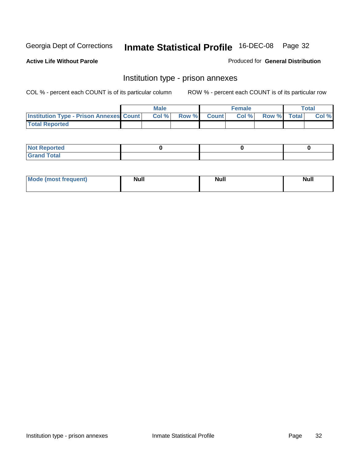**Active Life Without Parole** 

Produced for **General Distribution**

### Institution type - prison annexes

|                                                  | <b>Male</b> |             | <b>Female</b> |             | Total |
|--------------------------------------------------|-------------|-------------|---------------|-------------|-------|
| <b>Institution Type - Prison Annexes Count  </b> | Col %       | Row % Count | Col %         | Row % Total | Col % |
| <b>Total Reported</b>                            |             |             |               |             |       |

| <b>Not Reported</b>        |  |  |
|----------------------------|--|--|
| <b>Total</b><br>-<br>_____ |  |  |

| Mode (most frequent) | <b>Null</b> | <b>Null</b> | <b>Null</b> |
|----------------------|-------------|-------------|-------------|
|                      |             |             |             |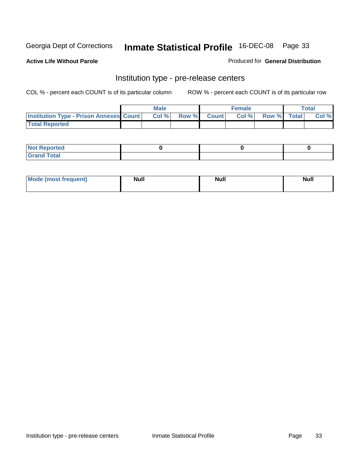**Active Life Without Parole** 

Produced for **General Distribution**

#### Institution type - pre-release centers

|                                                | <b>Male</b> |             | <b>Female</b> |             | <b>Total</b> |
|------------------------------------------------|-------------|-------------|---------------|-------------|--------------|
| <b>Institution Type - Prison Annexes Count</b> | Col %       | Row % Count | Col%          | Row % Total | Col %        |
| <b>Total Reported</b>                          |             |             |               |             |              |

| <b>Not Reported</b>            |  |  |
|--------------------------------|--|--|
| <b>Total</b><br>Croi<br>$\sim$ |  |  |

| Mode (most frequent) | <b>Null</b> | <b>Null</b> | <b>Null</b> |
|----------------------|-------------|-------------|-------------|
|                      |             |             |             |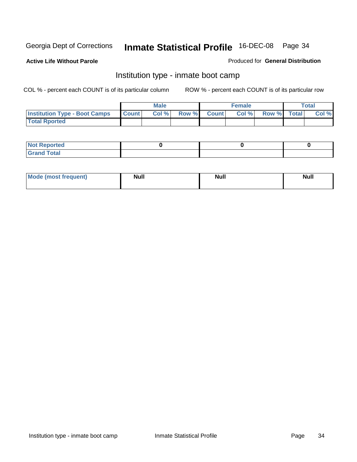**Active Life Without Parole** 

Produced for **General Distribution**

### Institution type - inmate boot camp

|                                      |              | Male  |             | <b>Female</b> |             | <b>Total</b> |
|--------------------------------------|--------------|-------|-------------|---------------|-------------|--------------|
| <b>Institution Type - Boot Camps</b> | <b>Count</b> | Col % | Row % Count | Col%          | Row % Total | Col %        |
| <b>Total Rported</b>                 |              |       |             |               |             |              |

| <b>Not Reported</b>  |  |  |
|----------------------|--|--|
| <b>Total</b><br>Croy |  |  |

| Mode (most frequent) | <b>Null</b> | <b>Null</b> | <b>Null</b> |
|----------------------|-------------|-------------|-------------|
|                      |             |             |             |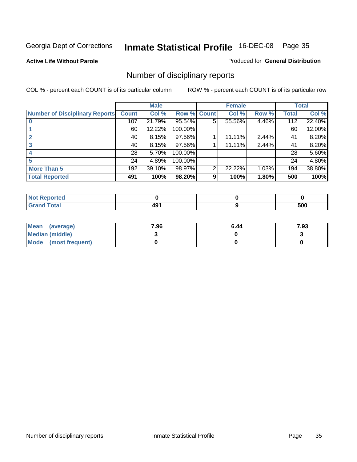#### **Active Life Without Parole**

#### Produced for **General Distribution**

### Number of disciplinary reports

|                                       |                 | <b>Male</b> |             |   | <b>Female</b> |       |              | <b>Total</b> |
|---------------------------------------|-----------------|-------------|-------------|---|---------------|-------|--------------|--------------|
| <b>Number of Disciplinary Reports</b> | <b>Count</b>    | Col %       | Row % Count |   | Col %         | Row % | <b>Total</b> | Col %        |
|                                       | 107             | 21.79%      | 95.54%      | 5 | 55.56%        | 4.46% | 112          | 22.40%       |
|                                       | 60              | 12.22%      | 100.00%     |   |               |       | 60           | 12.00%       |
|                                       | 40              | 8.15%       | 97.56%      |   | 11.11%        | 2.44% | 41           | 8.20%        |
| 3                                     | 40              | 8.15%       | 97.56%      |   | 11.11%        | 2.44% | 41           | 8.20%        |
|                                       | 28 <sup>1</sup> | 5.70%       | 100.00%     |   |               |       | 28           | 5.60%        |
|                                       | 24              | 4.89%       | 100.00%     |   |               |       | 24           | 4.80%        |
| <b>More Than 5</b>                    | 192             | 39.10%      | 98.97%      | 2 | 22.22%        | 1.03% | 194          | 38.80%       |
| <b>Total Reported</b>                 | 491             | 100%        | 98.20%      | 9 | 100%          | 1.80% | 500          | 100%         |

| وبواري والمرارات<br>N<br>нео |                                              |     |
|------------------------------|----------------------------------------------|-----|
| $T_{\Delta}$ fol $T$         | $\overline{\phantom{0}}$<br>-<br>r v<br>$ -$ | 500 |

| Mean (average)       | 7.96 | 6.44 | 7.93 |
|----------------------|------|------|------|
| Median (middle)      |      |      |      |
| Mode (most frequent) |      |      |      |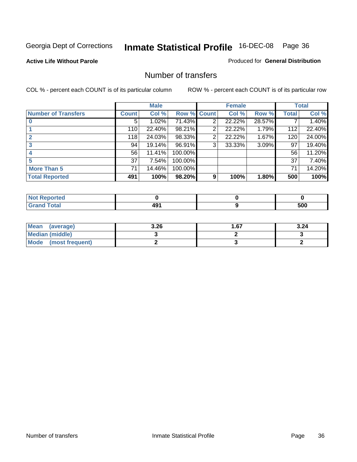#### **Active Life Without Parole**

#### Produced for **General Distribution**

#### Number of transfers

|                            |              | <b>Male</b> |             |                | <b>Female</b> |        |              | <b>Total</b> |
|----------------------------|--------------|-------------|-------------|----------------|---------------|--------|--------------|--------------|
| <b>Number of Transfers</b> | <b>Count</b> | Col %       | Row % Count |                | Col %         | Row %  | <b>Total</b> | Col %        |
|                            | 5            | 1.02%       | 71.43%      | 2              | 22.22%        | 28.57% |              | 1.40%        |
|                            | 110          | 22.40%      | 98.21%      | 2              | 22.22%        | 1.79%  | 112          | 22.40%       |
|                            | 118          | 24.03%      | 98.33%      | $\overline{2}$ | 22.22%        | 1.67%  | 120          | 24.00%       |
|                            | 94           | 19.14%      | 96.91%      | 3              | 33.33%        | 3.09%  | 97           | 19.40%       |
|                            | 56           | 11.41%      | 100.00%     |                |               |        | 56           | 11.20%       |
|                            | 37           | 7.54%       | 100.00%     |                |               |        | 37           | 7.40%        |
| <b>More Than 5</b>         | 71           | 14.46%      | 100.00%     |                |               |        | 71           | 14.20%       |
| <b>Total Reported</b>      | 491          | 100%        | 98.20%      | 9              | 100%          | 1.80%  | 500          | 100%         |

| وبواري والمرارات<br>N<br>нео |                                              |     |
|------------------------------|----------------------------------------------|-----|
| $T_{\Delta}$ fol $T$         | $\overline{\phantom{0}}$<br>-<br>r v<br>$ -$ | 500 |

| Mean (average)       | 3.26 | l .67 | 3.24 |
|----------------------|------|-------|------|
| Median (middle)      |      |       |      |
| Mode (most frequent) |      |       |      |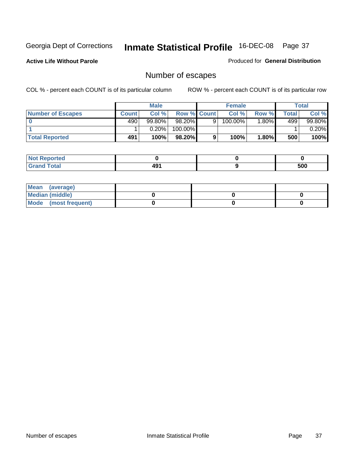**Active Life Without Parole** 

Produced for **General Distribution**

## Number of escapes

|                          |              | <b>Male</b> |                    |   | <b>Female</b> |          |       | <b>Total</b> |
|--------------------------|--------------|-------------|--------------------|---|---------------|----------|-------|--------------|
| <b>Number of Escapes</b> | <b>Count</b> | Col %       | <b>Row % Count</b> |   | Col %         | Row %    | Total | Col %        |
|                          | 490          | $99.80\%$   | 98.20%             | 9 | $100.00\%$    | $1.80\%$ | 499   | 99.80%       |
|                          |              | 0.20%       | 100.00%            |   |               |          |       | 0.20%        |
| <b>Total Reported</b>    | 491          | 100%        | 98.20%             | 9 | 100%          | 1.80%    | 500   | 100%         |

| neo                             |          |     |
|---------------------------------|----------|-----|
| <b>otal</b><br>$\mathbf{v}$ and | "^<br>≖∾ | 500 |

| Mean (average)       |  |  |
|----------------------|--|--|
| Median (middle)      |  |  |
| Mode (most frequent) |  |  |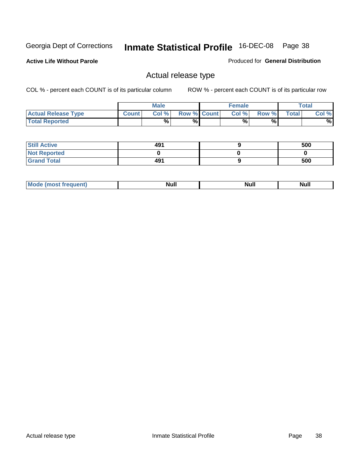**Active Life Without Parole** 

Produced for **General Distribution**

## Actual release type

|                            |              | <b>Male</b> |                    | <b>Female</b> |       |              | Total |
|----------------------------|--------------|-------------|--------------------|---------------|-------|--------------|-------|
| <b>Actual Release Type</b> | <b>Count</b> | Col %       | <b>Row % Count</b> | Col %         | Row % | <b>Total</b> | Col % |
| <b>Total Reported</b>      |              | $\%$        | %                  | %             | %     |              | %     |

| <b>Still Active</b> | 491 | 500 |
|---------------------|-----|-----|
| <b>Not Reported</b> |     |     |
| <b>Grand Total</b>  | 491 | 500 |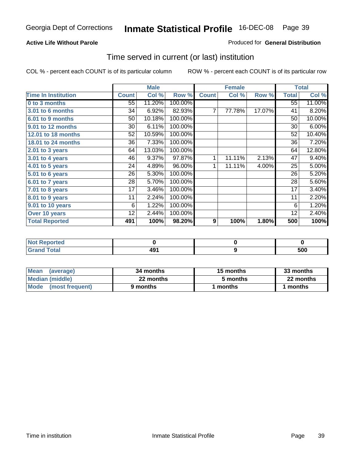### **Active Life Without Parole**

### Produced for **General Distribution**

## Time served in current (or last) institution

|                            |              | <b>Male</b> |         |              | <b>Female</b> |        |                 | <b>Total</b> |
|----------------------------|--------------|-------------|---------|--------------|---------------|--------|-----------------|--------------|
| <b>Time In Institution</b> | <b>Count</b> | Col %       | Row %   | <b>Count</b> | Col %         | Row %  | <b>Total</b>    | Col %        |
| 0 to 3 months              | 55           | 11.20%      | 100.00% |              |               |        | $\overline{55}$ | 11.00%       |
| 3.01 to 6 months           | 34           | 6.92%       | 82.93%  | 7            | 77.78%        | 17.07% | 41              | 8.20%        |
| 6.01 to 9 months           | 50           | 10.18%      | 100.00% |              |               |        | 50              | 10.00%       |
| 9.01 to 12 months          | 30           | 6.11%       | 100.00% |              |               |        | 30              | 6.00%        |
| 12.01 to 18 months         | 52           | 10.59%      | 100.00% |              |               |        | 52              | 10.40%       |
| 18.01 to 24 months         | 36           | 7.33%       | 100.00% |              |               |        | 36              | 7.20%        |
| 2.01 to 3 years            | 64           | 13.03%      | 100.00% |              |               |        | 64              | 12.80%       |
| 3.01 to 4 years            | 46           | 9.37%       | 97.87%  | 1            | 11.11%        | 2.13%  | 47              | 9.40%        |
| 4.01 to 5 years            | 24           | 4.89%       | 96.00%  | 1            | 11.11%        | 4.00%  | 25              | 5.00%        |
| $5.01$ to 6 years          | 26           | 5.30%       | 100.00% |              |               |        | 26              | 5.20%        |
| 6.01 to 7 years            | 28           | 5.70%       | 100.00% |              |               |        | 28              | 5.60%        |
| $7.01$ to 8 years          | 17           | 3.46%       | 100.00% |              |               |        | 17              | 3.40%        |
| 8.01 to 9 years            | 11           | 2.24%       | 100.00% |              |               |        | 11              | 2.20%        |
| 9.01 to 10 years           | 6            | 1.22%       | 100.00% |              |               |        | 6               | 1.20%        |
| Over 10 years              | 12           | 2.44%       | 100.00% |              |               |        | 12              | 2.40%        |
| <b>Total Reported</b>      | 491          | 100%        | 98.20%  | 9            | 100%          | 1.80%  | 500             | 100%         |

| <b>Not Reported</b> |     |     |
|---------------------|-----|-----|
| <b>Total</b>        | 491 | 500 |

| <b>Mean</b><br>(average) | 34 months | 15 months | 33 months |
|--------------------------|-----------|-----------|-----------|
| Median (middle)          | 22 months | 5 months  | 22 months |
| Mode (most frequent)     | 9 months  | ∣ months  | months    |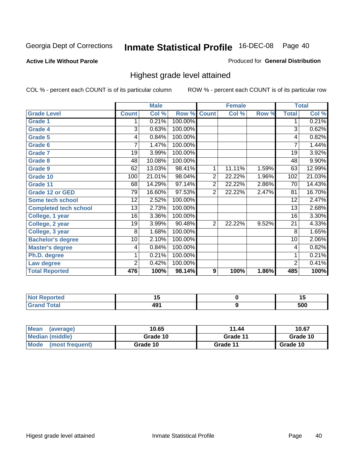### **Active Life Without Parole**

### Produced for **General Distribution**

## Highest grade level attained

|                              |                | <b>Male</b> |         |                | <b>Female</b> |       |                | <b>Total</b> |
|------------------------------|----------------|-------------|---------|----------------|---------------|-------|----------------|--------------|
| <b>Grade Level</b>           | <b>Count</b>   | Col %       | Row %   | <b>Count</b>   | Col %         | Row % | <b>Total</b>   | Col %        |
| <b>Grade 1</b>               | 1              | 0.21%       | 100.00% |                |               |       | 1              | 0.21%        |
| <b>Grade 4</b>               | 3              | 0.63%       | 100.00% |                |               |       | $\overline{3}$ | 0.62%        |
| Grade 5                      | 4              | 0.84%       | 100.00% |                |               |       | 4              | 0.82%        |
| Grade 6                      | 7              | 1.47%       | 100.00% |                |               |       | $\overline{7}$ | 1.44%        |
| <b>Grade 7</b>               | 19             | 3.99%       | 100.00% |                |               |       | 19             | 3.92%        |
| <b>Grade 8</b>               | 48             | 10.08%      | 100.00% |                |               |       | 48             | 9.90%        |
| <b>Grade 9</b>               | 62             | 13.03%      | 98.41%  | 1              | 11.11%        | 1.59% | 63             | 12.99%       |
| Grade 10                     | 100            | 21.01%      | 98.04%  | $\overline{2}$ | 22.22%        | 1.96% | 102            | 21.03%       |
| Grade 11                     | 68             | 14.29%      | 97.14%  | $\overline{2}$ | 22.22%        | 2.86% | 70             | 14.43%       |
| <b>Grade 12 or GED</b>       | 79             | 16.60%      | 97.53%  | 2              | 22.22%        | 2.47% | 81             | 16.70%       |
| <b>Some tech school</b>      | 12             | 2.52%       | 100.00% |                |               |       | 12             | 2.47%        |
| <b>Completed tech school</b> | 13             | 2.73%       | 100.00% |                |               |       | 13             | 2.68%        |
| College, 1 year              | 16             | 3.36%       | 100.00% |                |               |       | 16             | 3.30%        |
| College, 2 year              | 19             | 3.99%       | 90.48%  | $\overline{2}$ | 22.22%        | 9.52% | 21             | 4.33%        |
| College, 3 year              | 8              | 1.68%       | 100.00% |                |               |       | 8              | 1.65%        |
| <b>Bachelor's degree</b>     | 10             | 2.10%       | 100.00% |                |               |       | 10             | 2.06%        |
| <b>Master's degree</b>       | 4              | 0.84%       | 100.00% |                |               |       | 4              | 0.82%        |
| Ph.D. degree                 | 1              | 0.21%       | 100.00% |                |               |       | 1              | 0.21%        |
| Law degree                   | $\overline{2}$ | 0.42%       | 100.00% |                |               |       | $\overline{2}$ | 0.41%        |
| <b>Total Reported</b>        | 476            | 100%        | 98.14%  | 9              | 100%          | 1.86% | 485            | 100%         |

| الدرجية.<br>rtea<br>NI.<br>. | . .        | יי         |
|------------------------------|------------|------------|
| <b>Coto</b> "                | 101<br>- 3 | ENN<br>งบบ |

| <b>Mean</b><br>(average)       | 10.65    | 11.44    | 10.67    |
|--------------------------------|----------|----------|----------|
| Median (middle)                | Grade 10 | Grade 11 | Grade 10 |
| <b>Mode</b><br>(most frequent) | Grade 10 | Grade 11 | Grade 10 |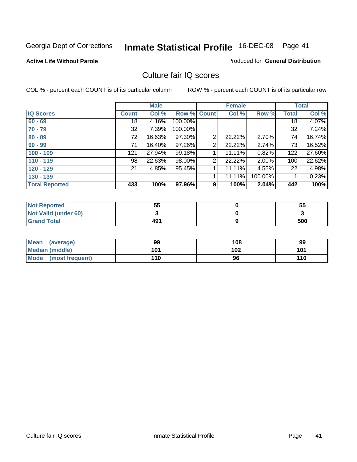### **Active Life Without Parole**

### Produced for **General Distribution**

## Culture fair IQ scores

|                       |              | <b>Male</b> |             |                | <b>Female</b> |          |              | <b>Total</b> |
|-----------------------|--------------|-------------|-------------|----------------|---------------|----------|--------------|--------------|
| <b>IQ Scores</b>      | <b>Count</b> | Col %       | Row % Count |                | Col %         | Row %    | <b>Total</b> | Col %        |
| $60 - 69$             | 18           | 4.16%       | 100.00%     |                |               |          | 18           | 4.07%        |
| $70 - 79$             | 32           | 7.39%       | 100.00%     |                |               |          | 32           | 7.24%        |
| $80 - 89$             | 72           | 16.63%      | 97.30%      | $\overline{2}$ | 22.22%        | 2.70%    | 74           | 16.74%       |
| $90 - 99$             | 71           | 16.40%      | 97.26%      | 2              | 22.22%        | 2.74%    | 73           | 16.52%       |
| $100 - 109$           | 121          | 27.94%      | 99.18%      | 4              | 11.11%        | 0.82%    | 122          | 27.60%       |
| $110 - 119$           | 98           | 22.63%      | 98.00%      | 2              | 22.22%        | $2.00\%$ | 100          | 22.62%       |
| $120 - 129$           | 21           | 4.85%       | 95.45%      |                | 11.11%        | 4.55%    | 22           | 4.98%        |
| $130 - 139$           |              |             |             | 4              | 11.11%        | 100.00%  |              | 0.23%        |
| <b>Total Reported</b> | 433          | 100%        | 97.96%      | 9              | 100%          | 2.04%    | 442          | 100%         |

| <b>Not Reported</b>  | 55  | 55  |
|----------------------|-----|-----|
| Not Valid (under 60) |     |     |
| <b>Grand Total</b>   | 491 | 500 |

| <b>Mean</b><br>(average) | 99  | 108 | 99  |
|--------------------------|-----|-----|-----|
| <b>Median (middle)</b>   | 101 | 102 | 101 |
| Mode (most frequent)     | 110 | 96  | 110 |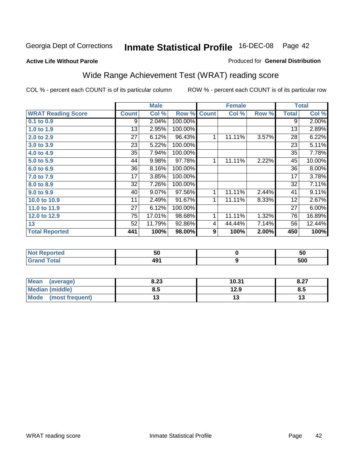### **Active Life Without Parole**

### Produced for **General Distribution**

## Wide Range Achievement Test (WRAT) reading score

COL % - percent each COUNT is of its particular column ROW % - percent each COUNT is of its particular row

 **9**

|                           |                 | <b>Male</b> |         |                | <b>Female</b> |       |              | <b>Total</b> |
|---------------------------|-----------------|-------------|---------|----------------|---------------|-------|--------------|--------------|
| <b>WRAT Reading Score</b> | <b>Count</b>    | Col %       | Row %   | <b>Count</b>   | Col %         | Row % | <b>Total</b> | Col %        |
| 0.1 to 0.9                | 9               | 2.04%       | 100.00% |                |               |       | 9            | 2.00%        |
| 1.0 to 1.9                | 13              | 2.95%       | 100.00% |                |               |       | 13           | 2.89%        |
| 2.0 to 2.9                | $\overline{27}$ | 6.12%       | 96.43%  | 1              | 11.11%        | 3.57% | 28           | 6.22%        |
| 3.0 to 3.9                | 23              | 5.22%       | 100.00% |                |               |       | 23           | 5.11%        |
| 4.0 to 4.9                | 35              | 7.94%       | 100.00% |                |               |       | 35           | 7.78%        |
| 5.0 to 5.9                | 44              | 9.98%       | 97.78%  | 1              | 11.11%        | 2.22% | 45           | 10.00%       |
| 6.0 to 6.9                | 36              | 8.16%       | 100.00% |                |               |       | 36           | 8.00%        |
| 7.0 to 7.9                | 17              | 3.85%       | 100.00% |                |               |       | 17           | 3.78%        |
| 8.0 to 8.9                | 32              | 7.26%       | 100.00% |                |               |       | 32           | 7.11%        |
| 9.0 to 9.9                | 40              | 9.07%       | 97.56%  | 1              | 11.11%        | 2.44% | 41           | 9.11%        |
| 10.0 to 10.9              | 11              | 2.49%       | 91.67%  | 1 <sub>1</sub> | 11.11%        | 8.33% | 12           | 2.67%        |
| 11.0 to 11.9              | 27              | 6.12%       | 100.00% |                |               |       | 27           | 6.00%        |
| 12.0 to 12.9              | 75              | 17.01%      | 98.68%  | 1              | 11.11%        | 1.32% | 76           | 16.89%       |
| 13                        | 52              | 11.79%      | 92.86%  | 4              | 44.44%        | 7.14% | 56           | 12.44%       |
| <b>Total Reported</b>     | 441             | 100%        | 98.00%  | 9              | 100%          | 2.00% | 450          | 100%         |
|                           |                 |             |         |                |               |       |              |              |
| <b>Not Reported</b>       |                 | 50          |         |                | $\mathbf 0$   |       |              | 50           |

| <b>Mean</b><br>(average)       | 8.23 | 10.31 | 0.27<br>0.Z1 |
|--------------------------------|------|-------|--------------|
| Median (middle)                | 8.5  | 12.9  | o.u          |
| <b>Mode</b><br>(most frequent) |      | IJ    |              |

 **491**

 **Grand Total**

 **500**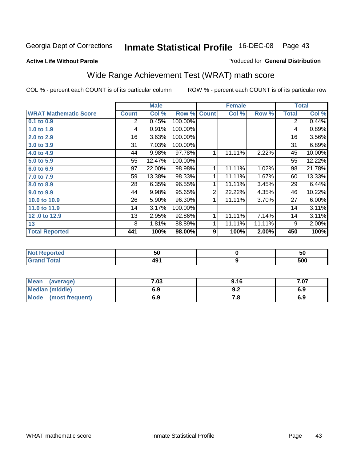**Active Life Without Parole** 

### Produced for **General Distribution**

## Wide Range Achievement Test (WRAT) math score

|                              |              | <b>Male</b> |         |                  | <b>Female</b> |        |              | <b>Total</b> |
|------------------------------|--------------|-------------|---------|------------------|---------------|--------|--------------|--------------|
| <b>WRAT Mathematic Score</b> | <b>Count</b> | Col %       | Row %   | <b>Count</b>     | Col %         | Row %  | <b>Total</b> | Col %        |
| $0.1$ to $0.9$               | 2            | 0.45%       | 100.00% |                  |               |        | 2            | 0.44%        |
| 1.0 to 1.9                   | 4            | 0.91%       | 100.00% |                  |               |        | 4            | 0.89%        |
| 2.0 to 2.9                   | 16           | 3.63%       | 100.00% |                  |               |        | 16           | 3.56%        |
| 3.0 to 3.9                   | 31           | 7.03%       | 100.00% |                  |               |        | 31           | 6.89%        |
| 4.0 to 4.9                   | 44           | 9.98%       | 97.78%  | 1                | 11.11%        | 2.22%  | 45           | 10.00%       |
| 5.0 to 5.9                   | 55           | 12.47%      | 100.00% |                  |               |        | 55           | 12.22%       |
| 6.0 to 6.9                   | 97           | 22.00%      | 98.98%  | 1                | 11.11%        | 1.02%  | 98           | 21.78%       |
| 7.0 to 7.9                   | 59           | 13.38%      | 98.33%  | 1                | 11.11%        | 1.67%  | 60           | 13.33%       |
| 8.0 to 8.9                   | 28           | 6.35%       | 96.55%  | 1                | 11.11%        | 3.45%  | 29           | 6.44%        |
| 9.0 to 9.9                   | 44           | 9.98%       | 95.65%  | $\overline{2}$   | 22.22%        | 4.35%  | 46           | 10.22%       |
| 10.0 to 10.9                 | 26           | 5.90%       | 96.30%  | 1                | 11.11%        | 3.70%  | 27           | 6.00%        |
| 11.0 to 11.9                 | 14           | 3.17%       | 100.00% |                  |               |        | 14           | 3.11%        |
| 12,0 to 12.9                 | 13           | 2.95%       | 92.86%  | 1                | 11.11%        | 7.14%  | 14           | 3.11%        |
| 13                           | 8            | 1.81%       | 88.89%  | 1                | 11.11%        | 11.11% | 9            | 2.00%        |
| <b>Total Reported</b>        | 441          | 100%        | 98.00%  | $\boldsymbol{9}$ | 100%          | 2.00%  | 450          | 100%         |

| <b>Not Reported</b> | 50 | 50         |
|---------------------|----|------------|
| <b>Grand Total</b>  | 49 | cnn<br>งบบ |

| Mean (average)       | 7.03 | 9.16 | 7.07 |
|----------------------|------|------|------|
| Median (middle)      | 6.9  | J.Z  | 6.9  |
| Mode (most frequent) | 6.9  | .o   | 6.9  |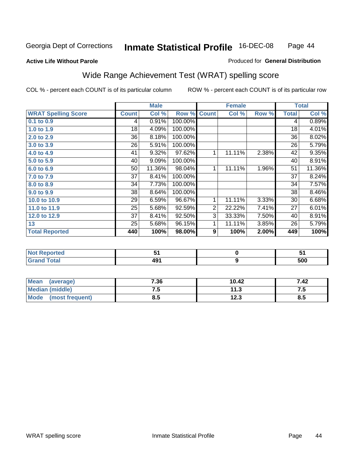### **Active Life Without Parole**

### Produced for **General Distribution**

## Wide Range Achievement Test (WRAT) spelling score

|                            |              | <b>Male</b> |                      |                | <b>Female</b> |       |              | <b>Total</b> |
|----------------------------|--------------|-------------|----------------------|----------------|---------------|-------|--------------|--------------|
| <b>WRAT Spelling Score</b> | <b>Count</b> | Col %       | Row %                | <b>Count</b>   | Col %         | Row % | <b>Total</b> | Col %        |
| 0.1 to 0.9                 | 4            | 0.91%       | 100.00%              |                |               |       | 4            | 0.89%        |
| 1.0 to 1.9                 | 18           | 4.09%       | 100.00%              |                |               |       | 18           | 4.01%        |
| 2.0 to 2.9                 | 36           | 8.18%       | 100.00%              |                |               |       | 36           | 8.02%        |
| 3.0 to 3.9                 | 26           | 5.91%       | 100.00%              |                |               |       | 26           | 5.79%        |
| 4.0 to 4.9                 | 41           | 9.32%       | $\overline{97.62\%}$ | 1              | 11.11%        | 2.38% | 42           | 9.35%        |
| 5.0 to 5.9                 | 40           | 9.09%       | 100.00%              |                |               |       | 40           | 8.91%        |
| 6.0 to 6.9                 | 50           | 11.36%      | 98.04%               | 1              | 11.11%        | 1.96% | 51           | 11.36%       |
| 7.0 to 7.9                 | 37           | 8.41%       | 100.00%              |                |               |       | 37           | 8.24%        |
| 8.0 to 8.9                 | 34           | 7.73%       | 100.00%              |                |               |       | 34           | 7.57%        |
| 9.0 to 9.9                 | 38           | 8.64%       | 100.00%              |                |               |       | 38           | 8.46%        |
| 10.0 to 10.9               | 29           | 6.59%       | 96.67%               | 1              | 11.11%        | 3.33% | 30           | 6.68%        |
| 11.0 to 11.9               | 25           | 5.68%       | 92.59%               | $\overline{2}$ | 22.22%        | 7.41% | 27           | 6.01%        |
| 12.0 to 12.9               | 37           | 8.41%       | 92.50%               | $\overline{3}$ | 33.33%        | 7.50% | 40           | 8.91%        |
| 13                         | 25           | 5.68%       | 96.15%               | 1              | 11.11%        | 3.85% | 26           | 5.79%        |
| <b>Total Reported</b>      | 440          | 100%        | 98.00%               | 9              | 100%          | 2.00% | 449          | 100%         |
|                            |              |             |                      |                |               |       |              |              |
| <b>Not Reported</b>        |              | 51          |                      |                | $\pmb{0}$     |       |              | 51           |
| <b>Grand Total</b>         |              | 491         |                      |                | 9             |       |              | 500          |

| <b>Mean</b><br>(average) | 7.36 | 10.42 | 7.42             |
|--------------------------|------|-------|------------------|
| Median (middle)          | ن.   | 11.3  | ن. د             |
| Mode<br>(most frequent)  | 8.5  | 12.3  | <b>QL</b><br>o.J |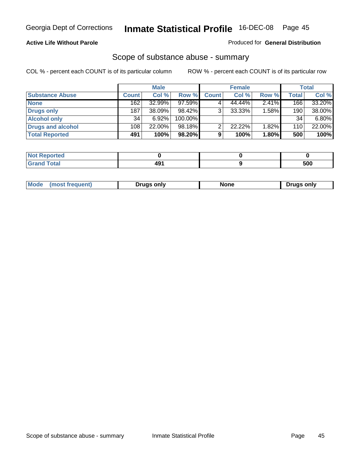### **Active Life Without Parole**

### Produced for **General Distribution**

## Scope of substance abuse - summary

|                        |              | <b>Male</b> |            |              | <b>Female</b> |          |       | Total  |
|------------------------|--------------|-------------|------------|--------------|---------------|----------|-------|--------|
| <b>Substance Abuse</b> | <b>Count</b> | Col %       | Row %      | <b>Count</b> | Col %         | Row %    | Total | Col %  |
| <b>None</b>            | 162          | 32.99%      | $97.59\%$  |              | 44.44%        | 2.41%    | 166   | 33.20% |
| <b>Drugs only</b>      | 187          | 38.09%      | $98.42\%$  |              | 33.33%        | $1.58\%$ | 190   | 38.00% |
| <b>Alcohol only</b>    | 34           | 6.92%       | $100.00\%$ |              |               |          | 34    | 6.80%  |
| Drugs and alcohol      | 108          | 22.00%      | $98.18\%$  |              | 22.22%        | 1.82%    | 110   | 22.00% |
| <b>Total Reported</b>  | 491          | 100%        | 98.20%     | 9            | 100%          | 1.80%    | 500   | 100%   |

| 4 - 1<br>Reported<br> |      |     |
|-----------------------|------|-----|
| Total<br>$\sim$       | $ -$ | 500 |

|  | Mode<br>ונוצוווי | Druas onlv | None | only<br>Pruas . |
|--|------------------|------------|------|-----------------|
|--|------------------|------------|------|-----------------|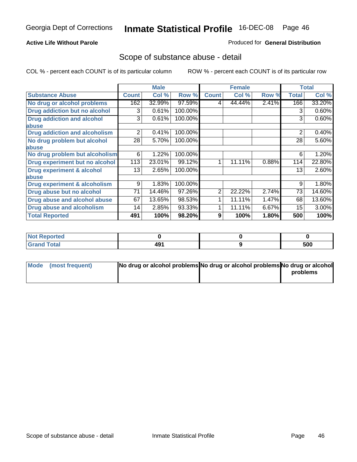### **Active Life Without Parole**

### Produced for **General Distribution**

## Scope of substance abuse - detail

|                                         |              | <b>Male</b> |         |              | <b>Female</b> |       |              | <b>Total</b> |
|-----------------------------------------|--------------|-------------|---------|--------------|---------------|-------|--------------|--------------|
| <b>Substance Abuse</b>                  | <b>Count</b> | Col %       | Row %   | <b>Count</b> | Col %         | Row % | <b>Total</b> | Col %        |
| No drug or alcohol problems             | 162          | 32.99%      | 97.59%  | 4            | 44.44%        | 2.41% | 166          | 33.20%       |
| Drug addiction but no alcohol           | 3            | 0.61%       | 100.00% |              |               |       | 3            | 0.60%        |
| <b>Drug addiction and alcohol</b>       | 3            | 0.61%       | 100.00% |              |               |       | 3            | 0.60%        |
| abuse                                   |              |             |         |              |               |       |              |              |
| <b>Drug addiction and alcoholism</b>    | 2            | 0.41%       | 100.00% |              |               |       | 2            | 0.40%        |
| No drug problem but alcohol             | 28           | 5.70%       | 100.00% |              |               |       | 28           | 5.60%        |
| abuse                                   |              |             |         |              |               |       |              |              |
| No drug problem but alcoholism          | 6            | 1.22%       | 100.00% |              |               |       | 6            | 1.20%        |
| Drug experiment but no alcohol          | 113          | 23.01%      | 99.12%  | 1            | 11.11%        | 0.88% | 114          | 22.80%       |
| <b>Drug experiment &amp; alcohol</b>    | 13           | 2.65%       | 100.00% |              |               |       | 13           | 2.60%        |
| abuse                                   |              |             |         |              |               |       |              |              |
| <b>Drug experiment &amp; alcoholism</b> | 9            | 1.83%       | 100.00% |              |               |       | 9            | 1.80%        |
| Drug abuse but no alcohol               | 71           | 14.46%      | 97.26%  | 2            | 22.22%        | 2.74% | 73           | 14.60%       |
| Drug abuse and alcohol abuse            | 67           | 13.65%      | 98.53%  |              | 11.11%        | 1.47% | 68           | 13.60%       |
| <b>Drug abuse and alcoholism</b>        | 14           | 2.85%       | 93.33%  |              | 11.11%        | 6.67% | 15           | $3.00\%$     |
| <b>Total Reported</b>                   | 491          | 100%        | 98.20%  | 9            | 100%          | 1.80% | 500          | 100%         |

| $\vert$ Not Reported |     |     |
|----------------------|-----|-----|
| <b>Total</b>         | 491 | 500 |

| Mode (most frequent) | No drug or alcohol problems No drug or alcohol problems No drug or alcohol |          |
|----------------------|----------------------------------------------------------------------------|----------|
|                      |                                                                            | problems |
|                      |                                                                            |          |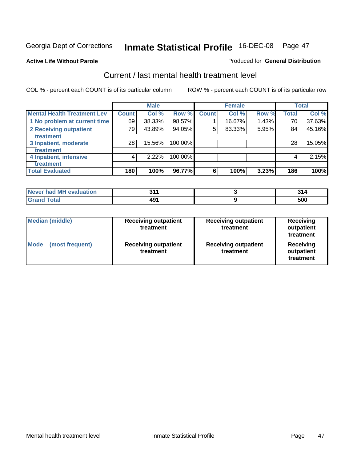**Active Life Without Parole** 

### Produced for **General Distribution**

## Current / last mental health treatment level

|                                    |                    | <b>Male</b> |         |              | <b>Female</b> |       |              | <b>Total</b> |
|------------------------------------|--------------------|-------------|---------|--------------|---------------|-------|--------------|--------------|
| <b>Mental Health Treatment Lev</b> | Count <sup>1</sup> | Col %       | Row %   | <b>Count</b> | Col %         | Row % | <b>Total</b> | Col %        |
| 1 No problem at current time       | 69                 | 38.33%      | 98.57%  |              | 16.67%        | 1.43% | 70           | 37.63%       |
| <b>2 Receiving outpatient</b>      | 79                 | 43.89%      | 94.05%  | 5            | 83.33%        | 5.95% | 84           | 45.16%       |
| treatment                          |                    |             |         |              |               |       |              |              |
| 3 Inpatient, moderate              | 28                 | 15.56%      | 100.00% |              |               |       | 28           | 15.05%       |
| treatment                          |                    |             |         |              |               |       |              |              |
| 4 Inpatient, intensive             | 4                  | $2.22\%$    | 100.00% |              |               |       | 4            | 2.15%        |
| treatment                          |                    |             |         |              |               |       |              |              |
| <b>Total Evaluated</b>             | 180                | 100%        | 96.77%  | 6            | 100%          | 3.23% | 186          | 100%         |

| Never had MH evaluation | ОИ. |     |
|-------------------------|-----|-----|
|                         |     | 500 |

| <b>Median (middle)</b>         | <b>Receiving outpatient</b><br>treatment | <b>Receiving outpatient</b><br>treatment | <b>Receiving</b><br>outpatient<br>treatment |
|--------------------------------|------------------------------------------|------------------------------------------|---------------------------------------------|
| <b>Mode</b><br>(most frequent) | <b>Receiving outpatient</b><br>treatment | <b>Receiving outpatient</b><br>treatment | Receiving<br>outpatient<br>treatment        |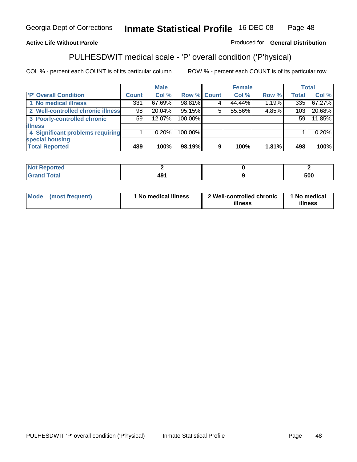### **Active Life Without Parole**

### Produced for **General Distribution**

## PULHESDWIT medical scale - 'P' overall condition ('P'hysical)

|                                   |              | <b>Male</b> |             |   | <b>Female</b> |       |              | <b>Total</b> |
|-----------------------------------|--------------|-------------|-------------|---|---------------|-------|--------------|--------------|
| 'P' Overall Condition             | <b>Count</b> | Col %       | Row % Count |   | Col %         | Row % | <b>Total</b> | Col %        |
| 1 No medical illness              | 331          | $67.69\%$   | 98.81%      |   | 44.44%        | 1.19% | 335          | 67.27%       |
| 2 Well-controlled chronic illness | 98           | $20.04\%$   | 95.15%      | 5 | 55.56%        | 4.85% | 103          | 20.68%       |
| 3 Poorly-controlled chronic       | 59           | 12.07%      | 100.00%     |   |               |       | 59           | 11.85%       |
| <b>illness</b>                    |              |             |             |   |               |       |              |              |
| 4 Significant problems requiring  |              | $0.20\%$    | 100.00%     |   |               |       |              | 0.20%        |
| special housing                   |              |             |             |   |               |       |              |              |
| <b>Total Reported</b>             | 489          | 100%        | 98.19%      | 9 | 100%          | 1.81% | 498          | 100%         |

| $Not$<br>Reported  |     |     |
|--------------------|-----|-----|
| <b>Grand Total</b> | 491 | 500 |

| <b>Mode</b> | (most frequent) | <sup>1</sup> No medical illness | 2 Well-controlled chronic<br>illness | 1 No medical<br>illness |
|-------------|-----------------|---------------------------------|--------------------------------------|-------------------------|
|             |                 |                                 |                                      |                         |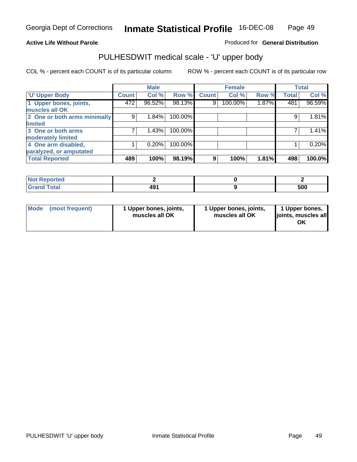### **Active Life Without Parole**

Produced for **General Distribution**

## PULHESDWIT medical scale - 'U' upper body

|                              |              | <b>Male</b> |         |              | <b>Female</b> |       |              | <b>Total</b> |
|------------------------------|--------------|-------------|---------|--------------|---------------|-------|--------------|--------------|
| <b>TU' Upper Body</b>        | <b>Count</b> | Col %       | Row %   | <b>Count</b> | Col %         | Row % | <b>Total</b> | Col %        |
| 1 Upper bones, joints,       | 472          | 96.52%      | 98.13%  | 9            | 100.00%       | 1.87% | 481          | 96.59%       |
| muscles all OK               |              |             |         |              |               |       |              |              |
| 2 One or both arms minimally | 9            | 1.84%       | 100.00% |              |               |       | 9            | 1.81%        |
| limited                      |              |             |         |              |               |       |              |              |
| 3 One or both arms           | 7            | 1.43%       | 100.00% |              |               |       |              | 1.41%        |
| moderately limited           |              |             |         |              |               |       |              |              |
| 4 One arm disabled,          |              | 0.20%       | 100.00% |              |               |       |              | 0.20%        |
| paralyzed, or amputated      |              |             |         |              |               |       |              |              |
| <b>Total Reported</b>        | 489          | 100%        | 98.19%  | 9            | 100%          | 1.81% | 498          | 100.0%       |

| and an anti-<br>rtea<br>NG<br>. |     |     |
|---------------------------------|-----|-----|
| Total<br>υιαι                   | 491 | 500 |

|  | Mode (most frequent) | 1 Upper bones, joints,<br>muscles all OK | 1 Upper bones, joints,<br>muscles all OK | 1 Upper bones,<br>joints, muscles all<br>OK |
|--|----------------------|------------------------------------------|------------------------------------------|---------------------------------------------|
|--|----------------------|------------------------------------------|------------------------------------------|---------------------------------------------|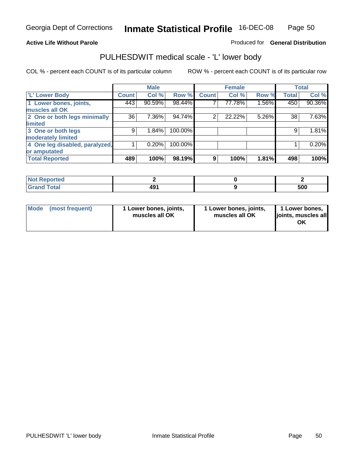### **Active Life Without Parole**

### Produced for **General Distribution**

## PULHESDWIT medical scale - 'L' lower body

|                                |              | <b>Male</b> |         |                | <b>Female</b> |       |              | <b>Total</b> |
|--------------------------------|--------------|-------------|---------|----------------|---------------|-------|--------------|--------------|
| <b>L' Lower Body</b>           | <b>Count</b> | Col %       | Row %   | <b>Count</b>   | Col %         | Row % | <b>Total</b> | Col %        |
| 1 Lower bones, joints,         | 443          | 90.59%      | 98.44%  |                | 77.78%        | 1.56% | 450          | 90.36%       |
| muscles all OK                 |              |             |         |                |               |       |              |              |
| 2 One or both legs minimally   | 36           | 7.36%       | 94.74%  | $\overline{2}$ | 22.22%        | 5.26% | 38           | 7.63%        |
| limited                        |              |             |         |                |               |       |              |              |
| 3 One or both legs             | 9            | 1.84%       | 100.00% |                |               |       | 9            | 1.81%        |
| moderately limited             |              |             |         |                |               |       |              |              |
| 4 One leg disabled, paralyzed, |              | 0.20%       | 100.00% |                |               |       |              | 0.20%        |
| or amputated                   |              |             |         |                |               |       |              |              |
| <b>Total Reported</b>          | 489          | 100%        | 98.19%  | 9              | 100%          | 1.81% | 498          | 100%         |

| <b>rted</b><br>N                           |           |     |
|--------------------------------------------|-----------|-----|
| $f$ $f$ $f$ $f$ $f$ $f$ $f$<br>l Ulai<br>. | 101<br>43 | 500 |

|  | Mode (most frequent) | 1 Lower bones, joints,<br>muscles all OK | 1 Lower bones, joints,<br>muscles all OK | 1 Lower bones,<br>joints, muscles all<br>OK |
|--|----------------------|------------------------------------------|------------------------------------------|---------------------------------------------|
|--|----------------------|------------------------------------------|------------------------------------------|---------------------------------------------|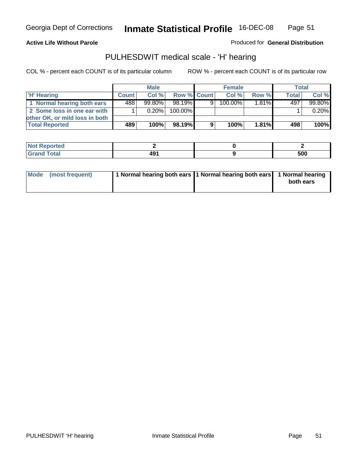**Active Life Without Parole** 

Produced for **General Distribution**

## PULHESDWIT medical scale - 'H' hearing

|                                |              | <b>Male</b> |             |   | <b>Female</b> |          | Total        |        |
|--------------------------------|--------------|-------------|-------------|---|---------------|----------|--------------|--------|
| <b>H'</b> Hearing              | <b>Count</b> | Col%        | Row % Count |   | Col%          | Row %    | <b>Total</b> | Col %  |
| 1 Normal hearing both ears     | 488          | $99.80\%$   | 98.19%      | 9 | $100.00\%$    | $1.81\%$ | 497          | 99.80% |
| 2 Some loss in one ear with    |              | $0.20\%$    | 100.00%     |   |               |          |              | 0.20%  |
| other OK, or mild loss in both |              |             |             |   |               |          |              |        |
| <b>Total Reported</b>          | 489          | 100%        | 98.19%      |   | 100%          | 1.81%    | 498          | 100%   |

| тео |      |              |
|-----|------|--------------|
| --- | ____ | - 20<br>่วบบ |

| Mode (most frequent) | 1 Normal hearing both ears 1 Normal hearing both ears 1 Normal hearing | both ears |
|----------------------|------------------------------------------------------------------------|-----------|
|                      |                                                                        |           |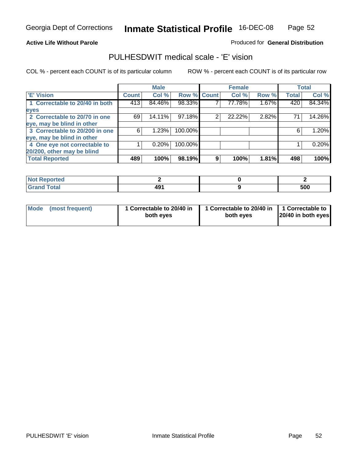### **Active Life Without Parole**

### Produced for **General Distribution**

## PULHESDWIT medical scale - 'E' vision

|                                |       | <b>Male</b> |             |   | <b>Female</b> |       |              | <b>Total</b> |
|--------------------------------|-------|-------------|-------------|---|---------------|-------|--------------|--------------|
| <b>E' Vision</b>               | Count | Col %       | Row % Count |   | Col %         | Row % | <b>Total</b> | Col %        |
| 1 Correctable to 20/40 in both | 413   | 84.46%      | 98.33%      |   | 77.78%        | 1.67% | 420          | 84.34%       |
| eyes                           |       |             |             |   |               |       |              |              |
| 2 Correctable to 20/70 in one  | 69    | 14.11%      | 97.18%      | 2 | 22.22%        | 2.82% | 71           | 14.26%       |
| eye, may be blind in other     |       |             |             |   |               |       |              |              |
| 3 Correctable to 20/200 in one | 6     | 1.23%       | 100.00%     |   |               |       | 6            | 1.20%        |
| eye, may be blind in other     |       |             |             |   |               |       |              |              |
| 4 One eye not correctable to   |       | 0.20%       | 100.00%     |   |               |       |              | 0.20%        |
| 20/200, other may be blind     |       |             |             |   |               |       |              |              |
| <b>Total Reported</b>          | 489   | 100%        | 98.19%      | 9 | 100%          | 1.81% | 498          | 100%         |

| <b>Not Reported</b> |            |     |
|---------------------|------------|-----|
| <b>Total</b><br>r   | 40.A<br>43 | 500 |

| Mode (most frequent) | 1 Correctable to 20/40 in<br>both eyes | 1 Correctable to 20/40 in   1 Correctable to<br>both eyes | 20/40 in both eyes |
|----------------------|----------------------------------------|-----------------------------------------------------------|--------------------|
|----------------------|----------------------------------------|-----------------------------------------------------------|--------------------|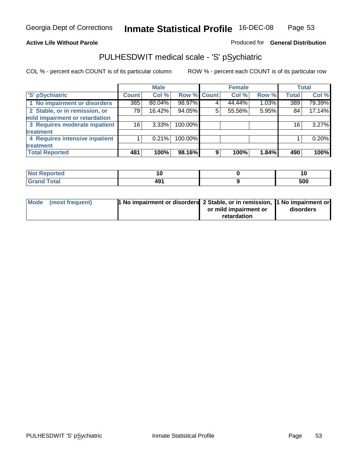### **Active Life Without Parole**

### Produced for **General Distribution**

## PULHESDWIT medical scale - 'S' pSychiatric

|                                |                 | <b>Male</b> |             |   | <b>Female</b> |       |              | <b>Total</b> |
|--------------------------------|-----------------|-------------|-------------|---|---------------|-------|--------------|--------------|
| 'S' pSychiatric                | <b>Count</b>    | Col %       | Row % Count |   | Col %         | Row % | <b>Total</b> | Col %        |
| 1 No impairment or disorders   | 385             | 80.04%      | 98.97%      |   | 44.44%        | 1.03% | 389          | 79.39%       |
| 2 Stable, or in remission, or  | 79              | 16.42%      | 94.05%      | 5 | 55.56%        | 5.95% | 84           | 17.14%       |
| mild impairment or retardation |                 |             |             |   |               |       |              |              |
| 3 Requires moderate inpatient  | 16 <sub>1</sub> | $3.33\%$    | 100.00%     |   |               |       | 16           | 3.27%        |
| <b>treatment</b>               |                 |             |             |   |               |       |              |              |
| 4 Requires intensive inpatient |                 | 0.21%       | 100.00%     |   |               |       |              | 0.20%        |
| treatment                      |                 |             |             |   |               |       |              |              |
| <b>Total Reported</b>          | 481             | 100%        | 98.16%      | 9 | 100%          | 1.84% | 490          | 100%         |

| Reported<br>. | ιı           | יי  |
|---------------|--------------|-----|
| <b>ota</b>    | 1 N 1<br>43. | 500 |

| Mode (most frequent) | 1 No impairment or disorders 2 Stable, or in remission, 11 No impairment or |                       |           |
|----------------------|-----------------------------------------------------------------------------|-----------------------|-----------|
|                      |                                                                             | or mild impairment or | disorders |
|                      |                                                                             | retardation           |           |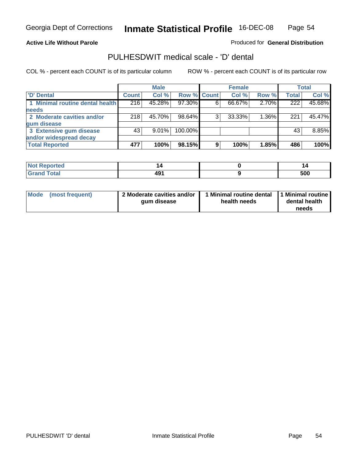### **Active Life Without Parole**

Produced for **General Distribution**

## PULHESDWIT medical scale - 'D' dental

|                                 |              | <b>Male</b> |             |   | <b>Female</b> |          |                  | <b>Total</b> |
|---------------------------------|--------------|-------------|-------------|---|---------------|----------|------------------|--------------|
| <b>D'</b> Dental                | <b>Count</b> | Col %       | Row % Count |   | Col %         | Row %    | <b>Total</b>     | Col %        |
| 1 Minimal routine dental health | 216          | 45.28%      | 97.30%      | 6 | 66.67%        | 2.70%    | $\overline{222}$ | 45.68%       |
| <b>needs</b>                    |              |             |             |   |               |          |                  |              |
| 2 Moderate cavities and/or      | 218          | 45.70%      | 98.64%      |   | 33.33%        | $1.36\%$ | 221              | 45.47%       |
| gum disease                     |              |             |             |   |               |          |                  |              |
| 3 Extensive gum disease         | 43           | $9.01\%$    | 100.00%     |   |               |          | 43               | 8.85%        |
| and/or widespread decay         |              |             |             |   |               |          |                  |              |
| <b>Total Reported</b>           | 477          | 100%        | 98.15%      | 9 | 100%          | 1.85%    | 486              | 100%         |

| neio                               |             | ''  |
|------------------------------------|-------------|-----|
| $\sim$ $\sim$ $\sim$ $\sim$ $\sim$ | ∗۵۸<br>4J I | 500 |

| Mode (most frequent) | 2 Moderate cavities and/or<br>qum disease | I Minimal routine dental<br>health needs | 1 Minimal routine<br>dental health<br>needs |
|----------------------|-------------------------------------------|------------------------------------------|---------------------------------------------|
|----------------------|-------------------------------------------|------------------------------------------|---------------------------------------------|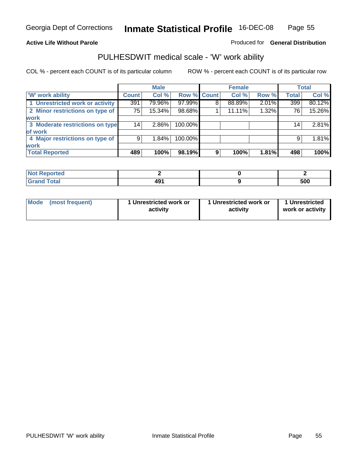### **Active Life Without Parole**

### Produced for **General Distribution**

## PULHESDWIT medical scale - 'W' work ability

|                                 |              | <b>Male</b> |             |   | <b>Female</b> |       |                 | <b>Total</b> |
|---------------------------------|--------------|-------------|-------------|---|---------------|-------|-----------------|--------------|
| <b>W' work ability</b>          | <b>Count</b> | Col %       | Row % Count |   | Col %         | Row % | <b>Total</b>    | Col %        |
| 1 Unrestricted work or activity | 391          | 79.96%      | 97.99%      | 8 | 88.89%        | 2.01% | 399             | 80.12%       |
| 2 Minor restrictions on type of | 75           | 15.34%      | 98.68%      |   | 11.11%        | 1.32% | 76              | 15.26%       |
| work                            |              |             |             |   |               |       |                 |              |
| 3 Moderate restrictions on type | 14           | $2.86\%$    | 100.00%     |   |               |       | 14 <sub>1</sub> | 2.81%        |
| of work                         |              |             |             |   |               |       |                 |              |
| 4 Major restrictions on type of | 9            | 1.84%       | 100.00%     |   |               |       | 9               | 1.81%        |
| <b>work</b>                     |              |             |             |   |               |       |                 |              |
| <b>Total Reported</b>           | 489          | 100%        | 98.19%      | 9 | 100%          | 1.81% | 498             | 100%         |

| orted<br><b>NOT</b><br>מונצ⊁ |     |     |
|------------------------------|-----|-----|
| <b>Total</b><br>-----        | 491 | 500 |

| Mode | (most frequent) | 1 Unrestricted work or<br>activity | 1 Unrestricted work or<br>activity | 1 Unrestricted<br>work or activity |
|------|-----------------|------------------------------------|------------------------------------|------------------------------------|
|      |                 |                                    |                                    |                                    |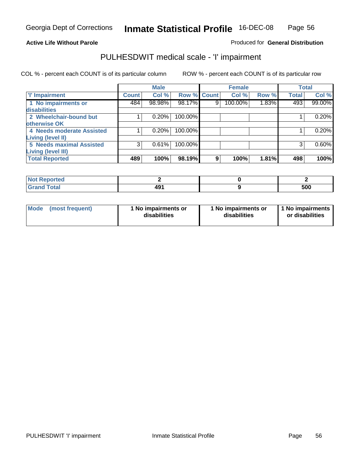### **Active Life Without Parole**

### Produced for **General Distribution**

## PULHESDWIT medical scale - 'I' impairment

|                                 |              | <b>Male</b> |                    |   | <b>Female</b> |       |              | <b>Total</b> |
|---------------------------------|--------------|-------------|--------------------|---|---------------|-------|--------------|--------------|
| <b>T' Impairment</b>            | <b>Count</b> | Col %       | <b>Row % Count</b> |   | Col %         | Row % | <b>Total</b> | Col %        |
| 1 No impairments or             | 484          | 98.98%      | 98.17%             | 9 | 100.00%       | 1.83% | 493          | 99.00%       |
| disabilities                    |              |             |                    |   |               |       |              |              |
| 2 Wheelchair-bound but          |              | 0.20%       | 100.00%            |   |               |       |              | 0.20%        |
| otherwise OK                    |              |             |                    |   |               |       |              |              |
| 4 Needs moderate Assisted       |              | 0.20%       | 100.00%            |   |               |       |              | 0.20%        |
| Living (level II)               |              |             |                    |   |               |       |              |              |
| <b>5 Needs maximal Assisted</b> | 3            | 0.61%       | 100.00%            |   |               |       |              | 0.60%        |
| <b>Living (level III)</b>       |              |             |                    |   |               |       |              |              |
| <b>Total Reported</b>           | 489          | 100%        | 98.19%             | 9 | 100%          | 1.81% | 498          | 100%l        |

| <b>Not Reported</b>          |     |     |
|------------------------------|-----|-----|
| <b>Total</b><br><b>Grand</b> | 491 | 500 |

| <b>Mode</b> | (most frequent) | 1 No impairments or<br>disabilities | 1 No impairments or<br>disabilities | 1 No impairments  <br>or disabilities |
|-------------|-----------------|-------------------------------------|-------------------------------------|---------------------------------------|
|-------------|-----------------|-------------------------------------|-------------------------------------|---------------------------------------|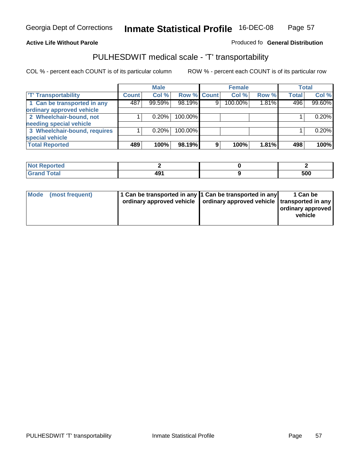#### **Inmate Statistical Profile** 16-DEC-08 Page Page 57

### **Active Life Without Parole Produced fo Seneral Distribution**

## PULHESDWIT medical scale - 'T' transportability

|                              |              | <b>Male</b> |             |   | <b>Female</b> |       |              | <b>Total</b> |
|------------------------------|--------------|-------------|-------------|---|---------------|-------|--------------|--------------|
| <b>T' Transportability</b>   | <b>Count</b> | Col %       | Row % Count |   | Col %         | Row % | <b>Total</b> | Col %        |
| 1 Can be transported in any  | 487          | 99.59%      | 98.19%      | 9 | 100.00%       | 1.81% | 496          | 99.60%       |
| ordinary approved vehicle    |              |             |             |   |               |       |              |              |
| 2 Wheelchair-bound, not      |              | 0.20%       | 100.00%     |   |               |       |              | 0.20%        |
| needing special vehicle      |              |             |             |   |               |       |              |              |
| 3 Wheelchair-bound, requires |              | 0.20%       | 100.00%     |   |               |       |              | 0.20%        |
| special vehicle              |              |             |             |   |               |       |              |              |
| <b>Total Reported</b>        | 489          | 100%        | 98.19%      | 9 | 100%          | 1.81% | 498          | 100%         |

| <b>Reported</b><br><b>NOT</b> |                      |     |
|-------------------------------|----------------------|-----|
| <b>Total</b>                  | $\sim$<br>–⊷<br>$ -$ | 500 |

| Mode (most frequent) | 1 Can be transported in any 1 Can be transported in any | ordinary approved vehicle   ordinary approved vehicle   transported in any | 1 Can be<br>  ordinary approved  <br>vehicle |
|----------------------|---------------------------------------------------------|----------------------------------------------------------------------------|----------------------------------------------|
|----------------------|---------------------------------------------------------|----------------------------------------------------------------------------|----------------------------------------------|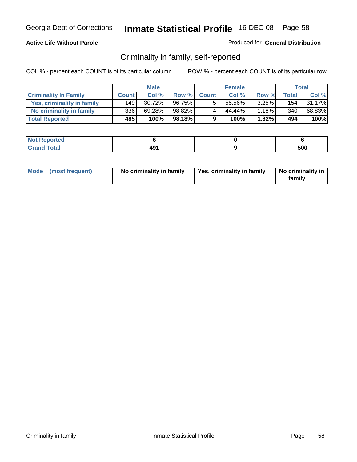### **Active Life Without Parole**

### Produced for **General Distribution**

## Criminality in family, self-reported

|                              |              | <b>Male</b> |        |              | <b>Female</b> |          |       | Total  |
|------------------------------|--------------|-------------|--------|--------------|---------------|----------|-------|--------|
| <b>Criminality In Family</b> | <b>Count</b> | Col %       | Row %  | <b>Count</b> | Col %         | Row %    | Total | Col %  |
| Yes, criminality in family   | 149          | 30.72%      | 96.75% | 5            | 55.56%        | $3.25\%$ | 154   | 31.17% |
| No criminality in family     | 3361         | 69.28%      | 98.82% | 4            | 44.44%        | $1.18\%$ | 340   | 68.83% |
| <b>Total Reported</b>        | 485          | 100%        | 98.18% | 9.           | 100%          | $1.82\%$ | 494   | 100%   |

| ported<br><b>NOT</b><br><b>IJCK</b> |                  |     |
|-------------------------------------|------------------|-----|
| $\sim$<br>Grar<br>$\sim$            | 101<br>--<br>___ | 500 |

| Mode (most frequent) | No criminality in family | Yes, criminality in family | No criminality in<br>family |
|----------------------|--------------------------|----------------------------|-----------------------------|
|----------------------|--------------------------|----------------------------|-----------------------------|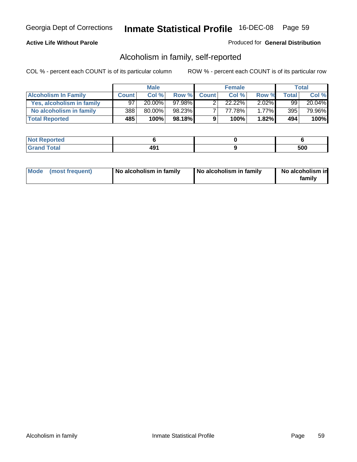### **Active Life Without Parole**

### Produced for **General Distribution**

## Alcoholism in family, self-reported

|                             |              | <b>Male</b> |        |              | <b>Female</b> |          |       | Total  |
|-----------------------------|--------------|-------------|--------|--------------|---------------|----------|-------|--------|
| <b>Alcoholism In Family</b> | <b>Count</b> | Col %       | Row %  | <b>Count</b> | Col %         | Row %    | Total | Col %  |
| Yes, alcoholism in family   | 97           | $20.00\%$   | 97.98% |              | 22.22%        | $2.02\%$ | 99    | 20.04% |
| No alcoholism in family     | 388          | 80.00%      | 98.23% |              | 77.78%        | $1.77\%$ | 395   | 79.96% |
| <b>Total Reported</b>       | 485          | 100%        | 98.18% | 9            | 100%          | $1.82\%$ | 494   | 100%   |

| oorted<br><b>NOT</b><br><b>IJGP</b> |     |             |
|-------------------------------------|-----|-------------|
| <b>c</b> otal<br>Gran<br>----       | 491 | - ^ ^<br>uu |

|  | Mode (most frequent) | No alcoholism in family | No alcoholism in family | No alcoholism in<br>familv |
|--|----------------------|-------------------------|-------------------------|----------------------------|
|--|----------------------|-------------------------|-------------------------|----------------------------|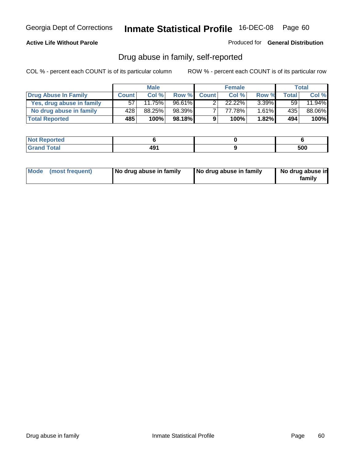### **Active Life Without Parole**

Produced for **General Distribution**

## Drug abuse in family, self-reported

|                           |              | <b>Male</b> |        |              | <b>Female</b> |          |                  | Total  |
|---------------------------|--------------|-------------|--------|--------------|---------------|----------|------------------|--------|
| Drug Abuse In Family      | <b>Count</b> | Col %       | Row %  | <b>Count</b> | Col %         | Row %    | <b>Total</b>     | Col %  |
| Yes, drug abuse in family | 57'          | 11.75%      | 96.61% |              | $22.22\%$     | $3.39\%$ | 59               | 11.94% |
| No drug abuse in family   | 428          | 88.25%      | 98.39% | ⇁            | 77.78%        | $1.61\%$ | 435 <sup>1</sup> | 88.06% |
| <b>Total Reported</b>     | 485          | 100%        | 98.18% | 9            | 100%          | $1.82\%$ | 494              | 100%   |

| oorted<br><b>NOT</b><br><b>IJGP</b> |     |             |
|-------------------------------------|-----|-------------|
| <b>c</b> otal<br>Gran<br>----       | 491 | - ^ ^<br>uu |

|  | Mode (most frequent) | No drug abuse in family | No drug abuse in family | No drug abuse in<br>family |
|--|----------------------|-------------------------|-------------------------|----------------------------|
|--|----------------------|-------------------------|-------------------------|----------------------------|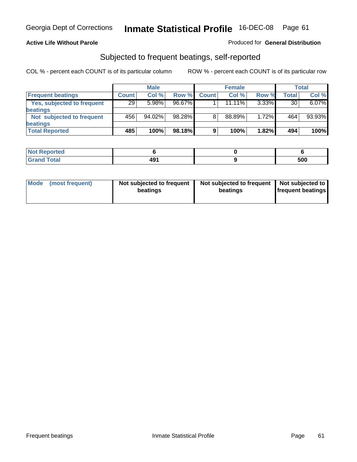### **Active Life Without Parole**

### Produced for **General Distribution**

## Subjected to frequent beatings, self-reported

|                            |              | <b>Male</b> |        |              | <b>Female</b> |          |       | <b>Total</b> |
|----------------------------|--------------|-------------|--------|--------------|---------------|----------|-------|--------------|
| <b>Frequent beatings</b>   | <b>Count</b> | Col%        | Row %  | <b>Count</b> | Col%          | Row %    | Total | Col %        |
| Yes, subjected to frequent | 29           | 5.98%       | 96.67% |              | $11.11\%$     | $3.33\%$ | 30    | 6.07%        |
| beatings                   |              |             |        |              |               |          |       |              |
| Not subjected to frequent  | 456          | 94.02%      | 98.28% | 8            | 88.89%        | 1.72%    | 464   | 93.93%       |
| beatings                   |              |             |        |              |               |          |       |              |
| <b>Total Reported</b>      | 485          | 100%        | 98.18% | 9            | 100%          | 1.82%    | 494   | 100%         |

| <b>Not Reported</b> |            |     |
|---------------------|------------|-----|
| Total<br>υιαι       | 404<br>. . | 500 |

| Mode<br>(most frequent) | beatings | Not subjected to frequent | Not subjected to frequent<br>beatings | Not subjected to<br><b>frequent beatings</b> |
|-------------------------|----------|---------------------------|---------------------------------------|----------------------------------------------|
|                         |          |                           |                                       |                                              |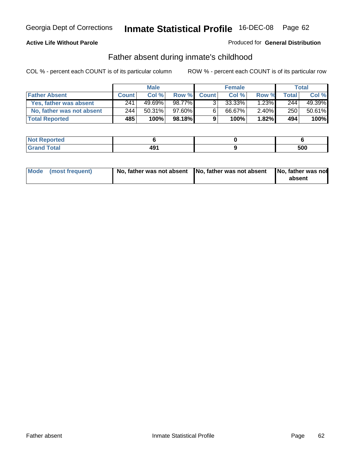### **Active Life Without Parole**

### Produced for **General Distribution**

## Father absent during inmate's childhood

|                           |              | <b>Male</b> |        |              | <b>Female</b> |          |       | Total  |
|---------------------------|--------------|-------------|--------|--------------|---------------|----------|-------|--------|
| <b>Father Absent</b>      | <b>Count</b> | Col %       | Row %  | <b>Count</b> | Col %         | Row %    | Total | Col %  |
| Yes, father was absent    | 241          | 49.69%      | 98.77% | 3.           | 33.33%        | 1.23%    | 244   | 49.39% |
| No, father was not absent | 244          | $50.31\%$   | 97.60% | 6            | 66.67%        | $2.40\%$ | 250   | 50.61% |
| <b>Total Reported</b>     | 485          | 100%        | 98.18% | 9            | 100%          | $1.82\%$ | 494   | 100%   |

| <b>Not Reported</b> |                 |     |
|---------------------|-----------------|-----|
| Total<br>Grano      | 101<br>т.<br>__ | 500 |

| Mode (most frequent) |  | 「No, father was not absent ┃No, father was not absent ┃No, father was not | absent |
|----------------------|--|---------------------------------------------------------------------------|--------|
|----------------------|--|---------------------------------------------------------------------------|--------|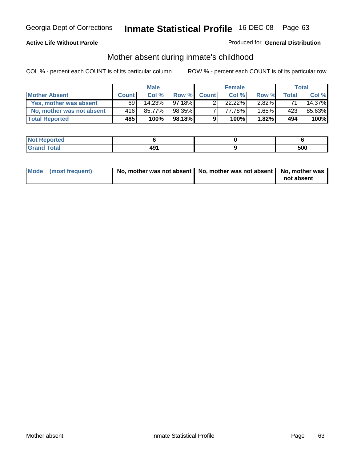### **Active Life Without Parole**

### Produced for **General Distribution**

# Mother absent during inmate's childhood

|                           |              | <b>Male</b> |           |              | <b>Female</b> |          |       | Total  |
|---------------------------|--------------|-------------|-----------|--------------|---------------|----------|-------|--------|
| <b>Mother Absent</b>      | <b>Count</b> | Col%        | Row %     | <b>Count</b> | Col %         | Row %    | Total | Col %  |
| Yes, mother was absent    | 69           | $14.23\%$   | 97.18%    |              | $22.22\%$     | $2.82\%$ | 71    | 14.37% |
| No, mother was not absent | 416'         | 85.77%      | 98.35%    |              | 77.78%        | $1.65\%$ | 423   | 85.63% |
| <b>Total Reported</b>     | 485          | 100%        | $98.18\%$ | 9            | 100%          | $1.82\%$ | 494   | 100%   |

| <b>Not Reported</b>   |     |            |
|-----------------------|-----|------------|
| <b>Total</b><br>Grand | 491 | cnn<br>งบบ |

| Mode (most frequent) | No, mother was not absent $\vert$ No, mother was not absent $\vert$ No, mother was | not absent |
|----------------------|------------------------------------------------------------------------------------|------------|
|                      |                                                                                    |            |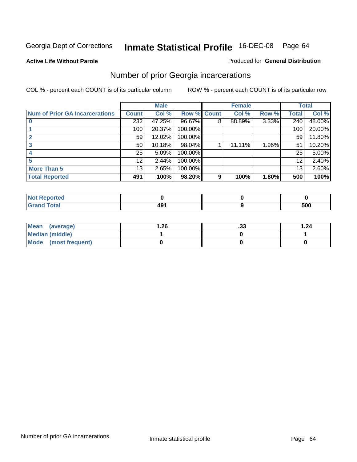**Active Life Without Parole** 

### Produced for **General Distribution**

## Number of prior Georgia incarcerations

|                                |                 | <b>Male</b> |                    |   | <b>Female</b> |       |       | <b>Total</b> |
|--------------------------------|-----------------|-------------|--------------------|---|---------------|-------|-------|--------------|
| Num of Prior GA Incarcerations | <b>Count</b>    | Col %       | <b>Row % Count</b> |   | Col %         | Row % | Total | Col %        |
|                                | 232             | 47.25%      | 96.67%             | 8 | 88.89%        | 3.33% | 240   | 48.00%       |
|                                | 100             | 20.37%      | 100.00%            |   |               |       | 100   | 20.00%       |
|                                | 59              | 12.02%      | 100.00%            |   |               |       | 59    | 11.80%       |
|                                | 50              | 10.18%      | 98.04%             |   | 11.11%        | 1.96% | 51    | 10.20%       |
|                                | 25              | 5.09%       | 100.00%            |   |               |       | 25    | 5.00%        |
|                                | 12 <sup>°</sup> | 2.44%       | 100.00%            |   |               |       | 12    | 2.40%        |
| <b>More Than 5</b>             | 13 <sub>1</sub> | 2.65%       | 100.00%            |   |               |       | 13    | 2.60%        |
| <b>Total Reported</b>          | 491             | 100%        | 98.20%             | 9 | 100%          | 1.80% | 500   | 100%         |

| <b>Not Reported</b> |     |     |
|---------------------|-----|-----|
| <b>otal</b>         | - - | 500 |

| Mean (average)       | 26.ا | . JJ | 1.24 |
|----------------------|------|------|------|
| Median (middle)      |      |      |      |
| Mode (most frequent) |      |      |      |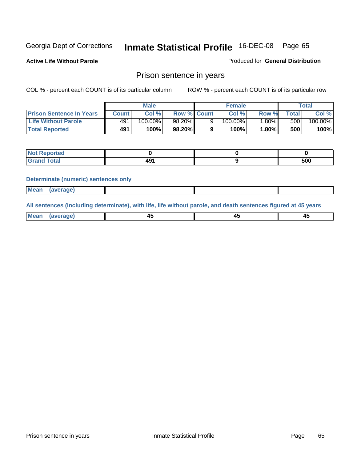**Active Life Without Parole** 

Produced for **General Distribution**

## Prison sentence in years

COL % - percent each COUNT is of its particular column ROW % - percent each COUNT is of its particular row

|                                 |         | <b>Male</b> |                    | <b>Female</b> |         |             | Total   |
|---------------------------------|---------|-------------|--------------------|---------------|---------|-------------|---------|
| <b>Prison Sentence In Years</b> | Count l | Col %       | <b>Row % Count</b> | Col %         | Row %   | $\tau$ otal | Col %   |
| <b>Life Without Parole</b>      | 491     | $100.00\%$  | 98.20%             | 100.00%       | $.80\%$ | 500         | 100.00% |
| <b>Total Reported</b>           | 491     | 100%        | 98.20%             | 100%          | 1.80%   | 500         | 100%    |

| Reported                     |             |     |
|------------------------------|-------------|-----|
| <b>Total</b><br>$\sim$ ı and | י הי<br>. J | 500 |

### **Determinate (numeric) sentences only**

|--|

**All sentences (including determinate), with life, life without parole, and death sentences figured at 45 years**

| Me           |             |        |              |
|--------------|-------------|--------|--------------|
| mе<br>.<br>. | ᠇<br>$\sim$ | $\sim$ | т.<br>$\sim$ |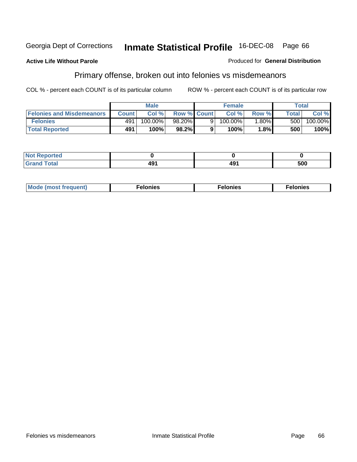### **Active Life Without Parole**

### Produced for **General Distribution**

## Primary offense, broken out into felonies vs misdemeanors

|                                  | <b>Male</b>  |         |                    | <b>Female</b> |            |         | Total |         |  |
|----------------------------------|--------------|---------|--------------------|---------------|------------|---------|-------|---------|--|
| <b>Felonies and Misdemeanors</b> | <b>Count</b> | Col %   | <b>Row % Count</b> |               | Col%       | Row %   | Total | Col %   |  |
| <b>Felonies</b>                  | 491          | 100.00% | $98.20\%$          |               | $100.00\%$ | $.80\%$ | 500   | 100.00% |  |
| <b>Total Reported</b>            | 491          | 100%    | 98.2%              |               | 100%       | 1.8%    | 500   | 100%    |  |

| ted<br>NO<br>$\sim$ |   |          |     |
|---------------------|---|----------|-----|
| --                  | . | ەە<br>᠇৺ | 500 |

| M <sub>0</sub><br>. | צאור<br>. | . |
|---------------------|-----------|---|
|---------------------|-----------|---|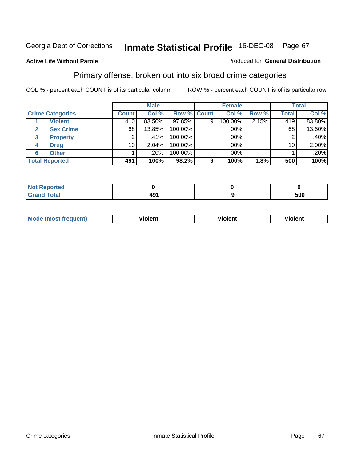### **Active Life Without Parole**

### Produced for **General Distribution**

## Primary offense, broken out into six broad crime categories

|                         | <b>Male</b>  |         |             | <b>Female</b> |         |       | <b>Total</b> |         |
|-------------------------|--------------|---------|-------------|---------------|---------|-------|--------------|---------|
| <b>Crime Categories</b> | <b>Count</b> | Col %   | Row % Count |               | Col %   | Row % | <b>Total</b> | Col %   |
| <b>Violent</b>          | 410          | 83.50%  | 97.85%      | 9             | 100.00% | 2.15% | 419          | 83.80%  |
| <b>Sex Crime</b>        | 68           | 13.85%  | 100.00%     |               | .00%    |       | 68           | 13.60%  |
| <b>Property</b><br>3    |              | $.41\%$ | 100.00%     |               | .00%    |       |              | $.40\%$ |
| <b>Drug</b><br>4        | 10           | 2.04%   | 100.00%     |               | .00%    |       | 10           | 2.00%   |
| <b>Other</b><br>6       |              | .20%    | 100.00%     |               | .00%    |       |              | .20%    |
| <b>Total Reported</b>   | 491          | 100%    | 98.2%       | 9             | 100%    | 1.8%  | 500          | 100%    |

| <b>Reported</b><br>$\sim$      |     |     |
|--------------------------------|-----|-----|
| <b>Total</b><br>$\blacksquare$ | 491 | 500 |

| Mc | - - | 'חםור |  |
|----|-----|-------|--|
|    |     |       |  |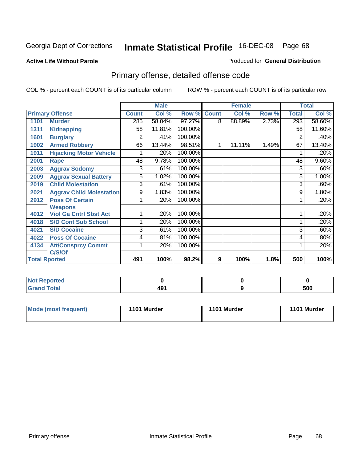### **Active Life Without Parole**

### Produced for **General Distribution**

## Primary offense, detailed offense code

|      |                                 |              | <b>Male</b> |         |              | <b>Female</b> |       |              | <b>Total</b> |
|------|---------------------------------|--------------|-------------|---------|--------------|---------------|-------|--------------|--------------|
|      | <b>Primary Offense</b>          | <b>Count</b> | Col %       | Row %   | <b>Count</b> | Col %         | Row % | <b>Total</b> | Col %        |
| 1101 | <b>Murder</b>                   | 285          | 58.04%      | 97.27%  | 8            | 88.89%        | 2.73% | 293          | 58.60%       |
| 1311 | <b>Kidnapping</b>               | 58           | 11.81%      | 100.00% |              |               |       | 58           | 11.60%       |
| 1601 | <b>Burglary</b>                 | 2            | .41%        | 100.00% |              |               |       | 2            | .40%         |
| 1902 | <b>Armed Robbery</b>            | 66           | 13.44%      | 98.51%  | 1            | 11.11%        | 1.49% | 67           | 13.40%       |
| 1911 | <b>Hijacking Motor Vehicle</b>  |              | .20%        | 100.00% |              |               |       |              | .20%         |
| 2001 | Rape                            | 48           | 9.78%       | 100.00% |              |               |       | 48           | 9.60%        |
| 2003 | <b>Aggrav Sodomy</b>            | 3            | .61%        | 100.00% |              |               |       | 3            | .60%         |
| 2009 | <b>Aggrav Sexual Battery</b>    | 5            | 1.02%       | 100.00% |              |               |       | 5            | 1.00%        |
| 2019 | <b>Child Molestation</b>        | 3            | .61%        | 100.00% |              |               |       | 3            | .60%         |
| 2021 | <b>Aggrav Child Molestation</b> | 9            | 1.83%       | 100.00% |              |               |       | 9            | 1.80%        |
| 2912 | <b>Poss Of Certain</b>          |              | .20%        | 100.00% |              |               |       |              | .20%         |
|      | <b>Weapons</b>                  |              |             |         |              |               |       |              |              |
| 4012 | <b>Viol Ga Cntrl Sbst Act</b>   |              | .20%        | 100.00% |              |               |       |              | .20%         |
| 4018 | <b>S/D Cont Sub School</b>      |              | .20%        | 100.00% |              |               |       |              | .20%         |
| 4021 | <b>S/D Cocaine</b>              | 3            | .61%        | 100.00% |              |               |       | 3            | .60%         |
| 4022 | <b>Poss Of Cocaine</b>          | 4            | .81%        | 100.00% |              |               |       | 4            | .80%         |
| 4134 | <b>Att/Consprcy Commt</b>       | 1            | .20%        | 100.00% |              |               |       |              | .20%         |
|      | C/S/Of                          |              |             |         |              |               |       |              |              |
|      | <b>Total Rported</b>            | 491          | 100%        | 98.2%   | 9            | 100%          | 1.8%  | 500          | 100%         |

| Reported<br><b>NOT</b>   |          |     |
|--------------------------|----------|-----|
| <b>Total</b><br>$\sim$ . | "<br>-45 | 500 |

| Mode (most frequent) | 1101 Murder | 1101 Murder | 1101 Murder |
|----------------------|-------------|-------------|-------------|
|----------------------|-------------|-------------|-------------|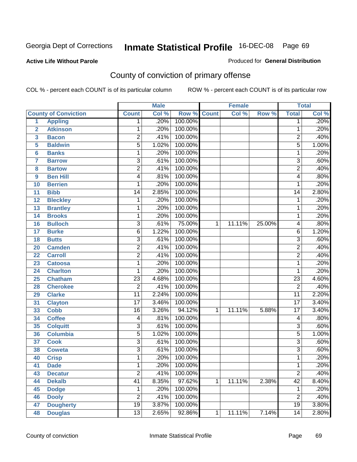Produced for **General Distribution**

### **Active Life Without Parole**

## County of conviction of primary offense

|                         |                             |                 | <b>Male</b> |         |              | <b>Female</b> |        |                 | <b>Total</b> |
|-------------------------|-----------------------------|-----------------|-------------|---------|--------------|---------------|--------|-----------------|--------------|
|                         | <b>County of Conviction</b> | <b>Count</b>    | Col %       | Row %   | <b>Count</b> | Col %         | Row %  | <b>Total</b>    | Col %        |
| 1                       | <b>Appling</b>              | 1               | .20%        | 100.00% |              |               |        | 1               | .20%         |
| $\overline{2}$          | <b>Atkinson</b>             | 1               | .20%        | 100.00% |              |               |        | 1               | .20%         |
| $\overline{\mathbf{3}}$ | <b>Bacon</b>                | $\overline{2}$  | .41%        | 100.00% |              |               |        | $\overline{2}$  | .40%         |
| 5                       | <b>Baldwin</b>              | $\overline{5}$  | 1.02%       | 100.00% |              |               |        | $\overline{5}$  | 1.00%        |
| 6                       | <b>Banks</b>                | 1               | .20%        | 100.00% |              |               |        | 1               | .20%         |
| $\overline{7}$          | <b>Barrow</b>               | $\overline{3}$  | .61%        | 100.00% |              |               |        | $\overline{3}$  | .60%         |
| 8                       | <b>Bartow</b>               | $\overline{2}$  | .41%        | 100.00% |              |               |        | $\overline{2}$  | .40%         |
| 9                       | <b>Ben Hill</b>             | 4               | .81%        | 100.00% |              |               |        | 4               | .80%         |
| 10                      | <b>Berrien</b>              | 1               | .20%        | 100.00% |              |               |        | 1               | .20%         |
| 11                      | <b>Bibb</b>                 | 14              | 2.85%       | 100.00% |              |               |        | 14              | 2.80%        |
| 12                      | <b>Bleckley</b>             | 1               | .20%        | 100.00% |              |               |        | 1               | .20%         |
| 13                      | <b>Brantley</b>             | 1               | .20%        | 100.00% |              |               |        | 1               | .20%         |
| 14                      | <b>Brooks</b>               | 1               | .20%        | 100.00% |              |               |        | 1               | .20%         |
| 16                      | <b>Bulloch</b>              | $\overline{3}$  | .61%        | 75.00%  | 1            | 11.11%        | 25.00% | 4               | .80%         |
| 17                      | <b>Burke</b>                | $\overline{6}$  | 1.22%       | 100.00% |              |               |        | $\overline{6}$  | 1.20%        |
| 18                      | <b>Butts</b>                | $\overline{3}$  | .61%        | 100.00% |              |               |        | $\overline{3}$  | .60%         |
| 20                      | <b>Camden</b>               | $\overline{2}$  | .41%        | 100.00% |              |               |        | $\overline{2}$  | .40%         |
| 22                      | <b>Carroll</b>              | $\overline{2}$  | .41%        | 100.00% |              |               |        | $\overline{2}$  | .40%         |
| 23                      | <b>Catoosa</b>              | 1               | .20%        | 100.00% |              |               |        | 1               | .20%         |
| 24                      | <b>Charlton</b>             | 1               | .20%        | 100.00% |              |               |        | 1               | .20%         |
| 25                      | <b>Chatham</b>              | $\overline{23}$ | 4.68%       | 100.00% |              |               |        | $\overline{23}$ | 4.60%        |
| 28                      | <b>Cherokee</b>             | $\overline{2}$  | .41%        | 100.00% |              |               |        | $\overline{2}$  | .40%         |
| 29                      | <b>Clarke</b>               | $\overline{11}$ | 2.24%       | 100.00% |              |               |        | $\overline{11}$ | 2.20%        |
| 31                      | <b>Clayton</b>              | $\overline{17}$ | 3.46%       | 100.00% |              |               |        | $\overline{17}$ | 3.40%        |
| 33                      | <b>Cobb</b>                 | 16              | 3.26%       | 94.12%  | 1            | 11.11%        | 5.88%  | $\overline{17}$ | 3.40%        |
| 34                      | <b>Coffee</b>               | 4               | .81%        | 100.00% |              |               |        | 4               | .80%         |
| 35                      | <b>Colquitt</b>             | $\overline{3}$  | .61%        | 100.00% |              |               |        | $\overline{3}$  | .60%         |
| 36                      | <b>Columbia</b>             | $\overline{5}$  | 1.02%       | 100.00% |              |               |        | $\overline{5}$  | 1.00%        |
| 37                      | <b>Cook</b>                 | $\overline{3}$  | .61%        | 100.00% |              |               |        | $\overline{3}$  | .60%         |
| 38                      | <b>Coweta</b>               | $\overline{3}$  | .61%        | 100.00% |              |               |        | $\overline{3}$  | .60%         |
| 40                      | <b>Crisp</b>                | 1               | .20%        | 100.00% |              |               |        | 1               | .20%         |
| 41                      | <b>Dade</b>                 | 1               | .20%        | 100.00% |              |               |        | 1               | .20%         |
| 43                      | <b>Decatur</b>              | $\overline{2}$  | .41%        | 100.00% |              |               |        | $\overline{2}$  | .40%         |
| 44                      | <b>Dekalb</b>               | $\overline{41}$ | 8.35%       | 97.62%  | 1            | 11.11%        | 2.38%  | $\overline{42}$ | 8.40%        |
| 45                      | <b>Dodge</b>                | 1               | .20%        | 100.00% |              |               |        | 1               | .20%         |
| 46                      | <b>Dooly</b>                | $\overline{2}$  | .41%        | 100.00% |              |               |        | $\overline{2}$  | .40%         |
| 47                      | <b>Dougherty</b>            | $\overline{19}$ | 3.87%       | 100.00% |              |               |        | 19              | 3.80%        |
| 48                      | <b>Douglas</b>              | $\overline{13}$ | 2.65%       | 92.86%  | 1            | 11.11%        | 7.14%  | $\overline{14}$ | 2.80%        |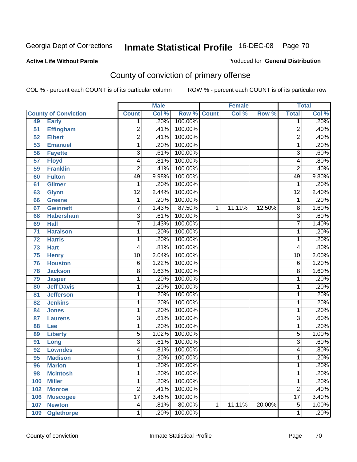**Active Life Without Parole** 

Produced for **General Distribution**

## County of conviction of primary offense

|     |                             |                         | <b>Male</b> |                    |   | <b>Female</b> |        |                 | <b>Total</b> |
|-----|-----------------------------|-------------------------|-------------|--------------------|---|---------------|--------|-----------------|--------------|
|     | <b>County of Conviction</b> | <b>Count</b>            | Col %       | <b>Row % Count</b> |   | Col %         | Row %  | <b>Total</b>    | Col %        |
| 49  | <b>Early</b>                | 1                       | .20%        | 100.00%            |   |               |        | 1               | .20%         |
| 51  | <b>Effingham</b>            | 2                       | .41%        | 100.00%            |   |               |        | $\overline{2}$  | .40%         |
| 52  | <b>Elbert</b>               | $\overline{2}$          | .41%        | 100.00%            |   |               |        | $\overline{2}$  | .40%         |
| 53  | <b>Emanuel</b>              | 1                       | .20%        | 100.00%            |   |               |        | 1               | .20%         |
| 56  | <b>Fayette</b>              | $\overline{3}$          | .61%        | 100.00%            |   |               |        | $\overline{3}$  | .60%         |
| 57  | <b>Floyd</b>                | 4                       | .81%        | 100.00%            |   |               |        | 4               | .80%         |
| 59  | <b>Franklin</b>             | $\overline{2}$          | .41%        | 100.00%            |   |               |        | $\overline{2}$  | .40%         |
| 60  | <b>Fulton</b>               | 49                      | 9.98%       | 100.00%            |   |               |        | 49              | 9.80%        |
| 61  | <b>Gilmer</b>               | 1                       | .20%        | 100.00%            |   |               |        | 1               | .20%         |
| 63  | <b>Glynn</b>                | $\overline{12}$         | 2.44%       | 100.00%            |   |               |        | $\overline{12}$ | 2.40%        |
| 66  | Greene                      | 1                       | .20%        | 100.00%            |   |               |        | 1               | .20%         |
| 67  | <b>Gwinnett</b>             | 7                       | 1.43%       | 87.50%             | 1 | 11.11%        | 12.50% | 8               | 1.60%        |
| 68  | <b>Habersham</b>            | $\overline{3}$          | .61%        | 100.00%            |   |               |        | $\overline{3}$  | .60%         |
| 69  | <b>Hall</b>                 | 7                       | 1.43%       | 100.00%            |   |               |        | $\overline{7}$  | 1.40%        |
| 71  | <b>Haralson</b>             | 1                       | .20%        | 100.00%            |   |               |        | 1               | .20%         |
| 72  | <b>Harris</b>               | 1                       | .20%        | 100.00%            |   |               |        | 1               | .20%         |
| 73  | <b>Hart</b>                 | 4                       | .81%        | 100.00%            |   |               |        | 4               | .80%         |
| 75  | <b>Henry</b>                | $\overline{10}$         | 2.04%       | 100.00%            |   |               |        | 10              | 2.00%        |
| 76  | <b>Houston</b>              | $\overline{6}$          | 1.22%       | 100.00%            |   |               |        | 6               | 1.20%        |
| 78  | <b>Jackson</b>              | 8                       | 1.63%       | 100.00%            |   |               |        | 8               | 1.60%        |
| 79  | <b>Jasper</b>               | 1                       | .20%        | 100.00%            |   |               |        | 1               | .20%         |
| 80  | <b>Jeff Davis</b>           | 1                       | .20%        | 100.00%            |   |               |        | 1               | .20%         |
| 81  | <b>Jefferson</b>            | 1                       | .20%        | 100.00%            |   |               |        | 1               | .20%         |
| 82  | <b>Jenkins</b>              | 1                       | .20%        | 100.00%            |   |               |        | 1               | .20%         |
| 84  | <b>Jones</b>                | 1                       | .20%        | 100.00%            |   |               |        | 1               | .20%         |
| 87  | <b>Laurens</b>              | $\overline{3}$          | .61%        | 100.00%            |   |               |        | $\overline{3}$  | .60%         |
| 88  | Lee                         | 1                       | .20%        | 100.00%            |   |               |        | 1               | .20%         |
| 89  | <b>Liberty</b>              | 5                       | 1.02%       | 100.00%            |   |               |        | $\overline{5}$  | 1.00%        |
| 91  | Long                        | $\overline{3}$          | .61%        | 100.00%            |   |               |        | $\overline{3}$  | .60%         |
| 92  | <b>Lowndes</b>              | 4                       | .81%        | 100.00%            |   |               |        | 4               | .80%         |
| 95  | <b>Madison</b>              | 1                       | .20%        | 100.00%            |   |               |        | 1               | .20%         |
| 96  | <b>Marion</b>               | 1                       | .20%        | 100.00%            |   |               |        | 1               | .20%         |
| 98  | <b>Mcintosh</b>             | 1                       | .20%        | 100.00%            |   |               |        | 1               | .20%         |
| 100 | <b>Miller</b>               | 1                       | .20%        | 100.00%            |   |               |        | 1               | .20%         |
| 102 | <b>Monroe</b>               | $\overline{2}$          | .41%        | 100.00%            |   |               |        | $\overline{2}$  | .40%         |
| 106 | <b>Muscogee</b>             | $\overline{17}$         | 3.46%       | 100.00%            |   |               |        | $\overline{17}$ | 3.40%        |
| 107 | <b>Newton</b>               | $\overline{\mathbf{4}}$ | .81%        | 80.00%             | 1 | 11.11%        | 20.00% | $\overline{5}$  | 1.00%        |
| 109 | <b>Oglethorpe</b>           | 1                       | .20%        | 100.00%            |   |               |        | 1               | .20%         |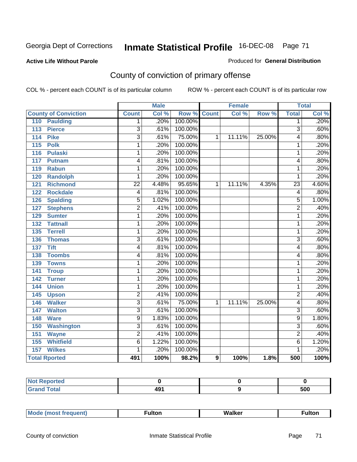### **Active Life Without Parole**

### Produced for **General Distribution**

## County of conviction of primary offense

|                                 |                           | <b>Male</b> |         | <b>Female</b> |        | <b>Total</b> |                 |       |
|---------------------------------|---------------------------|-------------|---------|---------------|--------|--------------|-----------------|-------|
| <b>County of Conviction</b>     | <b>Count</b>              | Col %       | Row %   | <b>Count</b>  | Col %  | Row %        | <b>Total</b>    | Col % |
| <b>Paulding</b><br>110          | 1                         | .20%        | 100.00% |               |        |              | 1               | .20%  |
| 113<br><b>Pierce</b>            | $\overline{3}$            | .61%        | 100.00% |               |        |              | $\overline{3}$  | .60%  |
| <b>Pike</b><br>114              | $\overline{3}$            | .61%        | 75.00%  | 1             | 11.11% | 25.00%       | 4               | .80%  |
| $\overline{115}$<br><b>Polk</b> | $\overline{1}$            | .20%        | 100.00% |               |        |              | $\mathbf{1}$    | .20%  |
| 116<br><b>Pulaski</b>           | 1                         | .20%        | 100.00% |               |        |              | 1               | .20%  |
| 117<br>Putnam                   | 4                         | .81%        | 100.00% |               |        |              | 4               | .80%  |
| 119<br><b>Rabun</b>             | 1                         | .20%        | 100.00% |               |        |              | 1               | .20%  |
| 120<br><b>Randolph</b>          | 1                         | .20%        | 100.00% |               |        |              | 1               | .20%  |
| <b>Richmond</b><br>121          | $\overline{22}$           | 4.48%       | 95.65%  | 1             | 11.11% | 4.35%        | $\overline{23}$ | 4.60% |
| <b>Rockdale</b><br>122          | 4                         | .81%        | 100.00% |               |        |              | 4               | .80%  |
| <b>Spalding</b><br>126          | $\overline{5}$            | 1.02%       | 100.00% |               |        |              | 5               | 1.00% |
| <b>Stephens</b><br>127          | $\overline{2}$            | .41%        | 100.00% |               |        |              | $\overline{2}$  | .40%  |
| 129<br><b>Sumter</b>            | 1                         | .20%        | 100.00% |               |        |              | $\mathbf{1}$    | .20%  |
| <b>Tattnall</b><br>132          | 1                         | .20%        | 100.00% |               |        |              | $\mathbf{1}$    | .20%  |
| <b>Terrell</b><br>135           | 1                         | .20%        | 100.00% |               |        |              | $\mathbf{1}$    | .20%  |
| 136<br><b>Thomas</b>            | $\overline{3}$            | .61%        | 100.00% |               |        |              | 3               | .60%  |
| <b>Tift</b><br>137              | 4                         | .81%        | 100.00% |               |        |              | 4               | .80%  |
| <b>Toombs</b><br>138            | 4                         | .81%        | 100.00% |               |        |              | 4               | .80%  |
| 139<br><b>Towns</b>             | 1                         | .20%        | 100.00% |               |        |              | 1               | .20%  |
| 141<br><b>Troup</b>             | 1                         | .20%        | 100.00% |               |        |              | 1               | .20%  |
| 142<br><b>Turner</b>            | 1                         | .20%        | 100.00% |               |        |              | 1               | .20%  |
| 144<br><b>Union</b>             | 1                         | .20%        | 100.00% |               |        |              | 1               | .20%  |
| 145<br><b>Upson</b>             | $\overline{2}$            | .41%        | 100.00% |               |        |              | $\overline{2}$  | .40%  |
| <b>Walker</b><br>146            | $\overline{\overline{3}}$ | .61%        | 75.00%  | 1             | 11.11% | 25.00%       | 4               | .80%  |
| 147<br><b>Walton</b>            | $\overline{3}$            | .61%        | 100.00% |               |        |              | $\overline{3}$  | .60%  |
| 148<br><b>Ware</b>              | 9                         | 1.83%       | 100.00% |               |        |              | 9               | 1.80% |
| <b>Washington</b><br>150        | $\overline{3}$            | .61%        | 100.00% |               |        |              | $\overline{3}$  | .60%  |
| 151<br><b>Wayne</b>             | $\overline{2}$            | .41%        | 100.00% |               |        |              | $\overline{2}$  | .40%  |
| <b>Whitfield</b><br>155         | $\overline{6}$            | 1.22%       | 100.00% |               |        |              | $\overline{6}$  | 1.20% |
| <b>Wilkes</b><br>157            | 1                         | .20%        | 100.00% |               |        |              | 1               | .20%  |
| <b>Total Rported</b>            | 491                       | 100%        | 98.2%   | 9             | 100%   | 1.8%         | 500             | 100%  |

| Reported<br>NOT. |     |     |
|------------------|-----|-----|
| <b>Total</b>     | 491 | 500 |

| _____ |  | Мe | τοη<br>ur. | <b>Walker</b> | ultor |
|-------|--|----|------------|---------------|-------|
|-------|--|----|------------|---------------|-------|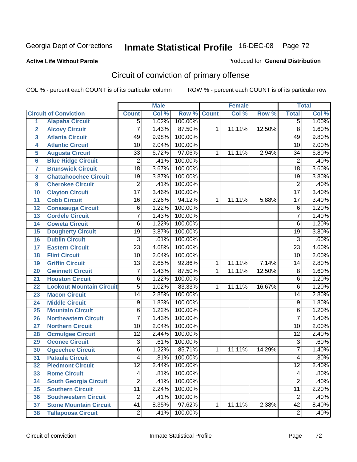### **Active Life Without Parole**

### Produced for **General Distribution**

## Circuit of conviction of primary offense

|                         |                                 |                 | <b>Male</b> |         |              | <b>Female</b> |        |                 | <b>Total</b> |
|-------------------------|---------------------------------|-----------------|-------------|---------|--------------|---------------|--------|-----------------|--------------|
|                         | <b>Circuit of Conviction</b>    | <b>Count</b>    | Col %       | Row %   | <b>Count</b> | Col %         | Row %  | <b>Total</b>    | Col %        |
| 1                       | <b>Alapaha Circuit</b>          | $\overline{5}$  | 1.02%       | 100.00% |              |               |        | 5               | 1.00%        |
| $\overline{2}$          | <b>Alcovy Circuit</b>           | 7               | 1.43%       | 87.50%  | 1            | 11.11%        | 12.50% | $\overline{8}$  | 1.60%        |
| $\overline{\mathbf{3}}$ | <b>Atlanta Circuit</b>          | 49              | 9.98%       | 100.00% |              |               |        | 49              | 9.80%        |
| 4                       | <b>Atlantic Circuit</b>         | $\overline{10}$ | 2.04%       | 100.00% |              |               |        | 10              | 2.00%        |
| 5                       | <b>Augusta Circuit</b>          | $\overline{33}$ | 6.72%       | 97.06%  | 1            | 11.11%        | 2.94%  | 34              | 6.80%        |
| $6\phantom{a}$          | <b>Blue Ridge Circuit</b>       | $\overline{2}$  | .41%        | 100.00% |              |               |        | $\overline{2}$  | .40%         |
| $\overline{\mathbf{7}}$ | <b>Brunswick Circuit</b>        | $\overline{18}$ | 3.67%       | 100.00% |              |               |        | $\overline{18}$ | 3.60%        |
| 8                       | <b>Chattahoochee Circuit</b>    | $\overline{19}$ | 3.87%       | 100.00% |              |               |        | $\overline{19}$ | 3.80%        |
| 9                       | <b>Cherokee Circuit</b>         | $\overline{2}$  | .41%        | 100.00% |              |               |        | $\overline{2}$  | .40%         |
| 10                      | <b>Clayton Circuit</b>          | $\overline{17}$ | 3.46%       | 100.00% |              |               |        | $\overline{17}$ | 3.40%        |
| 11                      | <b>Cobb Circuit</b>             | 16              | 3.26%       | 94.12%  | 1            | 11.11%        | 5.88%  | $\overline{17}$ | 3.40%        |
| 12                      | <b>Conasauga Circuit</b>        | 6               | 1.22%       | 100.00% |              |               |        | 6               | 1.20%        |
| 13                      | <b>Cordele Circuit</b>          | 7               | 1.43%       | 100.00% |              |               |        | $\overline{7}$  | 1.40%        |
| 14                      | <b>Coweta Circuit</b>           | 6               | 1.22%       | 100.00% |              |               |        | $\overline{6}$  | 1.20%        |
| 15                      | <b>Dougherty Circuit</b>        | $\overline{19}$ | 3.87%       | 100.00% |              |               |        | $\overline{19}$ | 3.80%        |
| 16                      | <b>Dublin Circuit</b>           | $\overline{3}$  | .61%        | 100.00% |              |               |        | $\overline{3}$  | .60%         |
| 17                      | <b>Eastern Circuit</b>          | $\overline{23}$ | 4.68%       | 100.00% |              |               |        | $\overline{23}$ | 4.60%        |
| 18                      | <b>Flint Circuit</b>            | $\overline{10}$ | 2.04%       | 100.00% |              |               |        | 10              | 2.00%        |
| 19                      | <b>Griffin Circuit</b>          | $\overline{13}$ | 2.65%       | 92.86%  | $\mathbf{1}$ | 11.11%        | 7.14%  | 14              | 2.80%        |
| 20                      | <b>Gwinnett Circuit</b>         | $\overline{7}$  | 1.43%       | 87.50%  | 1            | 11.11%        | 12.50% | 8               | 1.60%        |
| 21                      | <b>Houston Circuit</b>          | 6               | 1.22%       | 100.00% |              |               |        | $\overline{6}$  | 1.20%        |
| 22                      | <b>Lookout Mountain Circuit</b> | $\overline{5}$  | 1.02%       | 83.33%  | 1            | 11.11%        | 16.67% | 6               | 1.20%        |
| 23                      | <b>Macon Circuit</b>            | 14              | 2.85%       | 100.00% |              |               |        | 14              | 2.80%        |
| 24                      | <b>Middle Circuit</b>           | $\overline{9}$  | 1.83%       | 100.00% |              |               |        | $\overline{9}$  | 1.80%        |
| 25                      | <b>Mountain Circuit</b>         | 6               | 1.22%       | 100.00% |              |               |        | 6               | 1.20%        |
| 26                      | <b>Northeastern Circuit</b>     | $\overline{7}$  | 1.43%       | 100.00% |              |               |        | $\overline{7}$  | 1.40%        |
| 27                      | <b>Northern Circuit</b>         | $\overline{10}$ | 2.04%       | 100.00% |              |               |        | 10              | 2.00%        |
| 28                      | <b>Ocmulgee Circuit</b>         | $\overline{12}$ | 2.44%       | 100.00% |              |               |        | $\overline{12}$ | 2.40%        |
| 29                      | <b>Oconee Circuit</b>           | $\overline{3}$  | .61%        | 100.00% |              |               |        | $\overline{3}$  | .60%         |
| 30                      | <b>Ogeechee Circuit</b>         | $\overline{6}$  | 1.22%       | 85.71%  | 1            | 11.11%        | 14.29% | $\overline{7}$  | 1.40%        |
| $\overline{31}$         | <b>Pataula Circuit</b>          | 4               | .81%        | 100.00% |              |               |        | 4               | .80%         |
| 32                      | <b>Piedmont Circuit</b>         | 12              | 2.44%       | 100.00% |              |               |        | 12              | 2.40%        |
| 33                      | <b>Rome Circuit</b>             | 4               | .81%        | 100.00% |              |               |        | 4               | .80%         |
| 34                      | <b>South Georgia Circuit</b>    | $\overline{2}$  | .41%        | 100.00% |              |               |        | $\overline{2}$  | .40%         |
| 35                      | <b>Southern Circuit</b>         | $\overline{11}$ | 2.24%       | 100.00% |              |               |        | $\overline{11}$ | 2.20%        |
| 36                      | <b>Southwestern Circuit</b>     | $\overline{2}$  | .41%        | 100.00% |              |               |        | $\overline{2}$  | .40%         |
| 37                      | <b>Stone Mountain Circuit</b>   | 41              | 8.35%       | 97.62%  | 1            | 11.11%        | 2.38%  | $\overline{42}$ | 8.40%        |
| 38                      | <b>Tallapoosa Circuit</b>       | $\overline{2}$  | .41%        | 100.00% |              |               |        | $\overline{2}$  | .40%         |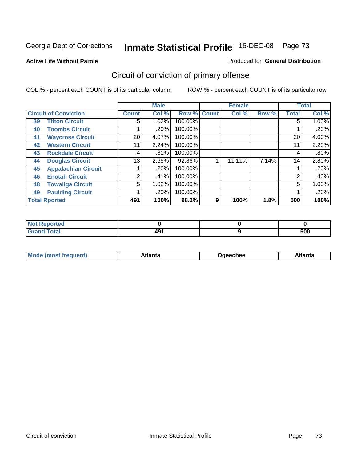**Active Life Without Parole** 

#### Produced for **General Distribution**

# Circuit of conviction of primary offense

|    |                              |              | <b>Male</b> |         |              | <b>Female</b> |       |              | <b>Total</b> |
|----|------------------------------|--------------|-------------|---------|--------------|---------------|-------|--------------|--------------|
|    | <b>Circuit of Conviction</b> | <b>Count</b> | Col %       | Row %   | <b>Count</b> | Col %         | Row % | <b>Total</b> | Col %        |
| 39 | <b>Tifton Circuit</b>        | 5            | $1.02\%$    | 100.00% |              |               |       | 5            | $1.00\%$     |
| 40 | <b>Toombs Circuit</b>        |              | $.20\%$     | 100.00% |              |               |       |              | .20%         |
| 41 | <b>Waycross Circuit</b>      | 20           | 4.07%       | 100.00% |              |               |       | 20           | 4.00%        |
| 42 | <b>Western Circuit</b>       | 11           | 2.24%       | 100.00% |              |               |       | 11           | 2.20%        |
| 43 | <b>Rockdale Circuit</b>      | 4            | .81%        | 100.00% |              |               |       | 4            | .80%         |
| 44 | <b>Douglas Circuit</b>       | 13           | 2.65%       | 92.86%  |              | 11.11%        | 7.14% | 14           | 2.80%        |
| 45 | <b>Appalachian Circuit</b>   |              | .20%        | 100.00% |              |               |       |              | .20%         |
| 46 | <b>Enotah Circuit</b>        | 2            | .41%        | 100.00% |              |               |       | 2            | .40%         |
| 48 | <b>Towaliga Circuit</b>      | 5            | 1.02%       | 100.00% |              |               |       | 5            | 1.00%        |
| 49 | <b>Paulding Circuit</b>      |              | .20%        | 100.00% |              |               |       |              | .20%         |
|    | <b>Total Rported</b>         | 491          | 100%        | 98.2%   | 9            | 100%          | 1.8%  | 500          | 100%         |

| . Reported<br>' NOT     |     |     |
|-------------------------|-----|-----|
| <b>c</b> otal<br>______ | 491 | 500 |

| Mod<br>lante<br>frequent)<br>Jaeechee<br><b>IMOST</b> T | \tlanta |
|---------------------------------------------------------|---------|
|---------------------------------------------------------|---------|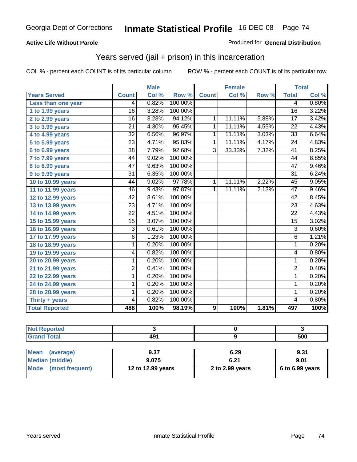### **Active Life Without Parole**

#### Produced for **General Distribution**

## Years served (jail + prison) in this incarceration

|                       |                 | <b>Male</b> |         |                | <b>Female</b> |       |                 | <b>Total</b> |
|-----------------------|-----------------|-------------|---------|----------------|---------------|-------|-----------------|--------------|
| <b>Years Served</b>   | <b>Count</b>    | Col %       | Row %   | <b>Count</b>   | Col %         | Row % | <b>Total</b>    | Col %        |
| Less than one year    | 4               | 0.82%       | 100.00% |                |               |       | 4               | 0.80%        |
| 1 to 1.99 years       | $\overline{16}$ | 3.28%       | 100.00% |                |               |       | $\overline{16}$ | 3.22%        |
| 2 to 2.99 years       | $\overline{16}$ | 3.28%       | 94.12%  | 1              | 11.11%        | 5.88% | $\overline{17}$ | 3.42%        |
| 3 to 3.99 years       | 21              | 4.30%       | 95.45%  | $\mathbf{1}$   | 11.11%        | 4.55% | 22              | 4.43%        |
| 4 to 4.99 years       | $\overline{32}$ | 6.56%       | 96.97%  | $\mathbf{1}$   | 11.11%        | 3.03% | $\overline{33}$ | 6.64%        |
| 5 to 5.99 years       | $\overline{23}$ | 4.71%       | 95.83%  | 1              | 11.11%        | 4.17% | $\overline{24}$ | 4.83%        |
| 6 to 6.99 years       | $\overline{38}$ | 7.79%       | 92.68%  | $\overline{3}$ | 33.33%        | 7.32% | $\overline{41}$ | 8.25%        |
| 7 to 7.99 years       | 44              | 9.02%       | 100.00% |                |               |       | 44              | 8.85%        |
| 8 to 8.99 years       | 47              | 9.63%       | 100.00% |                |               |       | $\overline{47}$ | 9.46%        |
| 9 to 9.99 years       | $\overline{31}$ | 6.35%       | 100.00% |                |               |       | $\overline{31}$ | 6.24%        |
| 10 to 10.99 years     | 44              | 9.02%       | 97.78%  | $\overline{1}$ | 11.11%        | 2.22% | $\overline{45}$ | 9.05%        |
| 11 to 11.99 years     | 46              | 9.43%       | 97.87%  | $\mathbf{1}$   | 11.11%        | 2.13% | 47              | 9.46%        |
| 12 to 12.99 years     | 42              | 8.61%       | 100.00% |                |               |       | 42              | 8.45%        |
| 13 to 13.99 years     | $\overline{23}$ | 4.71%       | 100.00% |                |               |       | $\overline{23}$ | 4.63%        |
| 14 to 14.99 years     | $\overline{22}$ | 4.51%       | 100.00% |                |               |       | $\overline{22}$ | 4.43%        |
| 15 to 15.99 years     | $\overline{15}$ | 3.07%       | 100.00% |                |               |       | $\overline{15}$ | 3.02%        |
| 16 to 16.99 years     | 3               | 0.61%       | 100.00% |                |               |       | $\overline{3}$  | 0.60%        |
| 17 to 17.99 years     | $\overline{6}$  | 1.23%       | 100.00% |                |               |       | $\overline{6}$  | 1.21%        |
| 18 to 18.99 years     | $\overline{1}$  | 0.20%       | 100.00% |                |               |       | $\overline{1}$  | 0.20%        |
| 19 to 19.99 years     | $\overline{4}$  | 0.82%       | 100.00% |                |               |       | 4               | 0.80%        |
| 20 to 20.99 years     | 1               | 0.20%       | 100.00% |                |               |       | 1               | 0.20%        |
| 21 to 21.99 years     | $\overline{2}$  | 0.41%       | 100.00% |                |               |       | $\overline{2}$  | 0.40%        |
| 22 to 22.99 years     | 1               | 0.20%       | 100.00% |                |               |       | 1               | 0.20%        |
| 24 to 24.99 years     | $\mathbf{1}$    | 0.20%       | 100.00% |                |               |       | $\overline{1}$  | 0.20%        |
| 28 to 28.99 years     | 1               | 0.20%       | 100.00% |                |               |       | 1               | 0.20%        |
| Thirty + years        | 4               | 0.82%       | 100.00% |                |               |       | $\overline{4}$  | 0.80%        |
| <b>Total Reported</b> | 488             | 100%        | 98.19%  | 9              | 100%          | 1.81% | 497             | 100%         |

| <b>Not Reported</b>            |                   |                 |                 |
|--------------------------------|-------------------|-----------------|-----------------|
| <b>Grand Total</b>             | 491               |                 | 500             |
|                                |                   |                 |                 |
| <b>Mean</b><br>(average)       | 9.37              | 6.29            | 9.31            |
| <b>Median (middle)</b>         | 9.075             | 6.21            | 9.01            |
| <b>Mode</b><br>(most frequent) | 12 to 12.99 years | 2 to 2.99 years | 6 to 6.99 years |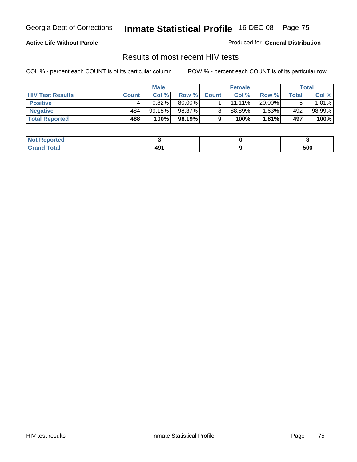### **Active Life Without Parole**

Produced for **General Distribution**

## Results of most recent HIV tests

|                         | <b>Male</b>  |        | <b>Female</b> |              |        | Total    |       |          |
|-------------------------|--------------|--------|---------------|--------------|--------|----------|-------|----------|
| <b>HIV Test Results</b> | <b>Count</b> | Col %  | Row %         | <b>Count</b> | Col %  | Row %    | Total | Col %    |
| <b>Positive</b>         |              | 0.82%  | 80.00%        |              | 11.11% | 20.00%   |       | $1.01\%$ |
| <b>Negative</b>         | 484          | 99.18% | 98.37%        |              | 88.89% | $1.63\%$ | 492   | 98.99%   |
| <b>Total Reported</b>   | 488          | 100%   | 98.19%        |              | 100%   | $1.81\%$ | 497   | 100%     |

| <b>Not Reported</b> |  |     |
|---------------------|--|-----|
| <b>Grand Total</b>  |  | 500 |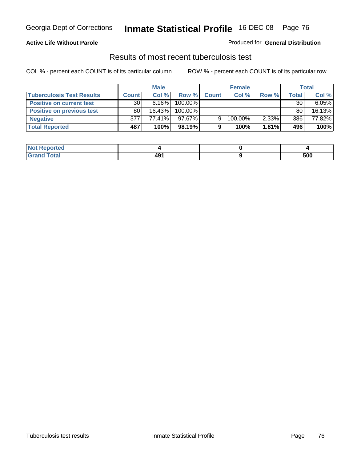### **Active Life Without Parole**

#### Produced for **General Distribution**

## Results of most recent tuberculosis test

|                                  | <b>Male</b>     |           | <b>Female</b> |              |         | Total |       |        |
|----------------------------------|-----------------|-----------|---------------|--------------|---------|-------|-------|--------|
| <b>Tuberculosis Test Results</b> | <b>Count</b>    | Col%      | Row %         | <b>Count</b> | Col%    | Row % | Total | Col %  |
| <b>Positive on current test</b>  | 30 <sup>1</sup> | $6.16\%$  | 100.00%       |              |         |       | 30    | 6.05%  |
| <b>Positive on previous test</b> | 80              | $16.43\%$ | 100.00%       |              |         |       | 80    | 16.13% |
| <b>Negative</b>                  | 377             | 77.41%    | 97.67%        | 9            | 100.00% | 2.33% | 386   | 77.82% |
| <b>Total Reported</b>            | 487             | 100%      | $98.19\%$     |              | 100%    | 1.81% | 496   | 100%   |

| <b>Not Reported</b> |     |     |
|---------------------|-----|-----|
| <b>Total</b>        | 491 | 500 |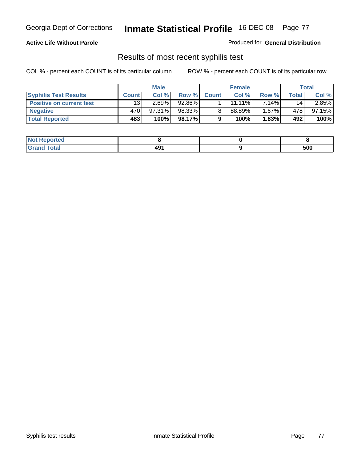### **Active Life Without Parole**

Produced for **General Distribution**

## Results of most recent syphilis test

|                                 | <b>Male</b>     |        | <b>Female</b> |              |           | Total    |                 |           |
|---------------------------------|-----------------|--------|---------------|--------------|-----------|----------|-----------------|-----------|
| <b>Syphilis Test Results</b>    | <b>Count</b>    | Col %  | Row %         | <b>Count</b> | Col %     | Row %    | Total           | Col %     |
| <b>Positive on current test</b> | 13 <sub>1</sub> | 2.69%  | 92.86%        |              | $11.11\%$ | $7.14\%$ | 14 <sub>1</sub> | $2.85\%$  |
| <b>Negative</b>                 | 470             | 97.31% | 98.33%        |              | 88.89%    | $1.67\%$ | 478             | $97.15\%$ |
| <b>Total Reported</b>           | 483             | 100%   | 98.17%        |              | 100%      | 1.83%    | 492             | 100%      |

| <b>Not Reported</b> |                        |     |
|---------------------|------------------------|-----|
| <b>Grand Total</b>  | 49 <sup>4</sup><br>___ | 500 |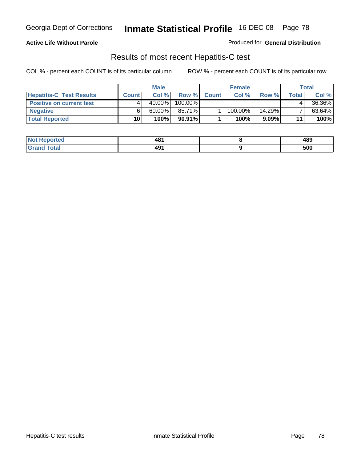### **Active Life Without Parole**

Produced for **General Distribution**

## Results of most recent Hepatitis-C test

|                                 |              | <b>Male</b> |           | <b>Female</b> |         |          | Total |        |
|---------------------------------|--------------|-------------|-----------|---------------|---------|----------|-------|--------|
| <b>Hepatitis-C Test Results</b> | <b>Count</b> | Col %       | Row %     | <b>Count</b>  | Col %   | Row %    | Total | Col %  |
| <b>Positive on current test</b> |              | $40.00\%$   | 100.00%   |               |         |          |       | 36.36% |
| <b>Negative</b>                 |              | $60.00\%$   | 85.71%    |               | 100.00% | 14.29%   |       | 63.64% |
| <b>Total Reported</b>           | 10           | 100%        | $90.91\%$ |               | 100%    | $9.09\%$ | 11    | 100%   |

| <b>Not Reported</b> | 481 | 489 |
|---------------------|-----|-----|
| <b>Grand Total</b>  | 491 | 500 |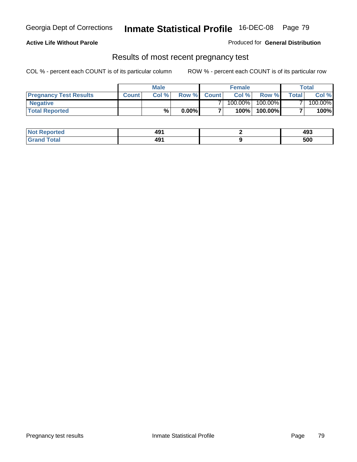### **Active Life Without Parole**

Produced for **General Distribution**

### Results of most recent pregnancy test

|                               | <b>Male</b>  |      |          | <b>Female</b>  |            |         | <b>Total</b>   |         |
|-------------------------------|--------------|------|----------|----------------|------------|---------|----------------|---------|
| <b>Pregnancy Test Results</b> | <b>Count</b> | Col% | Row %    | <b>Count</b> Ⅰ | Col %      | Row %   | <b>Total</b> I | Col %   |
| <b>Negative</b>               |              |      |          |                | $100.00\%$ | 100.00% |                | 100.00% |
| <b>Total Reported</b>         |              | %    | $0.00\%$ |                | 100%       | 100.00% |                | 100%    |

| <b>Not Reported</b> | 491 | 493 |
|---------------------|-----|-----|
| <b>Grand Total</b>  | 491 | 500 |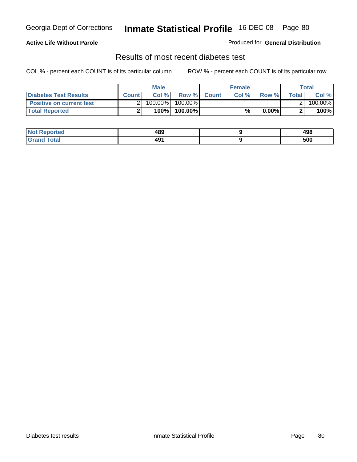### **Active Life Without Parole**

#### Produced for **General Distribution**

## Results of most recent diabetes test

|                                 |              | <b>Male</b> |            |             | <b>Female</b> |          |        | Total   |
|---------------------------------|--------------|-------------|------------|-------------|---------------|----------|--------|---------|
| <b>Diabetes Test Results</b>    | <b>Count</b> | Col %       |            | Row % Count | Col%          | Row %    | Totall | Col %   |
| <b>Positive on current test</b> |              | 100.00%     | $100.00\%$ |             |               |          |        | 100.00% |
| <b>Total Reported</b>           |              | 100%        | 100.00%    |             | %.            | $0.00\%$ |        | 100%    |

| <b>Reported</b> | 489<br>__ | 10 Q<br>490 |
|-----------------|-----------|-------------|
| <b>Total</b>    | 491       | 500         |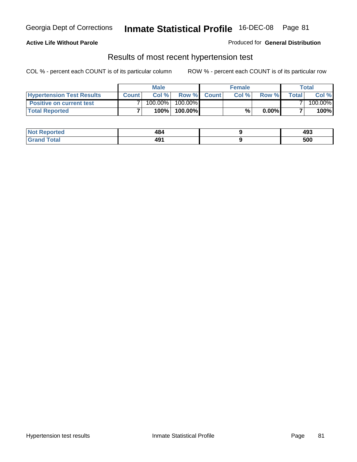### **Active Life Without Parole**

#### Produced for **General Distribution**

### Results of most recent hypertension test

|                                  |              | <b>Male</b> |            |             | <b>Female</b> |          |        | Total   |
|----------------------------------|--------------|-------------|------------|-------------|---------------|----------|--------|---------|
| <b>Hypertension Test Results</b> | <b>Count</b> | Col %       |            | Row % Count | Col%          | Row %    | Totall | Col %   |
| <b>Positive on current test</b>  |              | 100.00%     | $100.00\%$ |             |               |          |        | 100.00% |
| <b>Total Reported</b>            |              | 100%        | 100.00%    |             | %             | $0.00\%$ |        | 100%    |

| <b>Reported</b> | 484<br>__ | 493 |
|-----------------|-----------|-----|
| <b>Total</b>    | 491       | 500 |